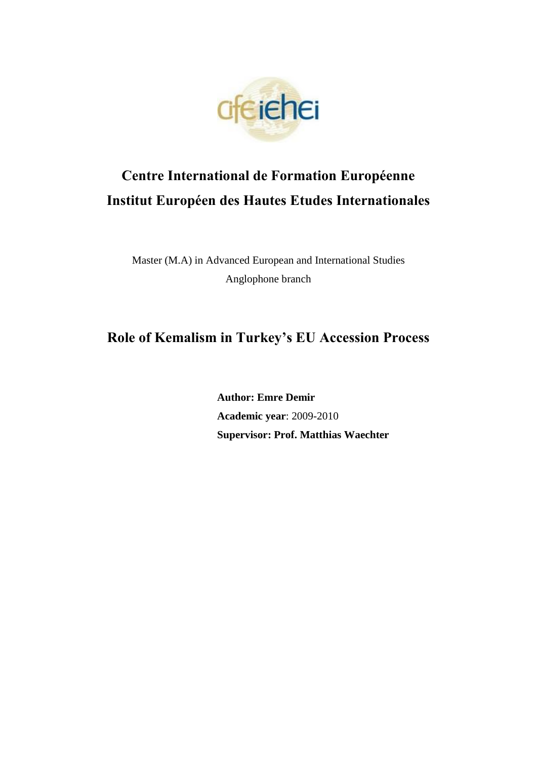

# **Centre International de Formation Européenne Institut Européen des Hautes Etudes Internationales**

Master (M.A) in Advanced European and International Studies Anglophone branch

## **Role of Kemalism in Turkey's EU Accession Process**

**Author: Emre Demir Academic year**: 2009-2010 **Supervisor: Prof. Matthias Waechter**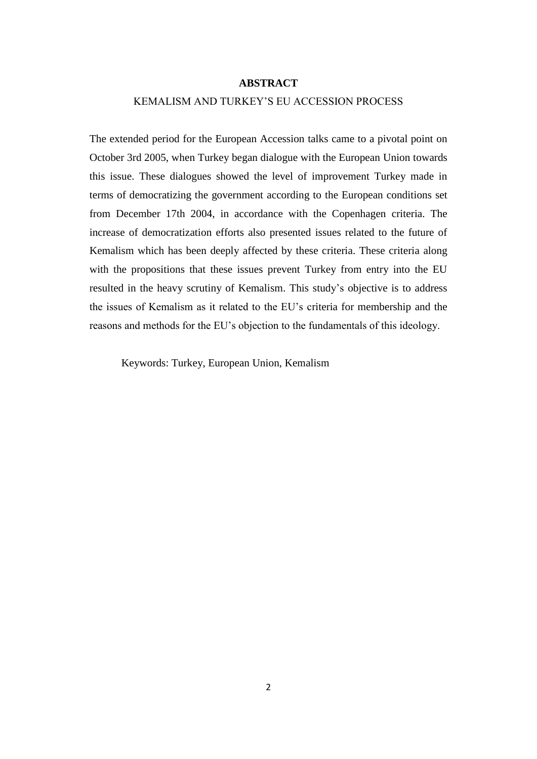#### **ABSTRACT**

## KEMALISM AND TURKEY"S EU ACCESSION PROCESS

The extended period for the European Accession talks came to a pivotal point on October 3rd 2005, when Turkey began dialogue with the European Union towards this issue. These dialogues showed the level of improvement Turkey made in terms of democratizing the government according to the European conditions set from December 17th 2004, in accordance with the Copenhagen criteria. The increase of democratization efforts also presented issues related to the future of Kemalism which has been deeply affected by these criteria. These criteria along with the propositions that these issues prevent Turkey from entry into the EU resulted in the heavy scrutiny of Kemalism. This study"s objective is to address the issues of Kemalism as it related to the EU"s criteria for membership and the reasons and methods for the EU"s objection to the fundamentals of this ideology.

Keywords: Turkey, European Union, Kemalism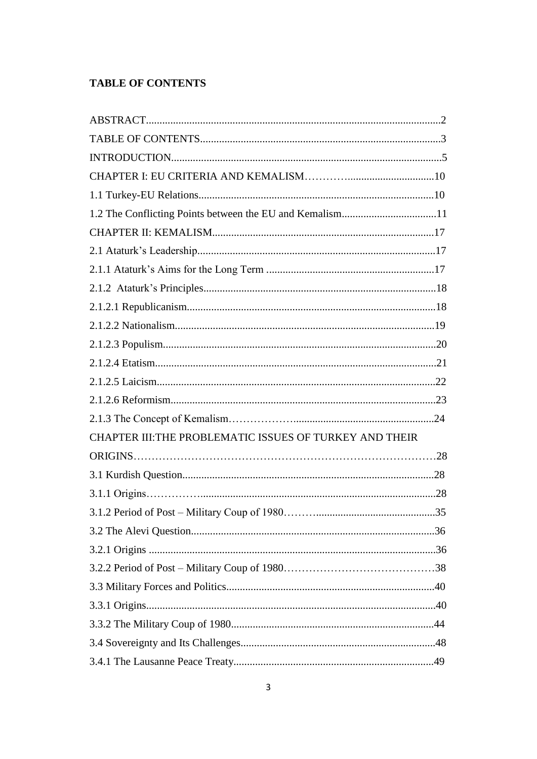## **TABLE OF CONTENTS**

| CHAPTER III: THE PROBLEMATIC ISSUES OF TURKEY AND THEIR |  |
|---------------------------------------------------------|--|
|                                                         |  |
|                                                         |  |
|                                                         |  |
|                                                         |  |
|                                                         |  |
|                                                         |  |
|                                                         |  |
|                                                         |  |
|                                                         |  |
|                                                         |  |
|                                                         |  |
|                                                         |  |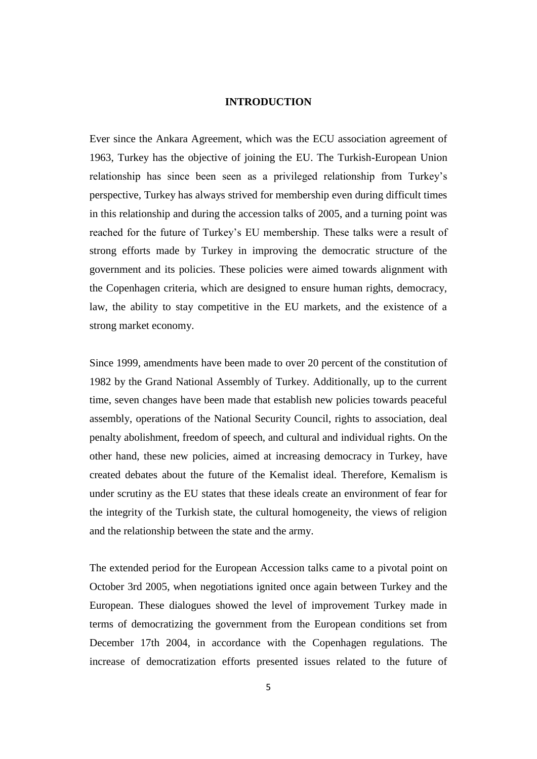## **INTRODUCTION**

Ever since the Ankara Agreement, which was the ECU association agreement of 1963, Turkey has the objective of joining the EU. The Turkish-European Union relationship has since been seen as a privileged relationship from Turkey"s perspective, Turkey has always strived for membership even during difficult times in this relationship and during the accession talks of 2005, and a turning point was reached for the future of Turkey"s EU membership. These talks were a result of strong efforts made by Turkey in improving the democratic structure of the government and its policies. These policies were aimed towards alignment with the Copenhagen criteria, which are designed to ensure human rights, democracy, law, the ability to stay competitive in the EU markets, and the existence of a strong market economy.

Since 1999, amendments have been made to over 20 percent of the constitution of 1982 by the Grand National Assembly of Turkey. Additionally, up to the current time, seven changes have been made that establish new policies towards peaceful assembly, operations of the National Security Council, rights to association, deal penalty abolishment, freedom of speech, and cultural and individual rights. On the other hand, these new policies, aimed at increasing democracy in Turkey, have created debates about the future of the Kemalist ideal. Therefore, Kemalism is under scrutiny as the EU states that these ideals create an environment of fear for the integrity of the Turkish state, the cultural homogeneity, the views of religion and the relationship between the state and the army.

The extended period for the European Accession talks came to a pivotal point on October 3rd 2005, when negotiations ignited once again between Turkey and the European. These dialogues showed the level of improvement Turkey made in terms of democratizing the government from the European conditions set from December 17th 2004, in accordance with the Copenhagen regulations. The increase of democratization efforts presented issues related to the future of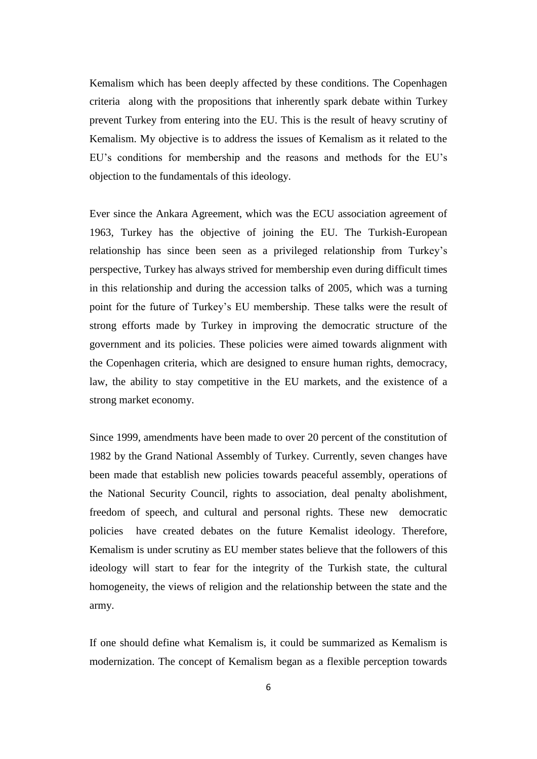Kemalism which has been deeply affected by these conditions. The Copenhagen criteria along with the propositions that inherently spark debate within Turkey prevent Turkey from entering into the EU. This is the result of heavy scrutiny of Kemalism. My objective is to address the issues of Kemalism as it related to the EU"s conditions for membership and the reasons and methods for the EU"s objection to the fundamentals of this ideology.

Ever since the Ankara Agreement, which was the ECU association agreement of 1963, Turkey has the objective of joining the EU. The Turkish-European relationship has since been seen as a privileged relationship from Turkey"s perspective, Turkey has always strived for membership even during difficult times in this relationship and during the accession talks of 2005, which was a turning point for the future of Turkey"s EU membership. These talks were the result of strong efforts made by Turkey in improving the democratic structure of the government and its policies. These policies were aimed towards alignment with the Copenhagen criteria, which are designed to ensure human rights, democracy, law, the ability to stay competitive in the EU markets, and the existence of a strong market economy.

Since 1999, amendments have been made to over 20 percent of the constitution of 1982 by the Grand National Assembly of Turkey. Currently, seven changes have been made that establish new policies towards peaceful assembly, operations of the National Security Council, rights to association, deal penalty abolishment, freedom of speech, and cultural and personal rights. These new democratic policies have created debates on the future Kemalist ideology. Therefore, Kemalism is under scrutiny as EU member states believe that the followers of this ideology will start to fear for the integrity of the Turkish state, the cultural homogeneity, the views of religion and the relationship between the state and the army.

If one should define what Kemalism is, it could be summarized as Kemalism is modernization. The concept of Kemalism began as a flexible perception towards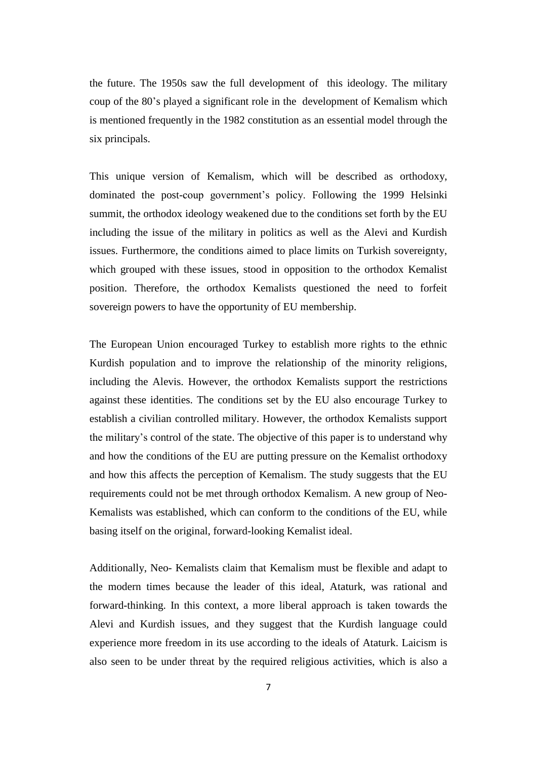the future. The 1950s saw the full development of this ideology. The military coup of the 80"s played a significant role in the development of Kemalism which is mentioned frequently in the 1982 constitution as an essential model through the six principals.

This unique version of Kemalism, which will be described as orthodoxy, dominated the post-coup government's policy. Following the 1999 Helsinki summit, the orthodox ideology weakened due to the conditions set forth by the EU including the issue of the military in politics as well as the Alevi and Kurdish issues. Furthermore, the conditions aimed to place limits on Turkish sovereignty, which grouped with these issues, stood in opposition to the orthodox Kemalist position. Therefore, the orthodox Kemalists questioned the need to forfeit sovereign powers to have the opportunity of EU membership.

The European Union encouraged Turkey to establish more rights to the ethnic Kurdish population and to improve the relationship of the minority religions, including the Alevis. However, the orthodox Kemalists support the restrictions against these identities. The conditions set by the EU also encourage Turkey to establish a civilian controlled military. However, the orthodox Kemalists support the military"s control of the state. The objective of this paper is to understand why and how the conditions of the EU are putting pressure on the Kemalist orthodoxy and how this affects the perception of Kemalism. The study suggests that the EU requirements could not be met through orthodox Kemalism. A new group of Neo-Kemalists was established, which can conform to the conditions of the EU, while basing itself on the original, forward-looking Kemalist ideal.

Additionally, Neo- Kemalists claim that Kemalism must be flexible and adapt to the modern times because the leader of this ideal, Ataturk, was rational and forward-thinking. In this context, a more liberal approach is taken towards the Alevi and Kurdish issues, and they suggest that the Kurdish language could experience more freedom in its use according to the ideals of Ataturk. Laicism is also seen to be under threat by the required religious activities, which is also a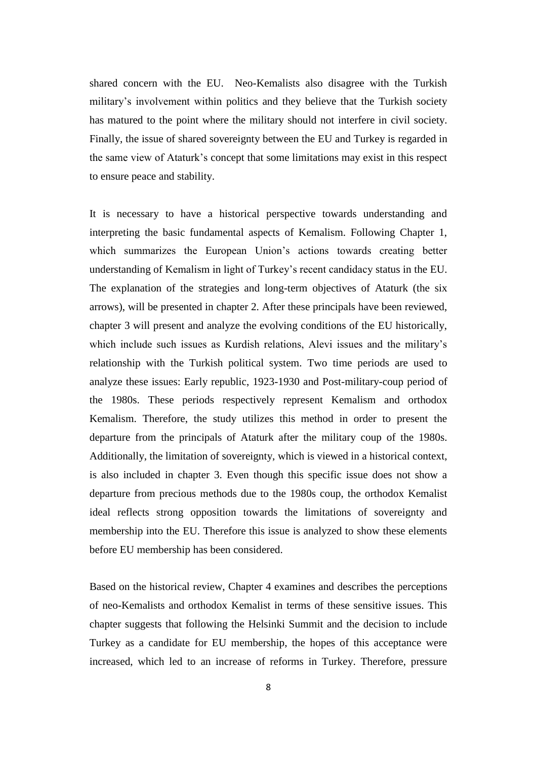shared concern with the EU. Neo-Kemalists also disagree with the Turkish military's involvement within politics and they believe that the Turkish society has matured to the point where the military should not interfere in civil society. Finally, the issue of shared sovereignty between the EU and Turkey is regarded in the same view of Ataturk"s concept that some limitations may exist in this respect to ensure peace and stability.

It is necessary to have a historical perspective towards understanding and interpreting the basic fundamental aspects of Kemalism. Following Chapter 1, which summarizes the European Union"s actions towards creating better understanding of Kemalism in light of Turkey"s recent candidacy status in the EU. The explanation of the strategies and long-term objectives of Ataturk (the six arrows), will be presented in chapter 2. After these principals have been reviewed, chapter 3 will present and analyze the evolving conditions of the EU historically, which include such issues as Kurdish relations, Alevi issues and the military's relationship with the Turkish political system. Two time periods are used to analyze these issues: Early republic, 1923-1930 and Post-military-coup period of the 1980s. These periods respectively represent Kemalism and orthodox Kemalism. Therefore, the study utilizes this method in order to present the departure from the principals of Ataturk after the military coup of the 1980s. Additionally, the limitation of sovereignty, which is viewed in a historical context, is also included in chapter 3. Even though this specific issue does not show a departure from precious methods due to the 1980s coup, the orthodox Kemalist ideal reflects strong opposition towards the limitations of sovereignty and membership into the EU. Therefore this issue is analyzed to show these elements before EU membership has been considered.

Based on the historical review, Chapter 4 examines and describes the perceptions of neo-Kemalists and orthodox Kemalist in terms of these sensitive issues. This chapter suggests that following the Helsinki Summit and the decision to include Turkey as a candidate for EU membership, the hopes of this acceptance were increased, which led to an increase of reforms in Turkey. Therefore, pressure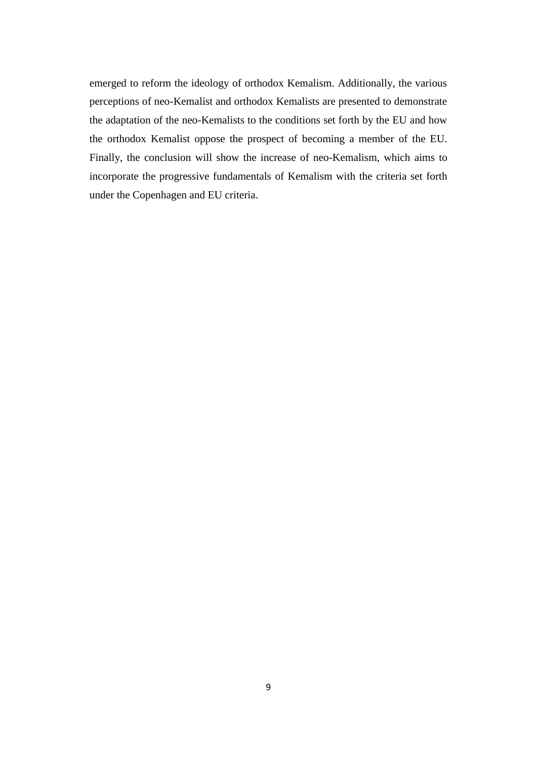emerged to reform the ideology of orthodox Kemalism. Additionally, the various perceptions of neo-Kemalist and orthodox Kemalists are presented to demonstrate the adaptation of the neo-Kemalists to the conditions set forth by the EU and how the orthodox Kemalist oppose the prospect of becoming a member of the EU. Finally, the conclusion will show the increase of neo-Kemalism, which aims to incorporate the progressive fundamentals of Kemalism with the criteria set forth under the Copenhagen and EU criteria.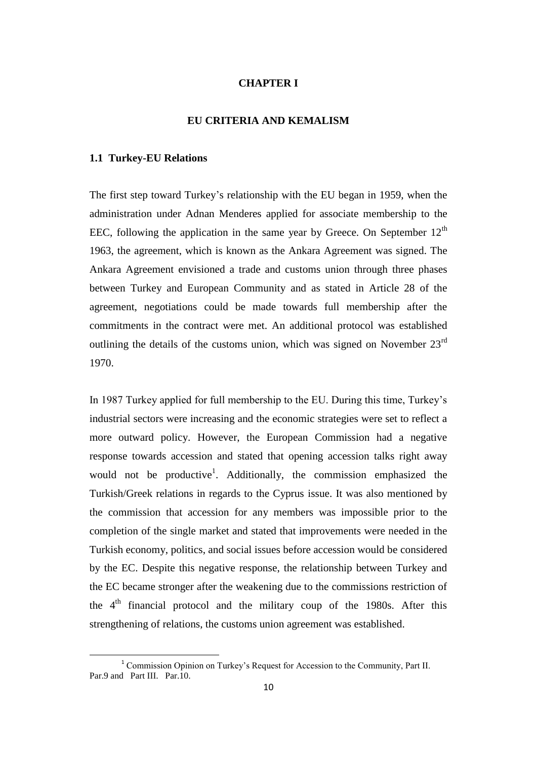## **CHAPTER I**

## **EU CRITERIA AND KEMALISM**

#### **1.1 Turkey-EU Relations**

 $\overline{a}$ 

The first step toward Turkey"s relationship with the EU began in 1959, when the administration under Adnan Menderes applied for associate membership to the EEC, following the application in the same year by Greece. On September  $12<sup>th</sup>$ 1963, the agreement, which is known as the Ankara Agreement was signed. The Ankara Agreement envisioned a trade and customs union through three phases between Turkey and European Community and as stated in Article 28 of the agreement, negotiations could be made towards full membership after the commitments in the contract were met. An additional protocol was established outlining the details of the customs union, which was signed on November 23rd 1970.

In 1987 Turkey applied for full membership to the EU. During this time, Turkey"s industrial sectors were increasing and the economic strategies were set to reflect a more outward policy. However, the European Commission had a negative response towards accession and stated that opening accession talks right away would not be productive<sup>1</sup>. Additionally, the commission emphasized the Turkish/Greek relations in regards to the Cyprus issue. It was also mentioned by the commission that accession for any members was impossible prior to the completion of the single market and stated that improvements were needed in the Turkish economy, politics, and social issues before accession would be considered by the EC. Despite this negative response, the relationship between Turkey and the EC became stronger after the weakening due to the commissions restriction of the  $4<sup>th</sup>$  financial protocol and the military coup of the 1980s. After this strengthening of relations, the customs union agreement was established.

<sup>&</sup>lt;sup>1</sup> Commission Opinion on Turkey's Request for Accession to the Community, Part II. Par.9 and Part III. Par.10.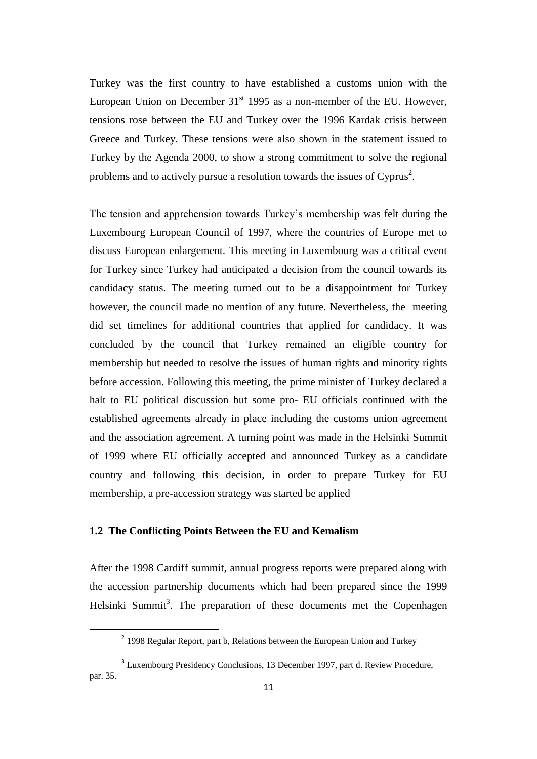Turkey was the first country to have established a customs union with the European Union on December  $31<sup>st</sup>$  1995 as a non-member of the EU. However, tensions rose between the EU and Turkey over the 1996 Kardak crisis between Greece and Turkey. These tensions were also shown in the statement issued to Turkey by the Agenda 2000, to show a strong commitment to solve the regional problems and to actively pursue a resolution towards the issues of Cyprus<sup>2</sup>.

The tension and apprehension towards Turkey"s membership was felt during the Luxembourg European Council of 1997, where the countries of Europe met to discuss European enlargement. This meeting in Luxembourg was a critical event for Turkey since Turkey had anticipated a decision from the council towards its candidacy status. The meeting turned out to be a disappointment for Turkey however, the council made no mention of any future. Nevertheless, the meeting did set timelines for additional countries that applied for candidacy. It was concluded by the council that Turkey remained an eligible country for membership but needed to resolve the issues of human rights and minority rights before accession. Following this meeting, the prime minister of Turkey declared a halt to EU political discussion but some pro- EU officials continued with the established agreements already in place including the customs union agreement and the association agreement. A turning point was made in the Helsinki Summit of 1999 where EU officially accepted and announced Turkey as a candidate country and following this decision, in order to prepare Turkey for EU membership, a pre-accession strategy was started be applied

## **1.2 The Conflicting Points Between the EU and Kemalism**

 $\overline{a}$ 

After the 1998 Cardiff summit, annual progress reports were prepared along with the accession partnership documents which had been prepared since the 1999 Helsinki Summit<sup>3</sup>. The preparation of these documents met the Copenhagen

<sup>&</sup>lt;sup>2</sup> 1998 Regular Report, part b, Relations between the European Union and Turkey

<sup>&</sup>lt;sup>3</sup> Luxembourg Presidency Conclusions, 13 December 1997, part d. Review Procedure, par. 35.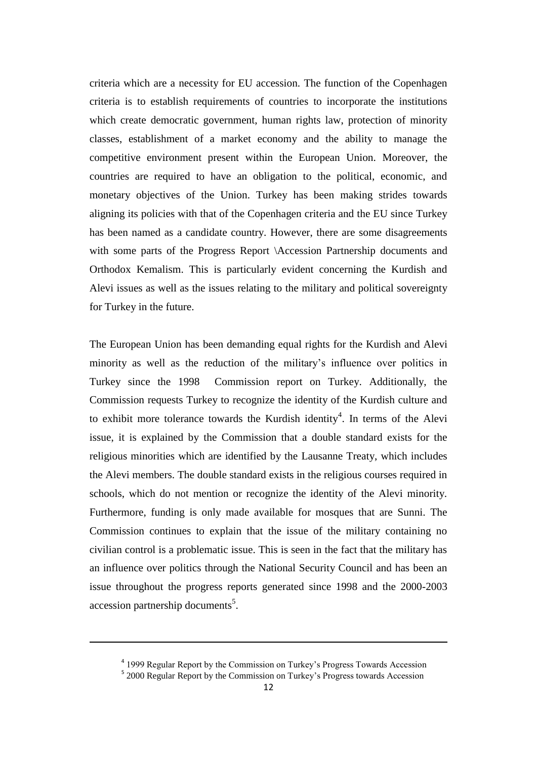criteria which are a necessity for EU accession. The function of the Copenhagen criteria is to establish requirements of countries to incorporate the institutions which create democratic government, human rights law, protection of minority classes, establishment of a market economy and the ability to manage the competitive environment present within the European Union. Moreover, the countries are required to have an obligation to the political, economic, and monetary objectives of the Union. Turkey has been making strides towards aligning its policies with that of the Copenhagen criteria and the EU since Turkey has been named as a candidate country. However, there are some disagreements with some parts of the Progress Report \Accession Partnership documents and Orthodox Kemalism. This is particularly evident concerning the Kurdish and Alevi issues as well as the issues relating to the military and political sovereignty for Turkey in the future.

The European Union has been demanding equal rights for the Kurdish and Alevi minority as well as the reduction of the military"s influence over politics in Turkey since the 1998 Commission report on Turkey. Additionally, the Commission requests Turkey to recognize the identity of the Kurdish culture and to exhibit more tolerance towards the Kurdish identity<sup>4</sup>. In terms of the Alevi issue, it is explained by the Commission that a double standard exists for the religious minorities which are identified by the Lausanne Treaty, which includes the Alevi members. The double standard exists in the religious courses required in schools, which do not mention or recognize the identity of the Alevi minority. Furthermore, funding is only made available for mosques that are Sunni. The Commission continues to explain that the issue of the military containing no civilian control is a problematic issue. This is seen in the fact that the military has an influence over politics through the National Security Council and has been an issue throughout the progress reports generated since 1998 and the 2000-2003 accession partnership documents<sup>5</sup>.

1

<sup>&</sup>lt;sup>4</sup> 1999 Regular Report by the Commission on Turkey's Progress Towards Accession

<sup>&</sup>lt;sup>5</sup> 2000 Regular Report by the Commission on Turkey's Progress towards Accession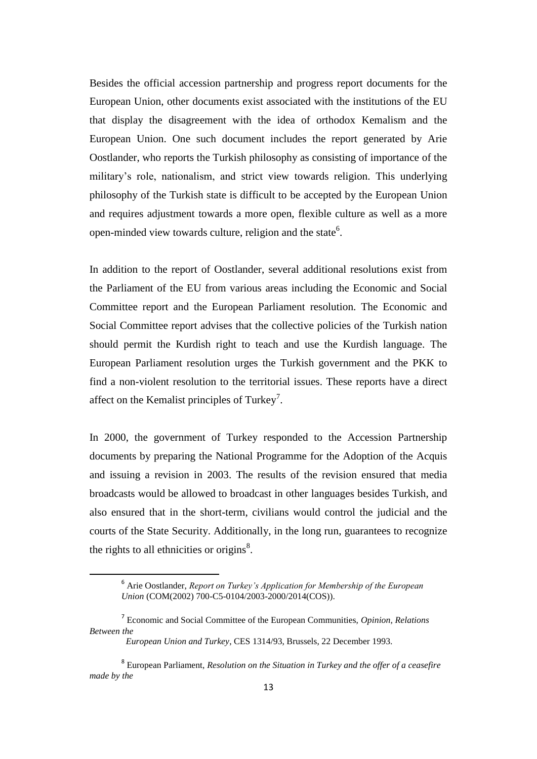Besides the official accession partnership and progress report documents for the European Union, other documents exist associated with the institutions of the EU that display the disagreement with the idea of orthodox Kemalism and the European Union. One such document includes the report generated by Arie Oostlander, who reports the Turkish philosophy as consisting of importance of the military"s role, nationalism, and strict view towards religion. This underlying philosophy of the Turkish state is difficult to be accepted by the European Union and requires adjustment towards a more open, flexible culture as well as a more open-minded view towards culture, religion and the state<sup>6</sup>.

In addition to the report of Oostlander, several additional resolutions exist from the Parliament of the EU from various areas including the Economic and Social Committee report and the European Parliament resolution. The Economic and Social Committee report advises that the collective policies of the Turkish nation should permit the Kurdish right to teach and use the Kurdish language. The European Parliament resolution urges the Turkish government and the PKK to find a non-violent resolution to the territorial issues. These reports have a direct affect on the Kemalist principles of Turkey<sup>7</sup>.

In 2000, the government of Turkey responded to the Accession Partnership documents by preparing the National Programme for the Adoption of the Acquis and issuing a revision in 2003. The results of the revision ensured that media broadcasts would be allowed to broadcast in other languages besides Turkish, and also ensured that in the short-term, civilians would control the judicial and the courts of the State Security. Additionally, in the long run, guarantees to recognize the rights to all ethnicities or origins $\delta$ .

<sup>6</sup> Arie Oostlander, *Report on Turkey's Application for Membership of the European Union* (COM(2002) 700-C5-0104/2003-2000/2014(COS)).

<sup>7</sup> Economic and Social Committee of the European Communities, *Opinion, Relations Between the* 

*European Union and Turkey*, CES 1314/93, Brussels, 22 December 1993.

<sup>8</sup> European Parliament, *Resolution on the Situation in Turkey and the offer of a ceasefire made by the*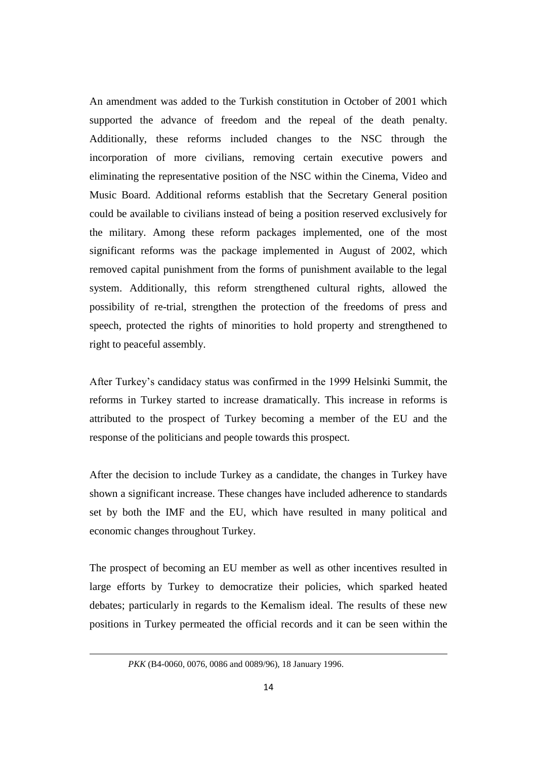An amendment was added to the Turkish constitution in October of 2001 which supported the advance of freedom and the repeal of the death penalty. Additionally, these reforms included changes to the NSC through the incorporation of more civilians, removing certain executive powers and eliminating the representative position of the NSC within the Cinema, Video and Music Board. Additional reforms establish that the Secretary General position could be available to civilians instead of being a position reserved exclusively for the military. Among these reform packages implemented, one of the most significant reforms was the package implemented in August of 2002, which removed capital punishment from the forms of punishment available to the legal system. Additionally, this reform strengthened cultural rights, allowed the possibility of re-trial, strengthen the protection of the freedoms of press and speech, protected the rights of minorities to hold property and strengthened to right to peaceful assembly.

After Turkey"s candidacy status was confirmed in the 1999 Helsinki Summit, the reforms in Turkey started to increase dramatically. This increase in reforms is attributed to the prospect of Turkey becoming a member of the EU and the response of the politicians and people towards this prospect.

After the decision to include Turkey as a candidate, the changes in Turkey have shown a significant increase. These changes have included adherence to standards set by both the IMF and the EU, which have resulted in many political and economic changes throughout Turkey.

The prospect of becoming an EU member as well as other incentives resulted in large efforts by Turkey to democratize their policies, which sparked heated debates; particularly in regards to the Kemalism ideal. The results of these new positions in Turkey permeated the official records and it can be seen within the

**.** 

*PKK* (B4-0060, 0076, 0086 and 0089/96), 18 January 1996.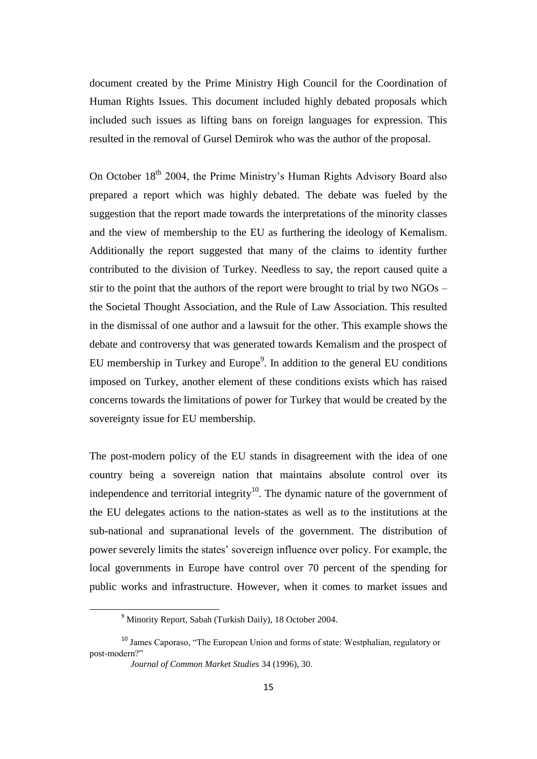document created by the Prime Ministry High Council for the Coordination of Human Rights Issues. This document included highly debated proposals which included such issues as lifting bans on foreign languages for expression. This resulted in the removal of Gursel Demirok who was the author of the proposal.

On October 18<sup>th</sup> 2004, the Prime Ministry's Human Rights Advisory Board also prepared a report which was highly debated. The debate was fueled by the suggestion that the report made towards the interpretations of the minority classes and the view of membership to the EU as furthering the ideology of Kemalism. Additionally the report suggested that many of the claims to identity further contributed to the division of Turkey. Needless to say, the report caused quite a stir to the point that the authors of the report were brought to trial by two  $NGOs$  – the Societal Thought Association, and the Rule of Law Association. This resulted in the dismissal of one author and a lawsuit for the other. This example shows the debate and controversy that was generated towards Kemalism and the prospect of EU membership in Turkey and Europe $9$ . In addition to the general EU conditions imposed on Turkey, another element of these conditions exists which has raised concerns towards the limitations of power for Turkey that would be created by the sovereignty issue for EU membership.

The post-modern policy of the EU stands in disagreement with the idea of one country being a sovereign nation that maintains absolute control over its independence and territorial integrity<sup>10</sup>. The dynamic nature of the government of the EU delegates actions to the nation-states as well as to the institutions at the sub-national and supranational levels of the government. The distribution of power severely limits the states" sovereign influence over policy. For example, the local governments in Europe have control over 70 percent of the spending for public works and infrastructure. However, when it comes to market issues and

<sup>9</sup> Minority Report, Sabah (Turkish Daily), 18 October 2004.

<sup>10</sup> James Caporaso, "The European Union and forms of state: Westphalian, regulatory or post-modern?"

*Journal of Common Market Studies* 34 (1996), 30.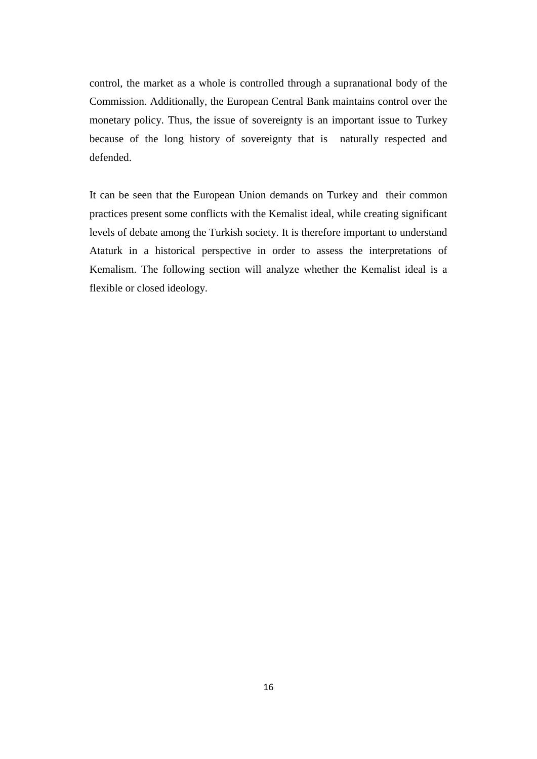control, the market as a whole is controlled through a supranational body of the Commission. Additionally, the European Central Bank maintains control over the monetary policy. Thus, the issue of sovereignty is an important issue to Turkey because of the long history of sovereignty that is naturally respected and defended.

It can be seen that the European Union demands on Turkey and their common practices present some conflicts with the Kemalist ideal, while creating significant levels of debate among the Turkish society. It is therefore important to understand Ataturk in a historical perspective in order to assess the interpretations of Kemalism. The following section will analyze whether the Kemalist ideal is a flexible or closed ideology.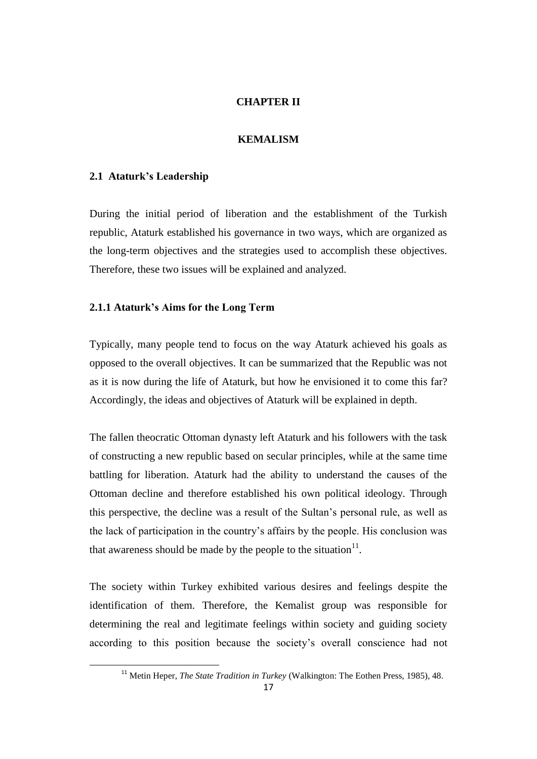## **CHAPTER II**

## **KEMALISM**

## **2.1 Ataturk's Leadership**

 $\overline{a}$ 

During the initial period of liberation and the establishment of the Turkish republic, Ataturk established his governance in two ways, which are organized as the long-term objectives and the strategies used to accomplish these objectives. Therefore, these two issues will be explained and analyzed.

## **2.1.1 Ataturk's Aims for the Long Term**

Typically, many people tend to focus on the way Ataturk achieved his goals as opposed to the overall objectives. It can be summarized that the Republic was not as it is now during the life of Ataturk, but how he envisioned it to come this far? Accordingly, the ideas and objectives of Ataturk will be explained in depth.

The fallen theocratic Ottoman dynasty left Ataturk and his followers with the task of constructing a new republic based on secular principles, while at the same time battling for liberation. Ataturk had the ability to understand the causes of the Ottoman decline and therefore established his own political ideology. Through this perspective, the decline was a result of the Sultan"s personal rule, as well as the lack of participation in the country"s affairs by the people. His conclusion was that awareness should be made by the people to the situation $1^1$ .

The society within Turkey exhibited various desires and feelings despite the identification of them. Therefore, the Kemalist group was responsible for determining the real and legitimate feelings within society and guiding society according to this position because the society"s overall conscience had not

<sup>&</sup>lt;sup>11</sup> Metin Heper, *The State Tradition in Turkey* (Walkington: The Eothen Press, 1985), 48.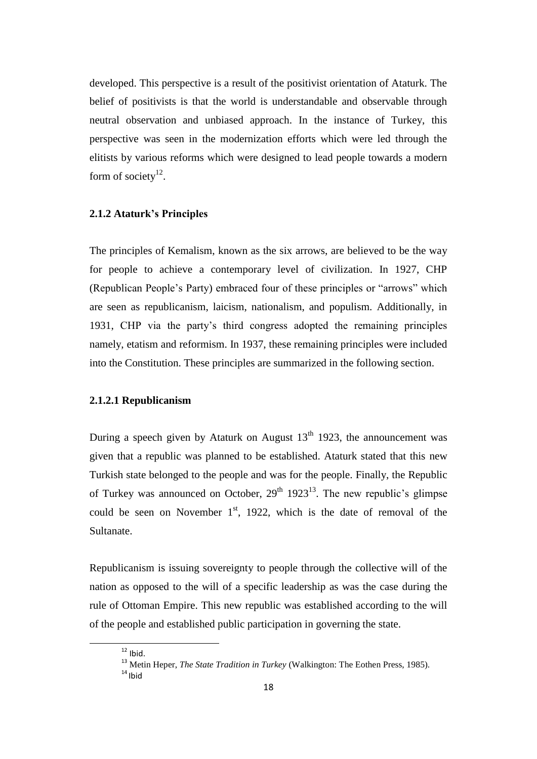developed. This perspective is a result of the positivist orientation of Ataturk. The belief of positivists is that the world is understandable and observable through neutral observation and unbiased approach. In the instance of Turkey, this perspective was seen in the modernization efforts which were led through the elitists by various reforms which were designed to lead people towards a modern form of society $^{12}$ .

## **2.1.2 Ataturk's Principles**

The principles of Kemalism, known as the six arrows, are believed to be the way for people to achieve a contemporary level of civilization. In 1927, CHP (Republican People"s Party) embraced four of these principles or "arrows" which are seen as republicanism, laicism, nationalism, and populism. Additionally, in 1931, CHP via the party"s third congress adopted the remaining principles namely, etatism and reformism. In 1937, these remaining principles were included into the Constitution. These principles are summarized in the following section.

## **2.1.2.1 Republicanism**

During a speech given by Ataturk on August  $13<sup>th</sup>$  1923, the announcement was given that a republic was planned to be established. Ataturk stated that this new Turkish state belonged to the people and was for the people. Finally, the Republic of Turkey was announced on October,  $29<sup>th</sup> 1923<sup>13</sup>$ . The new republic's glimpse could be seen on November  $1<sup>st</sup>$ , 1922, which is the date of removal of the Sultanate.

Republicanism is issuing sovereignty to people through the collective will of the nation as opposed to the will of a specific leadership as was the case during the rule of Ottoman Empire. This new republic was established according to the will of the people and established public participation in governing the state.

 $12$  Ibid.

<sup>&</sup>lt;sup>13</sup> Metin Heper, *The State Tradition in Turkey* (Walkington: The Eothen Press, 1985).  $14$  Ibid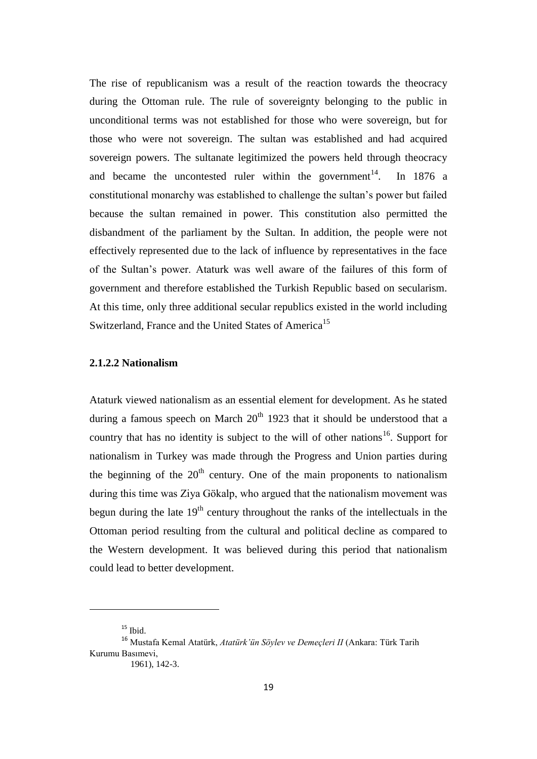The rise of republicanism was a result of the reaction towards the theocracy during the Ottoman rule. The rule of sovereignty belonging to the public in unconditional terms was not established for those who were sovereign, but for those who were not sovereign. The sultan was established and had acquired sovereign powers. The sultanate legitimized the powers held through theocracy and became the uncontested ruler within the government $14$ . . In 1876 a constitutional monarchy was established to challenge the sultan"s power but failed because the sultan remained in power. This constitution also permitted the disbandment of the parliament by the Sultan. In addition, the people were not effectively represented due to the lack of influence by representatives in the face of the Sultan"s power. Ataturk was well aware of the failures of this form of government and therefore established the Turkish Republic based on secularism. At this time, only three additional secular republics existed in the world including Switzerland, France and the United States of America<sup>15</sup>

## **2.1.2.2 Nationalism**

Ataturk viewed nationalism as an essential element for development. As he stated during a famous speech on March  $20<sup>th</sup>$  1923 that it should be understood that a country that has no identity is subject to the will of other nations<sup>16</sup>. Support for nationalism in Turkey was made through the Progress and Union parties during the beginning of the  $20<sup>th</sup>$  century. One of the main proponents to nationalism during this time was Ziya Gökalp, who argued that the nationalism movement was begun during the late  $19<sup>th</sup>$  century throughout the ranks of the intellectuals in the Ottoman period resulting from the cultural and political decline as compared to the Western development. It was believed during this period that nationalism could lead to better development.

 $15$  Ibid.

<sup>16</sup> Mustafa Kemal Atatürk, *Atatürk'ün Söylev ve Demeçleri II* (Ankara: Türk Tarih Kurumu Basımevi,

 <sup>1961), 142-3.</sup>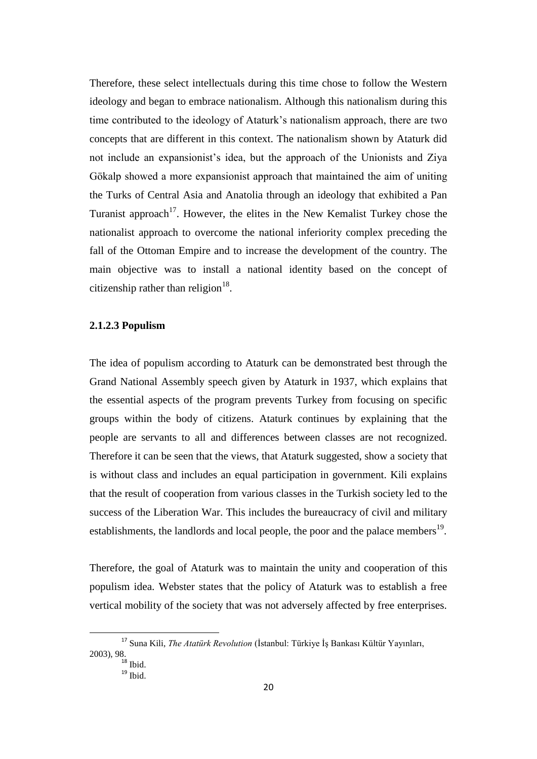Therefore, these select intellectuals during this time chose to follow the Western ideology and began to embrace nationalism. Although this nationalism during this time contributed to the ideology of Ataturk"s nationalism approach, there are two concepts that are different in this context. The nationalism shown by Ataturk did not include an expansionist"s idea, but the approach of the Unionists and Ziya Gökalp showed a more expansionist approach that maintained the aim of uniting the Turks of Central Asia and Anatolia through an ideology that exhibited a Pan Turanist approach<sup>17</sup>. However, the elites in the New Kemalist Turkey chose the nationalist approach to overcome the national inferiority complex preceding the fall of the Ottoman Empire and to increase the development of the country. The main objective was to install a national identity based on the concept of citizenship rather than religion<sup>18</sup>.

## **2.1.2.3 Populism**

The idea of populism according to Ataturk can be demonstrated best through the Grand National Assembly speech given by Ataturk in 1937, which explains that the essential aspects of the program prevents Turkey from focusing on specific groups within the body of citizens. Ataturk continues by explaining that the people are servants to all and differences between classes are not recognized. Therefore it can be seen that the views, that Ataturk suggested, show a society that is without class and includes an equal participation in government. Kili explains that the result of cooperation from various classes in the Turkish society led to the success of the Liberation War. This includes the bureaucracy of civil and military establishments, the landlords and local people, the poor and the palace members<sup>19</sup>.

Therefore, the goal of Ataturk was to maintain the unity and cooperation of this populism idea. Webster states that the policy of Ataturk was to establish a free vertical mobility of the society that was not adversely affected by free enterprises.

<sup>17</sup> Suna Kili, *The Atatürk Revolution* (İstanbul: Türkiye İş Bankası Kültür Yayınları, 2003), 98.

 $18$  Ibid.

 $19$  Ibid.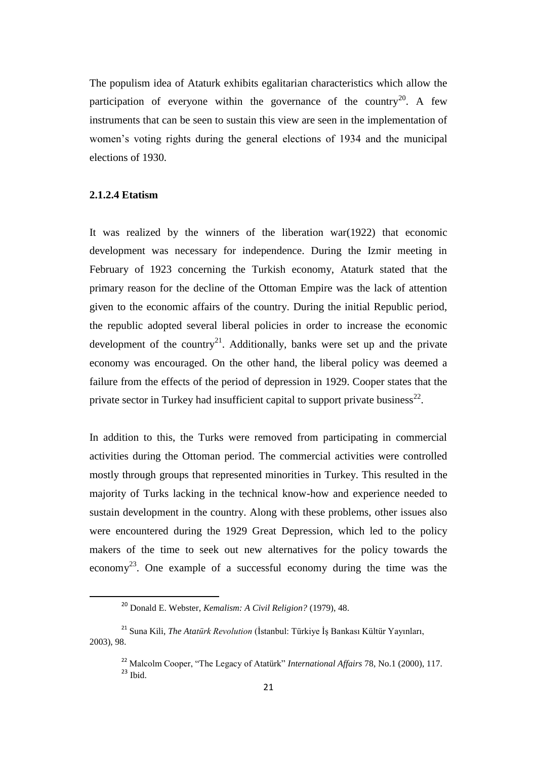The populism idea of Ataturk exhibits egalitarian characteristics which allow the participation of everyone within the governance of the country<sup>20</sup>. A few instruments that can be seen to sustain this view are seen in the implementation of women"s voting rights during the general elections of 1934 and the municipal elections of 1930.

#### **2.1.2.4 Etatism**

 $\overline{a}$ 

It was realized by the winners of the liberation war(1922) that economic development was necessary for independence. During the Izmir meeting in February of 1923 concerning the Turkish economy, Ataturk stated that the primary reason for the decline of the Ottoman Empire was the lack of attention given to the economic affairs of the country. During the initial Republic period, the republic adopted several liberal policies in order to increase the economic development of the country<sup>21</sup>. Additionally, banks were set up and the private economy was encouraged. On the other hand, the liberal policy was deemed a failure from the effects of the period of depression in 1929. Cooper states that the private sector in Turkey had insufficient capital to support private business<sup>22</sup>.

In addition to this, the Turks were removed from participating in commercial activities during the Ottoman period. The commercial activities were controlled mostly through groups that represented minorities in Turkey. This resulted in the majority of Turks lacking in the technical know-how and experience needed to sustain development in the country. Along with these problems, other issues also were encountered during the 1929 Great Depression, which led to the policy makers of the time to seek out new alternatives for the policy towards the economy<sup>23</sup>. One example of a successful economy during the time was the

<sup>20</sup> Donald E. Webster, *Kemalism: A Civil Religion?* (1979), 48.

<sup>21</sup> Suna Kili, *The Atatürk Revolution* (İstanbul: Türkiye İş Bankası Kültür Yayınları, 2003), 98.

<sup>22</sup> Malcolm Cooper, "The Legacy of Atatürk" *International Affairs* 78, No.1 (2000), 117.  $23$  Ibid.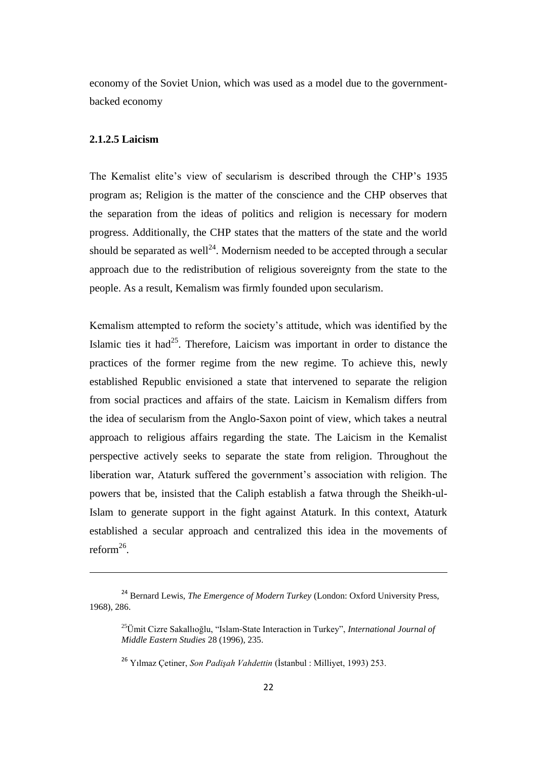economy of the Soviet Union, which was used as a model due to the governmentbacked economy

#### **2.1.2.5 Laicism**

1

The Kemalist elite's view of secularism is described through the CHP's 1935 program as; Religion is the matter of the conscience and the CHP observes that the separation from the ideas of politics and religion is necessary for modern progress. Additionally, the CHP states that the matters of the state and the world should be separated as well<sup>24</sup>. Modernism needed to be accepted through a secular approach due to the redistribution of religious sovereignty from the state to the people. As a result, Kemalism was firmly founded upon secularism.

Kemalism attempted to reform the society"s attitude, which was identified by the Islamic ties it had<sup>25</sup>. Therefore, Laicism was important in order to distance the practices of the former regime from the new regime. To achieve this, newly established Republic envisioned a state that intervened to separate the religion from social practices and affairs of the state. Laicism in Kemalism differs from the idea of secularism from the Anglo-Saxon point of view, which takes a neutral approach to religious affairs regarding the state. The Laicism in the Kemalist perspective actively seeks to separate the state from religion. Throughout the liberation war, Ataturk suffered the government's association with religion. The powers that be, insisted that the Caliph establish a fatwa through the Sheikh-ul-Islam to generate support in the fight against Ataturk. In this context, Ataturk established a secular approach and centralized this idea in the movements of  $reform<sup>26</sup>$ .

<sup>24</sup> Bernard Lewis, *The Emergence of Modern Turkey* (London: Oxford University Press, 1968), 286.

<sup>25</sup>Ümit Cizre Sakallıoğlu, "Islam-State Interaction in Turkey", *International Journal of Middle Eastern Studies* 28 (1996), 235.

<sup>26</sup> Yılmaz Çetiner, *Son Padişah Vahdettin* (İstanbul : Milliyet, 1993) 253.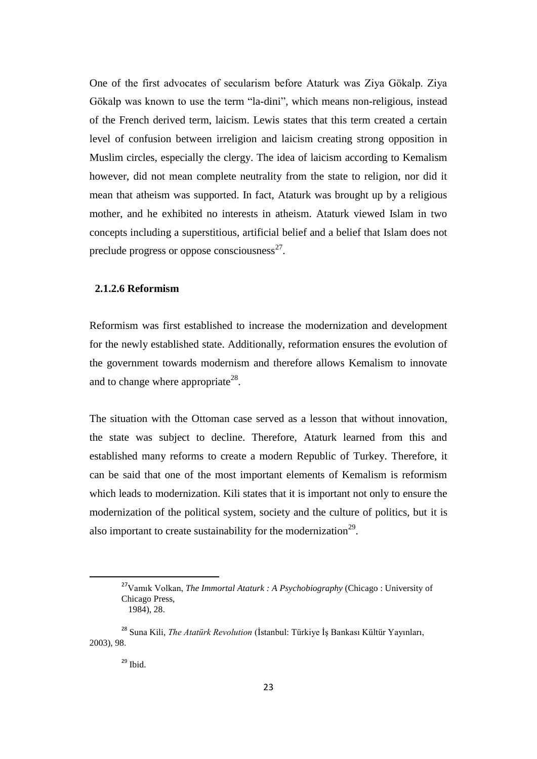One of the first advocates of secularism before Ataturk was Ziya Gökalp. Ziya Gökalp was known to use the term "la-dini", which means non-religious, instead of the French derived term, laicism. Lewis states that this term created a certain level of confusion between irreligion and laicism creating strong opposition in Muslim circles, especially the clergy. The idea of laicism according to Kemalism however, did not mean complete neutrality from the state to religion, nor did it mean that atheism was supported. In fact, Ataturk was brought up by a religious mother, and he exhibited no interests in atheism. Ataturk viewed Islam in two concepts including a superstitious, artificial belief and a belief that Islam does not preclude progress or oppose consciousness $^{27}$ .

## **2.1.2.6 Reformism**

Reformism was first established to increase the modernization and development for the newly established state. Additionally, reformation ensures the evolution of the government towards modernism and therefore allows Kemalism to innovate and to change where appropriate<sup>28</sup>.

The situation with the Ottoman case served as a lesson that without innovation, the state was subject to decline. Therefore, Ataturk learned from this and established many reforms to create a modern Republic of Turkey. Therefore, it can be said that one of the most important elements of Kemalism is reformism which leads to modernization. Kili states that it is important not only to ensure the modernization of the political system, society and the culture of politics, but it is also important to create sustainability for the modernization<sup>29</sup>.

<sup>27</sup>Vamık Volkan, *The Immortal Ataturk : A Psychobiography* (Chicago : University of Chicago Press, 1984), 28.

<sup>28</sup> Suna Kili, *The Atatürk Revolution* (İstanbul: Türkiye İş Bankası Kültür Yayınları, 2003), 98.

 $29$  Ibid.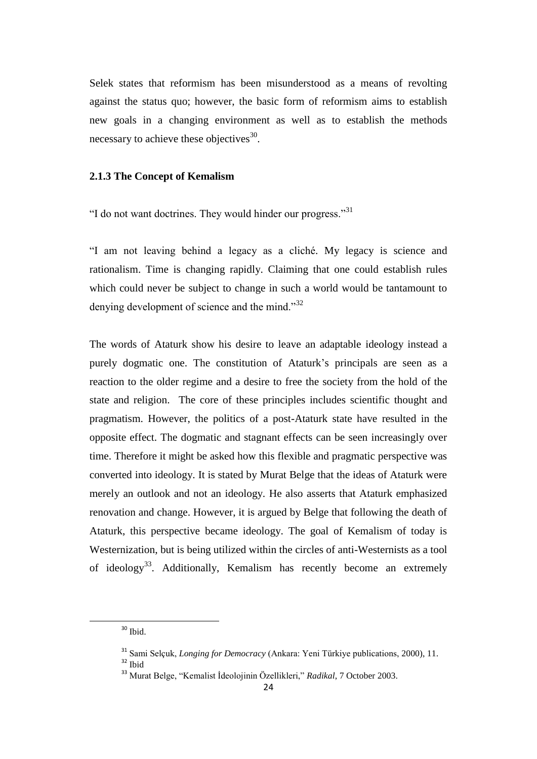Selek states that reformism has been misunderstood as a means of revolting against the status quo; however, the basic form of reformism aims to establish new goals in a changing environment as well as to establish the methods necessary to achieve these objectives $^{30}$ .

## **2.1.3 The Concept of Kemalism**

"I do not want doctrines. They would hinder our progress."<sup>31</sup>

"I am not leaving behind a legacy as a cliché. My legacy is science and rationalism. Time is changing rapidly. Claiming that one could establish rules which could never be subject to change in such a world would be tantamount to denying development of science and the mind."<sup>32</sup>

The words of Ataturk show his desire to leave an adaptable ideology instead a purely dogmatic one. The constitution of Ataturk's principals are seen as a reaction to the older regime and a desire to free the society from the hold of the state and religion. The core of these principles includes scientific thought and pragmatism. However, the politics of a post-Ataturk state have resulted in the opposite effect. The dogmatic and stagnant effects can be seen increasingly over time. Therefore it might be asked how this flexible and pragmatic perspective was converted into ideology. It is stated by Murat Belge that the ideas of Ataturk were merely an outlook and not an ideology. He also asserts that Ataturk emphasized renovation and change. However, it is argued by Belge that following the death of Ataturk, this perspective became ideology. The goal of Kemalism of today is Westernization, but is being utilized within the circles of anti-Westernists as a tool of ideology<sup>33</sup>. Additionally, Kemalism has recently become an extremely

<sup>30</sup> Ibid.

<sup>31</sup> Sami Selçuk, *Longing for Democracy* (Ankara: Yeni Türkiye publications, 2000), 11. <sup>32</sup> Ibid

<sup>33</sup> Murat Belge, "Kemalist İdeolojinin Özellikleri," *Radikal*, 7 October 2003.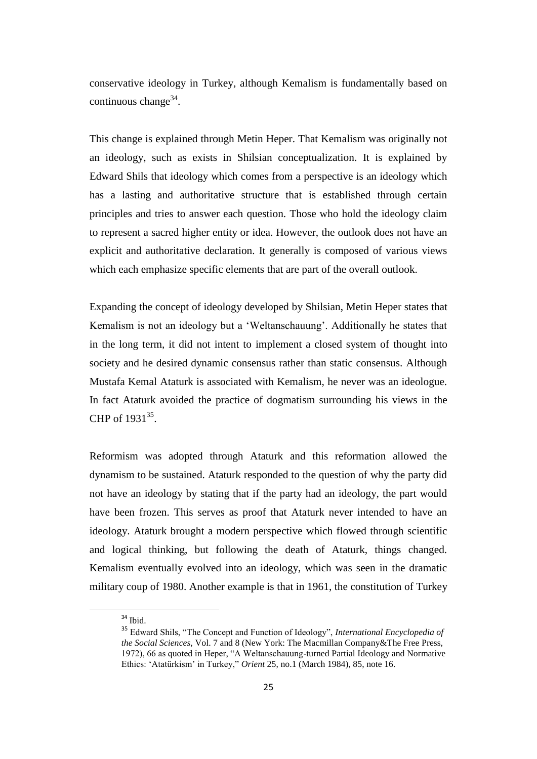conservative ideology in Turkey, although Kemalism is fundamentally based on continuous change $34$ .

This change is explained through Metin Heper. That Kemalism was originally not an ideology, such as exists in Shilsian conceptualization. It is explained by Edward Shils that ideology which comes from a perspective is an ideology which has a lasting and authoritative structure that is established through certain principles and tries to answer each question. Those who hold the ideology claim to represent a sacred higher entity or idea. However, the outlook does not have an explicit and authoritative declaration. It generally is composed of various views which each emphasize specific elements that are part of the overall outlook.

Expanding the concept of ideology developed by Shilsian, Metin Heper states that Kemalism is not an ideology but a "Weltanschauung". Additionally he states that in the long term, it did not intent to implement a closed system of thought into society and he desired dynamic consensus rather than static consensus. Although Mustafa Kemal Ataturk is associated with Kemalism, he never was an ideologue. In fact Ataturk avoided the practice of dogmatism surrounding his views in the CHP of  $1931^{35}$ .

Reformism was adopted through Ataturk and this reformation allowed the dynamism to be sustained. Ataturk responded to the question of why the party did not have an ideology by stating that if the party had an ideology, the part would have been frozen. This serves as proof that Ataturk never intended to have an ideology. Ataturk brought a modern perspective which flowed through scientific and logical thinking, but following the death of Ataturk, things changed. Kemalism eventually evolved into an ideology, which was seen in the dramatic military coup of 1980. Another example is that in 1961, the constitution of Turkey

<sup>&</sup>lt;sup>34</sup> Ibid.

<sup>35</sup> Edward Shils, "The Concept and Function of Ideology", *International Encyclopedia of the Social Sciences,* Vol. 7 and 8 (New York: The Macmillan Company&The Free Press, 1972), 66 as quoted in Heper, "A Weltanschauung-turned Partial Ideology and Normative Ethics: "Atatürkism" in Turkey," *Orient* 25, no.1 (March 1984), 85, note 16.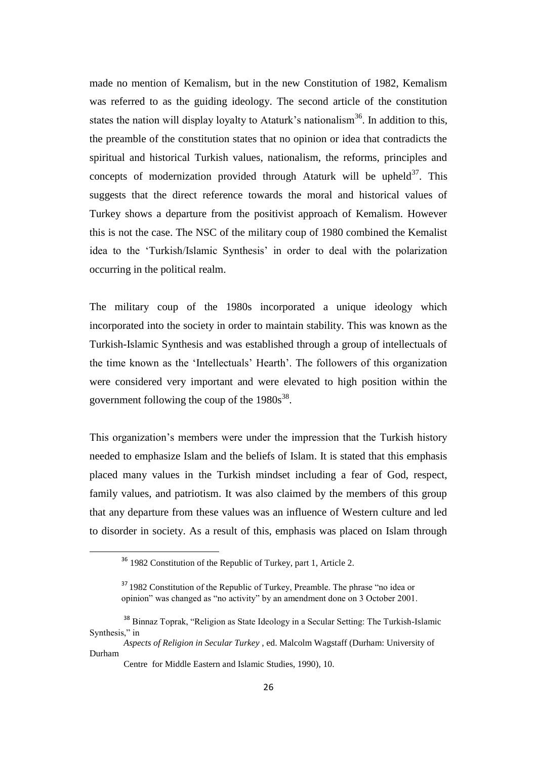made no mention of Kemalism, but in the new Constitution of 1982, Kemalism was referred to as the guiding ideology. The second article of the constitution states the nation will display loyalty to Ataturk's nationalism<sup>36</sup>. In addition to this, the preamble of the constitution states that no opinion or idea that contradicts the spiritual and historical Turkish values, nationalism, the reforms, principles and concepts of modernization provided through Ataturk will be upheld $37$ . This suggests that the direct reference towards the moral and historical values of Turkey shows a departure from the positivist approach of Kemalism. However this is not the case. The NSC of the military coup of 1980 combined the Kemalist idea to the "Turkish/Islamic Synthesis" in order to deal with the polarization occurring in the political realm.

The military coup of the 1980s incorporated a unique ideology which incorporated into the society in order to maintain stability. This was known as the Turkish-Islamic Synthesis and was established through a group of intellectuals of the time known as the "Intellectuals" Hearth". The followers of this organization were considered very important and were elevated to high position within the government following the coup of the  $1980s^{38}$ .

This organization"s members were under the impression that the Turkish history needed to emphasize Islam and the beliefs of Islam. It is stated that this emphasis placed many values in the Turkish mindset including a fear of God, respect, family values, and patriotism. It was also claimed by the members of this group that any departure from these values was an influence of Western culture and led to disorder in society. As a result of this, emphasis was placed on Islam through

<sup>36</sup> 1982 Constitution of the Republic of Turkey, part 1, Article 2.

<sup>&</sup>lt;sup>37</sup> 1982 Constitution of the Republic of Turkey, Preamble. The phrase "no idea or opinion" was changed as "no activity" by an amendment done on 3 October 2001.

<sup>38</sup> Binnaz Toprak, "Religion as State Ideology in a Secular Setting: The Turkish-Islamic Synthesis," in

*Aspects of Religion in Secular Turkey* , ed. Malcolm Wagstaff (Durham: University of Durham

Centre for Middle Eastern and Islamic Studies, 1990), 10.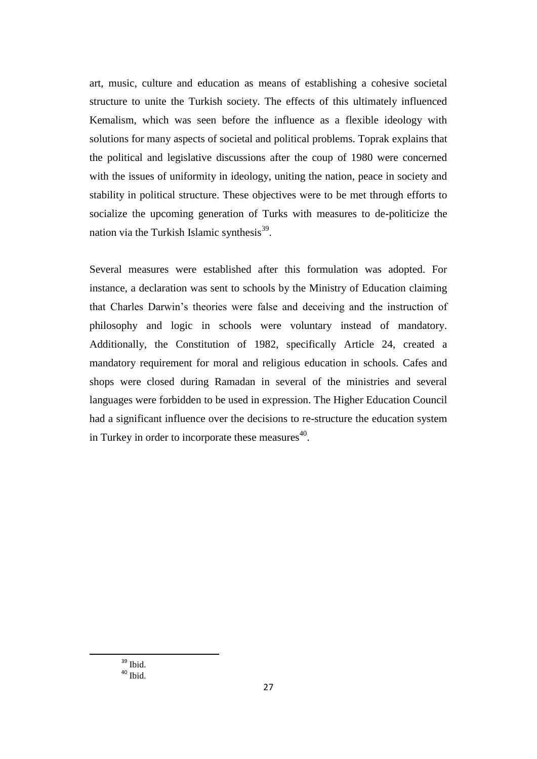art, music, culture and education as means of establishing a cohesive societal structure to unite the Turkish society. The effects of this ultimately influenced Kemalism, which was seen before the influence as a flexible ideology with solutions for many aspects of societal and political problems. Toprak explains that the political and legislative discussions after the coup of 1980 were concerned with the issues of uniformity in ideology, uniting the nation, peace in society and stability in political structure. These objectives were to be met through efforts to socialize the upcoming generation of Turks with measures to de-politicize the nation via the Turkish Islamic synthesis<sup>39</sup>.

Several measures were established after this formulation was adopted. For instance, a declaration was sent to schools by the Ministry of Education claiming that Charles Darwin"s theories were false and deceiving and the instruction of philosophy and logic in schools were voluntary instead of mandatory. Additionally, the Constitution of 1982, specifically Article 24, created a mandatory requirement for moral and religious education in schools. Cafes and shops were closed during Ramadan in several of the ministries and several languages were forbidden to be used in expression. The Higher Education Council had a significant influence over the decisions to re-structure the education system in Turkey in order to incorporate these measures $^{40}$ .

<sup>39</sup> Ibid.  $40$  Ibid.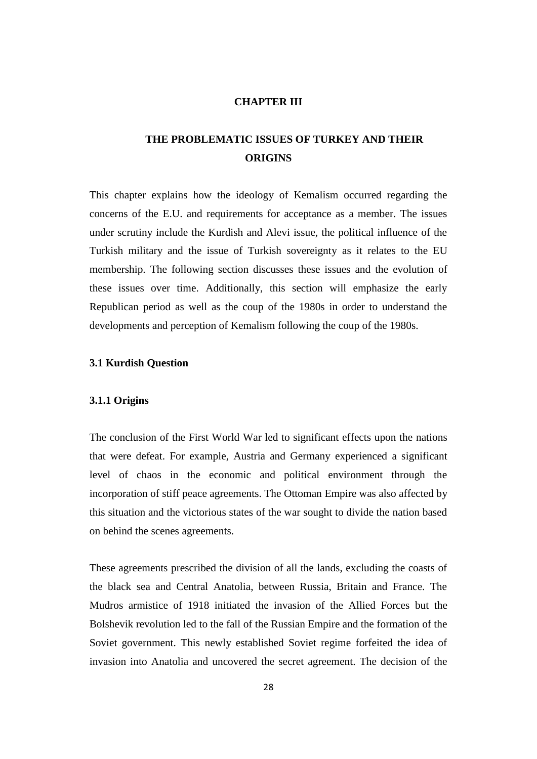## **CHAPTER III**

## **THE PROBLEMATIC ISSUES OF TURKEY AND THEIR ORIGINS**

This chapter explains how the ideology of Kemalism occurred regarding the concerns of the E.U. and requirements for acceptance as a member. The issues under scrutiny include the Kurdish and Alevi issue, the political influence of the Turkish military and the issue of Turkish sovereignty as it relates to the EU membership. The following section discusses these issues and the evolution of these issues over time. Additionally, this section will emphasize the early Republican period as well as the coup of the 1980s in order to understand the developments and perception of Kemalism following the coup of the 1980s.

## **3.1 Kurdish Question**

## **3.1.1 Origins**

The conclusion of the First World War led to significant effects upon the nations that were defeat. For example, Austria and Germany experienced a significant level of chaos in the economic and political environment through the incorporation of stiff peace agreements. The Ottoman Empire was also affected by this situation and the victorious states of the war sought to divide the nation based on behind the scenes agreements.

These agreements prescribed the division of all the lands, excluding the coasts of the black sea and Central Anatolia, between Russia, Britain and France. The Mudros armistice of 1918 initiated the invasion of the Allied Forces but the Bolshevik revolution led to the fall of the Russian Empire and the formation of the Soviet government. This newly established Soviet regime forfeited the idea of invasion into Anatolia and uncovered the secret agreement. The decision of the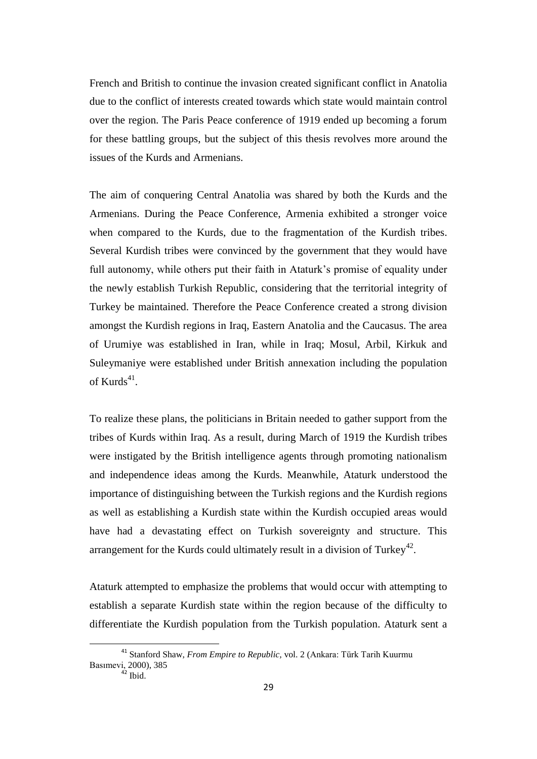French and British to continue the invasion created significant conflict in Anatolia due to the conflict of interests created towards which state would maintain control over the region. The Paris Peace conference of 1919 ended up becoming a forum for these battling groups, but the subject of this thesis revolves more around the issues of the Kurds and Armenians.

The aim of conquering Central Anatolia was shared by both the Kurds and the Armenians. During the Peace Conference, Armenia exhibited a stronger voice when compared to the Kurds, due to the fragmentation of the Kurdish tribes. Several Kurdish tribes were convinced by the government that they would have full autonomy, while others put their faith in Ataturk's promise of equality under the newly establish Turkish Republic, considering that the territorial integrity of Turkey be maintained. Therefore the Peace Conference created a strong division amongst the Kurdish regions in Iraq, Eastern Anatolia and the Caucasus. The area of Urumiye was established in Iran, while in Iraq; Mosul, Arbil, Kirkuk and Suleymaniye were established under British annexation including the population of Kurds $41$ .

To realize these plans, the politicians in Britain needed to gather support from the tribes of Kurds within Iraq. As a result, during March of 1919 the Kurdish tribes were instigated by the British intelligence agents through promoting nationalism and independence ideas among the Kurds. Meanwhile, Ataturk understood the importance of distinguishing between the Turkish regions and the Kurdish regions as well as establishing a Kurdish state within the Kurdish occupied areas would have had a devastating effect on Turkish sovereignty and structure. This arrangement for the Kurds could ultimately result in a division of Turkey<sup>42</sup>.

Ataturk attempted to emphasize the problems that would occur with attempting to establish a separate Kurdish state within the region because of the difficulty to differentiate the Kurdish population from the Turkish population. Ataturk sent a

<sup>41</sup> Stanford Shaw, *From Empire to Republic,* vol. 2 (Ankara: Türk Tarih Kuurmu Basımevi, 2000), 385

 $42$  Ibid.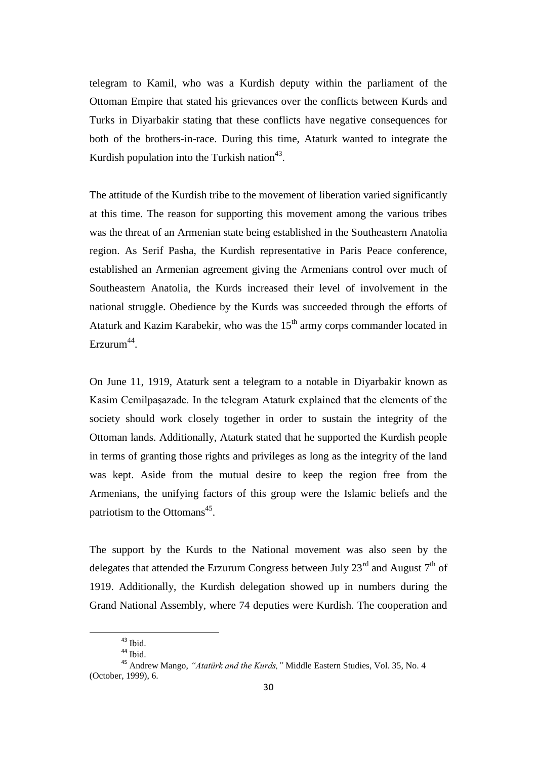telegram to Kamil, who was a Kurdish deputy within the parliament of the Ottoman Empire that stated his grievances over the conflicts between Kurds and Turks in Diyarbakir stating that these conflicts have negative consequences for both of the brothers-in-race. During this time, Ataturk wanted to integrate the Kurdish population into the Turkish nation<sup>43</sup>.

The attitude of the Kurdish tribe to the movement of liberation varied significantly at this time. The reason for supporting this movement among the various tribes was the threat of an Armenian state being established in the Southeastern Anatolia region. As Serif Pasha, the Kurdish representative in Paris Peace conference, established an Armenian agreement giving the Armenians control over much of Southeastern Anatolia, the Kurds increased their level of involvement in the national struggle. Obedience by the Kurds was succeeded through the efforts of Ataturk and Kazim Karabekir, who was the  $15<sup>th</sup>$  army corps commander located in  $E$ rzurum<sup>44</sup>.

On June 11, 1919, Ataturk sent a telegram to a notable in Diyarbakir known as Kasim Cemilpaşazade. In the telegram Ataturk explained that the elements of the society should work closely together in order to sustain the integrity of the Ottoman lands. Additionally, Ataturk stated that he supported the Kurdish people in terms of granting those rights and privileges as long as the integrity of the land was kept. Aside from the mutual desire to keep the region free from the Armenians, the unifying factors of this group were the Islamic beliefs and the patriotism to the Ottomans<sup>45</sup>.

The support by the Kurds to the National movement was also seen by the delegates that attended the Erzurum Congress between July  $23^{\text{rd}}$  and August  $7^{\text{th}}$  of 1919. Additionally, the Kurdish delegation showed up in numbers during the Grand National Assembly, where 74 deputies were Kurdish. The cooperation and

<sup>43</sup> Ibid.

<sup>&</sup>lt;sup>44</sup> Ibid.

<sup>45</sup> Andrew Mango, *"Atatürk and the Kurds,"* Middle Eastern Studies, Vol. 35, No. 4 (October, 1999), 6.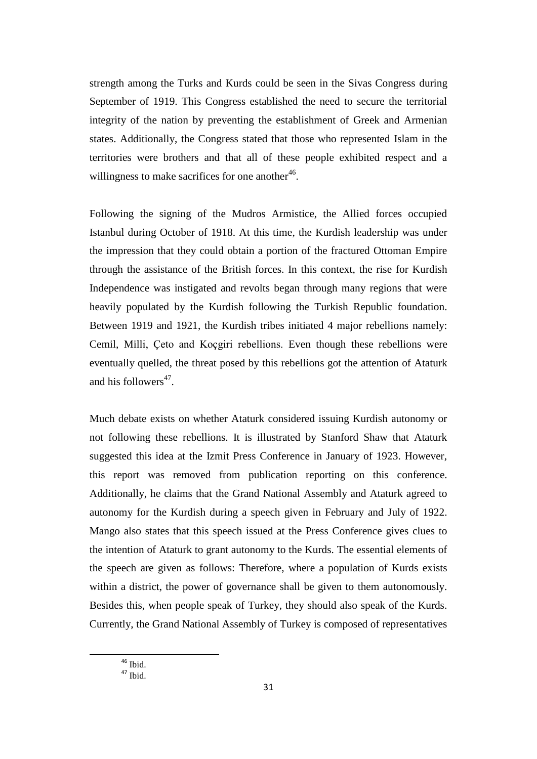strength among the Turks and Kurds could be seen in the Sivas Congress during September of 1919. This Congress established the need to secure the territorial integrity of the nation by preventing the establishment of Greek and Armenian states. Additionally, the Congress stated that those who represented Islam in the territories were brothers and that all of these people exhibited respect and a willingness to make sacrifices for one another $46$ .

Following the signing of the Mudros Armistice, the Allied forces occupied Istanbul during October of 1918. At this time, the Kurdish leadership was under the impression that they could obtain a portion of the fractured Ottoman Empire through the assistance of the British forces. In this context, the rise for Kurdish Independence was instigated and revolts began through many regions that were heavily populated by the Kurdish following the Turkish Republic foundation. Between 1919 and 1921, the Kurdish tribes initiated 4 major rebellions namely: Cemil, Milli, Çeto and Koçgiri rebellions. Even though these rebellions were eventually quelled, the threat posed by this rebellions got the attention of Ataturk and his followers<sup>47</sup>.

Much debate exists on whether Ataturk considered issuing Kurdish autonomy or not following these rebellions. It is illustrated by Stanford Shaw that Ataturk suggested this idea at the Izmit Press Conference in January of 1923. However, this report was removed from publication reporting on this conference. Additionally, he claims that the Grand National Assembly and Ataturk agreed to autonomy for the Kurdish during a speech given in February and July of 1922. Mango also states that this speech issued at the Press Conference gives clues to the intention of Ataturk to grant autonomy to the Kurds. The essential elements of the speech are given as follows: Therefore, where a population of Kurds exists within a district, the power of governance shall be given to them autonomously. Besides this, when people speak of Turkey, they should also speak of the Kurds. Currently, the Grand National Assembly of Turkey is composed of representatives

<sup>46</sup> Ibid.  $47$  Ibid.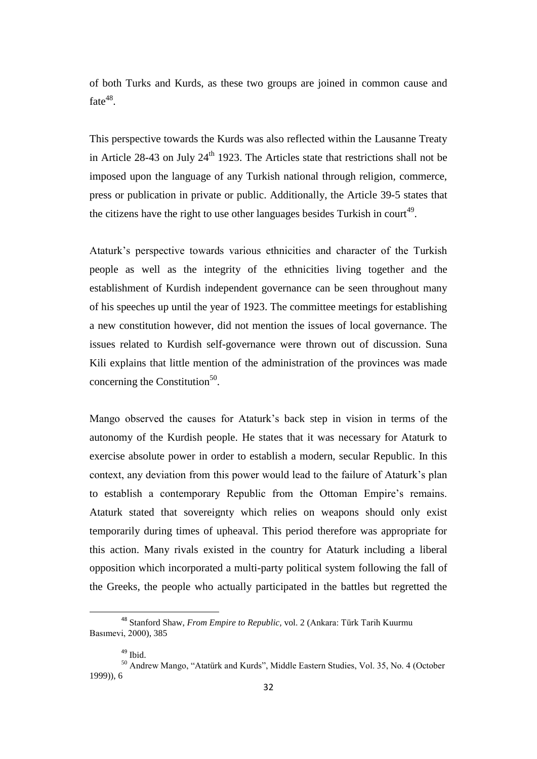of both Turks and Kurds, as these two groups are joined in common cause and fate $48$ .

This perspective towards the Kurds was also reflected within the Lausanne Treaty in Article 28-43 on July  $24<sup>th</sup>$  1923. The Articles state that restrictions shall not be imposed upon the language of any Turkish national through religion, commerce, press or publication in private or public. Additionally, the Article 39-5 states that the citizens have the right to use other languages besides Turkish in court<sup>49</sup>.

Ataturk"s perspective towards various ethnicities and character of the Turkish people as well as the integrity of the ethnicities living together and the establishment of Kurdish independent governance can be seen throughout many of his speeches up until the year of 1923. The committee meetings for establishing a new constitution however, did not mention the issues of local governance. The issues related to Kurdish self-governance were thrown out of discussion. Suna Kili explains that little mention of the administration of the provinces was made concerning the Constitution<sup>50</sup>.

Mango observed the causes for Ataturk"s back step in vision in terms of the autonomy of the Kurdish people. He states that it was necessary for Ataturk to exercise absolute power in order to establish a modern, secular Republic. In this context, any deviation from this power would lead to the failure of Ataturk"s plan to establish a contemporary Republic from the Ottoman Empire's remains. Ataturk stated that sovereignty which relies on weapons should only exist temporarily during times of upheaval. This period therefore was appropriate for this action. Many rivals existed in the country for Ataturk including a liberal opposition which incorporated a multi-party political system following the fall of the Greeks, the people who actually participated in the battles but regretted the

<sup>48</sup> Stanford Shaw, *From Empire to Republic,* vol. 2 (Ankara: Türk Tarih Kuurmu Basımevi, 2000), 385

<sup>&</sup>lt;sup>49</sup> Ibid.

<sup>50</sup> Andrew Mango, "Atatürk and Kurds", Middle Eastern Studies, Vol. 35, No. 4 (October 1999)), 6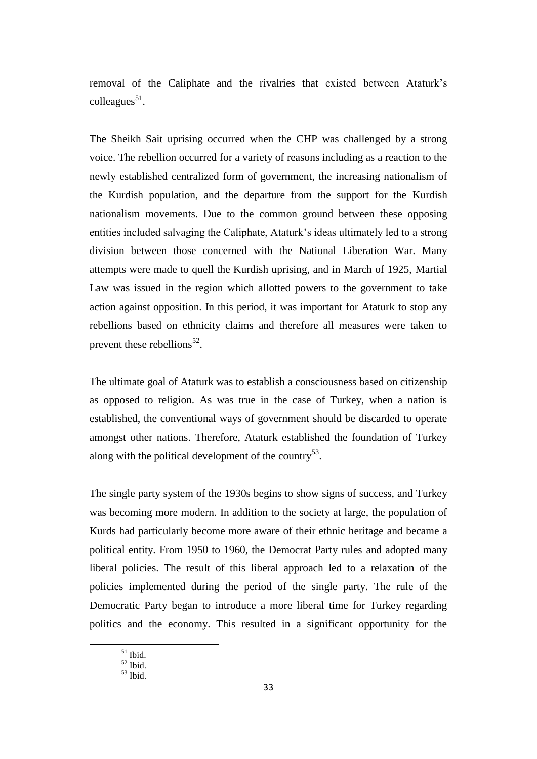removal of the Caliphate and the rivalries that existed between Ataturk"s colleagues<sup>51</sup>.

The Sheikh Sait uprising occurred when the CHP was challenged by a strong voice. The rebellion occurred for a variety of reasons including as a reaction to the newly established centralized form of government, the increasing nationalism of the Kurdish population, and the departure from the support for the Kurdish nationalism movements. Due to the common ground between these opposing entities included salvaging the Caliphate, Ataturk"s ideas ultimately led to a strong division between those concerned with the National Liberation War. Many attempts were made to quell the Kurdish uprising, and in March of 1925, Martial Law was issued in the region which allotted powers to the government to take action against opposition. In this period, it was important for Ataturk to stop any rebellions based on ethnicity claims and therefore all measures were taken to prevent these rebellions<sup>52</sup>.

The ultimate goal of Ataturk was to establish a consciousness based on citizenship as opposed to religion. As was true in the case of Turkey, when a nation is established, the conventional ways of government should be discarded to operate amongst other nations. Therefore, Ataturk established the foundation of Turkey along with the political development of the country<sup>53</sup>.

The single party system of the 1930s begins to show signs of success, and Turkey was becoming more modern. In addition to the society at large, the population of Kurds had particularly become more aware of their ethnic heritage and became a political entity. From 1950 to 1960, the Democrat Party rules and adopted many liberal policies. The result of this liberal approach led to a relaxation of the policies implemented during the period of the single party. The rule of the Democratic Party began to introduce a more liberal time for Turkey regarding politics and the economy. This resulted in a significant opportunity for the

 $^{\rm 51}$  Ibid.

<sup>52</sup> Ibid.

 $53$  Ibid.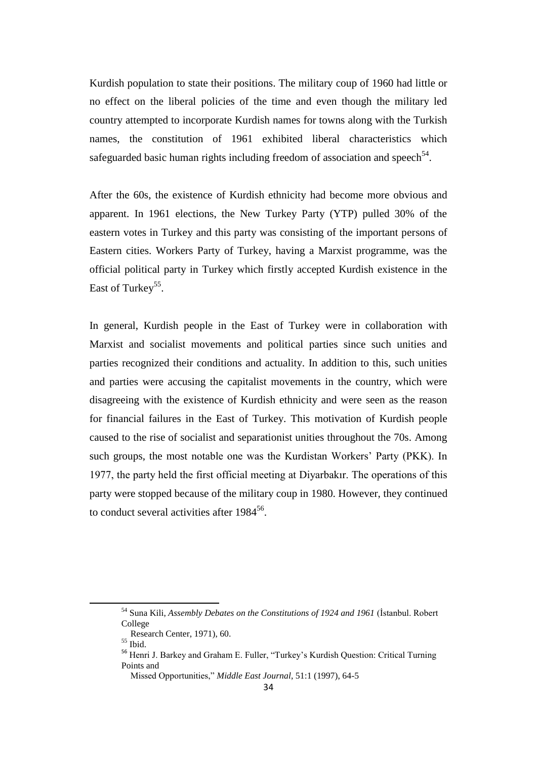Kurdish population to state their positions. The military coup of 1960 had little or no effect on the liberal policies of the time and even though the military led country attempted to incorporate Kurdish names for towns along with the Turkish names, the constitution of 1961 exhibited liberal characteristics which safeguarded basic human rights including freedom of association and speech<sup>54</sup>.

After the 60s, the existence of Kurdish ethnicity had become more obvious and apparent. In 1961 elections, the New Turkey Party (YTP) pulled 30% of the eastern votes in Turkey and this party was consisting of the important persons of Eastern cities. Workers Party of Turkey, having a Marxist programme, was the official political party in Turkey which firstly accepted Kurdish existence in the East of Turkey<sup>55</sup>.

In general, Kurdish people in the East of Turkey were in collaboration with Marxist and socialist movements and political parties since such unities and parties recognized their conditions and actuality. In addition to this, such unities and parties were accusing the capitalist movements in the country, which were disagreeing with the existence of Kurdish ethnicity and were seen as the reason for financial failures in the East of Turkey. This motivation of Kurdish people caused to the rise of socialist and separationist unities throughout the 70s. Among such groups, the most notable one was the Kurdistan Workers' Party (PKK). In 1977, the party held the first official meeting at Diyarbakır. The operations of this party were stopped because of the military coup in 1980. However, they continued to conduct several activities after 1984<sup>56</sup>.

<sup>54</sup> Suna Kili, *Assembly Debates on the Constitutions of 1924 and 1961* (İstanbul. Robert College

Research Center, 1971), 60.

<sup>55</sup> Ibid.

<sup>&</sup>lt;sup>56</sup> Henri J. Barkey and Graham E. Fuller, "Turkey's Kurdish Question: Critical Turning Points and

Missed Opportunities," *Middle East Journal*, 51:1 (1997), 64-5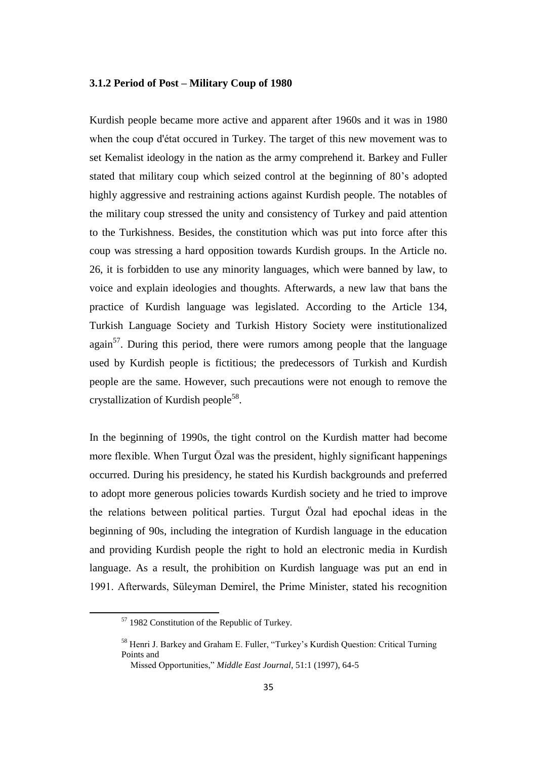## **3.1.2 Period of Post – Military Coup of 1980**

Kurdish people became more active and apparent after 1960s and it was in 1980 when the coup d'état occured in Turkey. The target of this new movement was to set Kemalist ideology in the nation as the army comprehend it. Barkey and Fuller stated that military coup which seized control at the beginning of 80"s adopted highly aggressive and restraining actions against Kurdish people. The notables of the military coup stressed the unity and consistency of Turkey and paid attention to the Turkishness. Besides, the constitution which was put into force after this coup was stressing a hard opposition towards Kurdish groups. In the Article no. 26, it is forbidden to use any minority languages, which were banned by law, to voice and explain ideologies and thoughts. Afterwards, a new law that bans the practice of Kurdish language was legislated. According to the Article 134, Turkish Language Society and Turkish History Society were institutionalized  $again<sup>57</sup>$ . During this period, there were rumors among people that the language used by Kurdish people is fictitious; the predecessors of Turkish and Kurdish people are the same. However, such precautions were not enough to remove the crystallization of Kurdish people<sup>58</sup>.

In the beginning of 1990s, the tight control on the Kurdish matter had become more flexible. When Turgut Özal was the president, highly significant happenings occurred. During his presidency, he stated his Kurdish backgrounds and preferred to adopt more generous policies towards Kurdish society and he tried to improve the relations between political parties. Turgut Özal had epochal ideas in the beginning of 90s, including the integration of Kurdish language in the education and providing Kurdish people the right to hold an electronic media in Kurdish language. As a result, the prohibition on Kurdish language was put an end in 1991. Afterwards, Süleyman Demirel, the Prime Minister, stated his recognition

<sup>57</sup> 1982 Constitution of the Republic of Turkey.

<sup>&</sup>lt;sup>58</sup> Henri J. Barkey and Graham E. Fuller, "Turkey's Kurdish Question: Critical Turning Points and

Missed Opportunities," *Middle East Journal*, 51:1 (1997), 64-5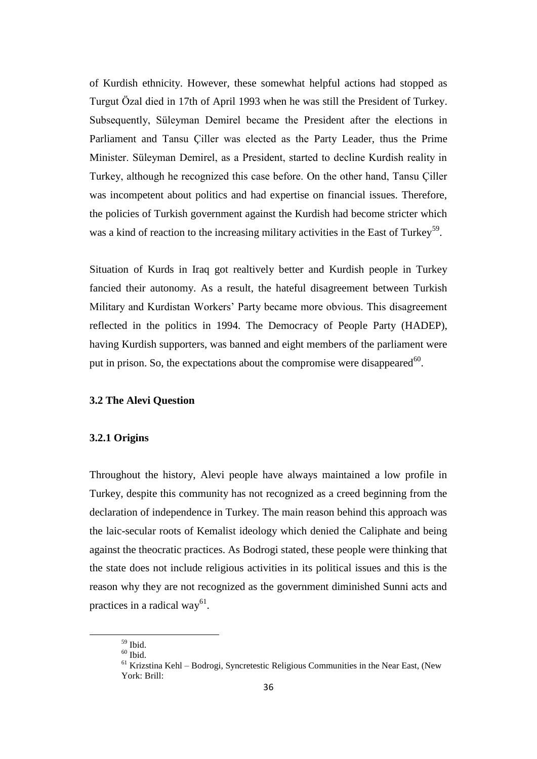of Kurdish ethnicity. However, these somewhat helpful actions had stopped as Turgut Özal died in 17th of April 1993 when he was still the President of Turkey. Subsequently, Süleyman Demirel became the President after the elections in Parliament and Tansu Çiller was elected as the Party Leader, thus the Prime Minister. Süleyman Demirel, as a President, started to decline Kurdish reality in Turkey, although he recognized this case before. On the other hand, Tansu Çiller was incompetent about politics and had expertise on financial issues. Therefore, the policies of Turkish government against the Kurdish had become stricter which was a kind of reaction to the increasing military activities in the East of Turkey<sup>59</sup>.

Situation of Kurds in Iraq got realtively better and Kurdish people in Turkey fancied their autonomy. As a result, the hateful disagreement between Turkish Military and Kurdistan Workers" Party became more obvious. This disagreement reflected in the politics in 1994. The Democracy of People Party (HADEP), having Kurdish supporters, was banned and eight members of the parliament were put in prison. So, the expectations about the compromise were disappeared  $60$ .

## **3.2 The Alevi Question**

## **3.2.1 Origins**

Throughout the history, Alevi people have always maintained a low profile in Turkey, despite this community has not recognized as a creed beginning from the declaration of independence in Turkey. The main reason behind this approach was the laic-secular roots of Kemalist ideology which denied the Caliphate and being against the theocratic practices. As Bodrogi stated, these people were thinking that the state does not include religious activities in its political issues and this is the reason why they are not recognized as the government diminished Sunni acts and practices in a radical way<sup>61</sup>.

<sup>59</sup> Ibid.

 $60$  Ibid.

<sup>&</sup>lt;sup>61</sup> Krizstina Kehl – Bodrogi, Syncretestic Religious Communities in the Near East, (New York: Brill: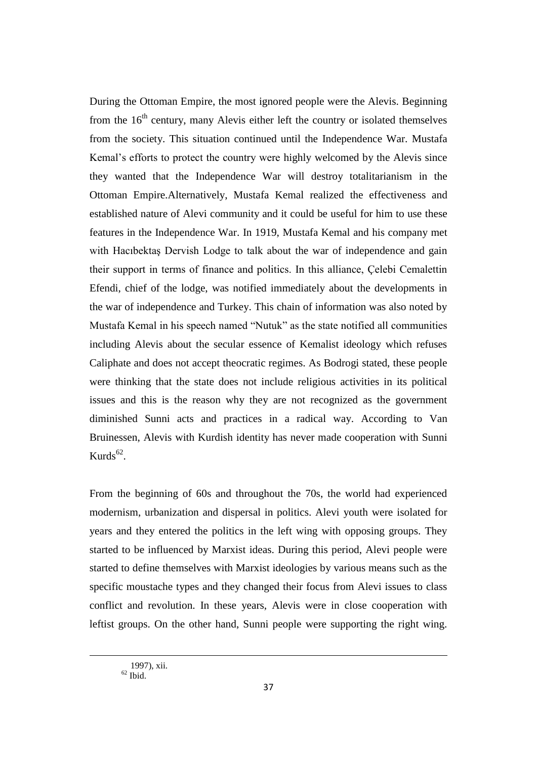During the Ottoman Empire, the most ignored people were the Alevis. Beginning from the  $16<sup>th</sup>$  century, many Alevis either left the country or isolated themselves from the society. This situation continued until the Independence War. Mustafa Kemal"s efforts to protect the country were highly welcomed by the Alevis since they wanted that the Independence War will destroy totalitarianism in the Ottoman Empire.Alternatively, Mustafa Kemal realized the effectiveness and established nature of Alevi community and it could be useful for him to use these features in the Independence War. In 1919, Mustafa Kemal and his company met with Hacıbektaş Dervish Lodge to talk about the war of independence and gain their support in terms of finance and politics. In this alliance, Çelebi Cemalettin Efendi, chief of the lodge, was notified immediately about the developments in the war of independence and Turkey. This chain of information was also noted by Mustafa Kemal in his speech named "Nutuk" as the state notified all communities including Alevis about the secular essence of Kemalist ideology which refuses Caliphate and does not accept theocratic regimes. As Bodrogi stated, these people were thinking that the state does not include religious activities in its political issues and this is the reason why they are not recognized as the government diminished Sunni acts and practices in a radical way. According to Van Bruinessen, Alevis with Kurdish identity has never made cooperation with Sunni  $Kurds<sup>62</sup>$ .

From the beginning of 60s and throughout the 70s, the world had experienced modernism, urbanization and dispersal in politics. Alevi youth were isolated for years and they entered the politics in the left wing with opposing groups. They started to be influenced by Marxist ideas. During this period, Alevi people were started to define themselves with Marxist ideologies by various means such as the specific moustache types and they changed their focus from Alevi issues to class conflict and revolution. In these years, Alevis were in close cooperation with leftist groups. On the other hand, Sunni people were supporting the right wing.

**.**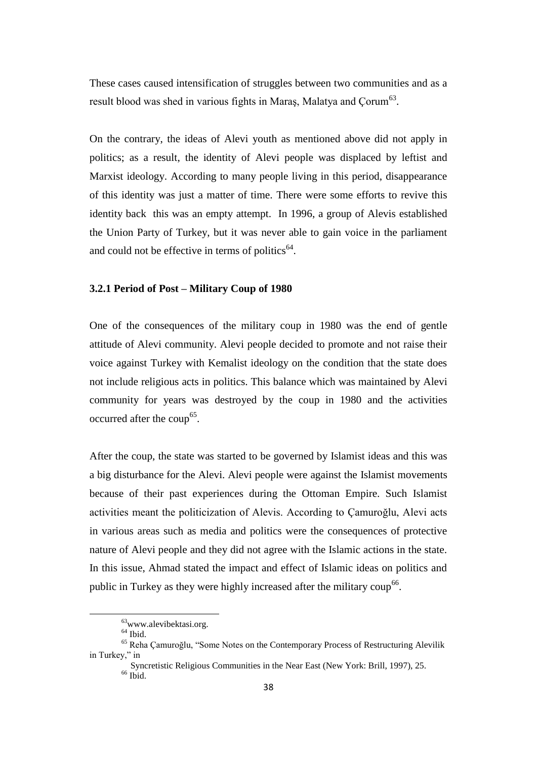These cases caused intensification of struggles between two communities and as a result blood was shed in various fights in Maras, Malatya and  $\text{Corum}^{63}$ .

On the contrary, the ideas of Alevi youth as mentioned above did not apply in politics; as a result, the identity of Alevi people was displaced by leftist and Marxist ideology. According to many people living in this period, disappearance of this identity was just a matter of time. There were some efforts to revive this identity back this was an empty attempt. In 1996, a group of Alevis established the Union Party of Turkey, but it was never able to gain voice in the parliament and could not be effective in terms of politics $<sup>64</sup>$ .</sup>

### **3.2.1 Period of Post – Military Coup of 1980**

One of the consequences of the military coup in 1980 was the end of gentle attitude of Alevi community. Alevi people decided to promote and not raise their voice against Turkey with Kemalist ideology on the condition that the state does not include religious acts in politics. This balance which was maintained by Alevi community for years was destroyed by the coup in 1980 and the activities occurred after the coup<sup>65</sup>.

After the coup, the state was started to be governed by Islamist ideas and this was a big disturbance for the Alevi. Alevi people were against the Islamist movements because of their past experiences during the Ottoman Empire. Such Islamist activities meant the politicization of Alevis. According to Çamuroğlu, Alevi acts in various areas such as media and politics were the consequences of protective nature of Alevi people and they did not agree with the Islamic actions in the state. In this issue, Ahmad stated the impact and effect of Islamic ideas on politics and public in Turkey as they were highly increased after the military coup<sup>66</sup>.

 $63$ www.alevibektasi.org.

 $<sup>64</sup>$  Ibid.</sup>

<sup>65</sup> Reha Çamuroğlu, "Some Notes on the Contemporary Process of Restructuring Alevilik in Turkey," in

Syncretistic Religious Communities in the Near East (New York: Brill, 1997), 25.  $66$  Ibid.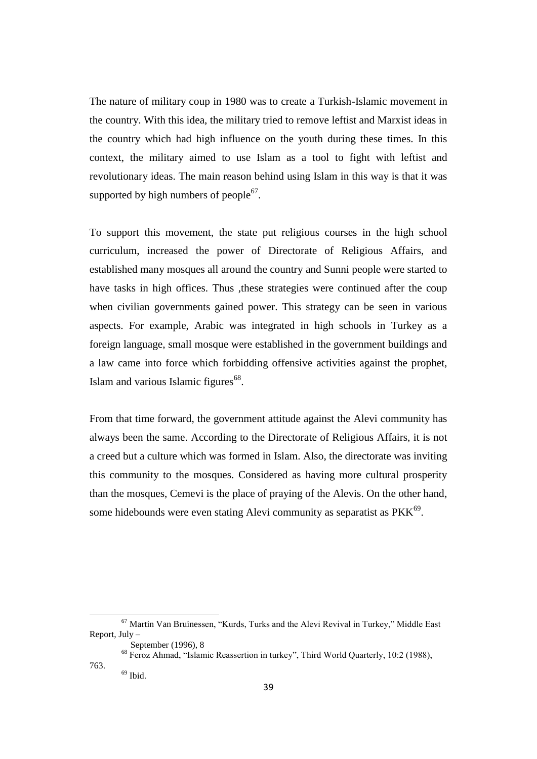The nature of military coup in 1980 was to create a Turkish-Islamic movement in the country. With this idea, the military tried to remove leftist and Marxist ideas in the country which had high influence on the youth during these times. In this context, the military aimed to use Islam as a tool to fight with leftist and revolutionary ideas. The main reason behind using Islam in this way is that it was supported by high numbers of people $67$ .

To support this movement, the state put religious courses in the high school curriculum, increased the power of Directorate of Religious Affairs, and established many mosques all around the country and Sunni people were started to have tasks in high offices. Thus , these strategies were continued after the coup when civilian governments gained power. This strategy can be seen in various aspects. For example, Arabic was integrated in high schools in Turkey as a foreign language, small mosque were established in the government buildings and a law came into force which forbidding offensive activities against the prophet, Islam and various Islamic figures $68$ .

From that time forward, the government attitude against the Alevi community has always been the same. According to the Directorate of Religious Affairs, it is not a creed but a culture which was formed in Islam. Also, the directorate was inviting this community to the mosques. Considered as having more cultural prosperity than the mosques, Cemevi is the place of praying of the Alevis. On the other hand, some hidebounds were even stating Alevi community as separatist as  $PKK<sup>69</sup>$ .

 $\ddot{\phantom{a}}$ 

763.

<sup>67</sup> Martin Van Bruinessen, "Kurds, Turks and the Alevi Revival in Turkey," Middle East Report, July –

September (1996), 8

<sup>68</sup> Feroz Ahmad, "Islamic Reassertion in turkey", Third World Quarterly, 10:2 (1988),

 $69$  Ibid.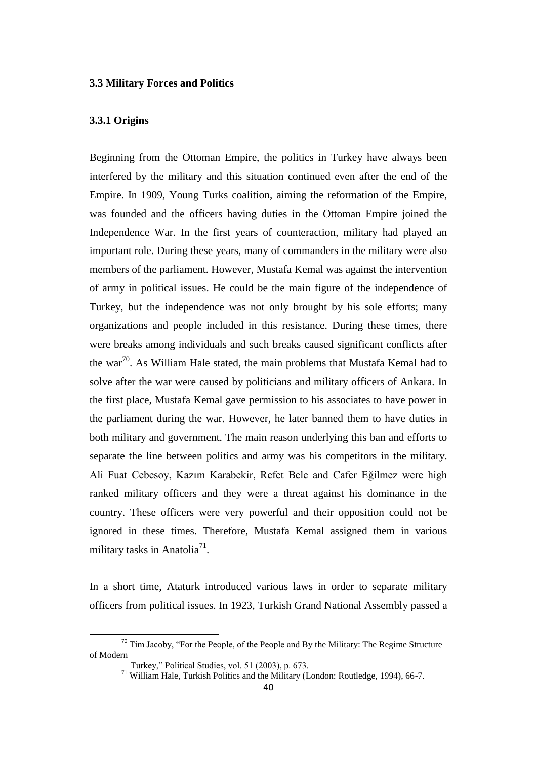# **3.3 Military Forces and Politics**

#### **3.3.1 Origins**

Beginning from the Ottoman Empire, the politics in Turkey have always been interfered by the military and this situation continued even after the end of the Empire. In 1909, Young Turks coalition, aiming the reformation of the Empire, was founded and the officers having duties in the Ottoman Empire joined the Independence War. In the first years of counteraction, military had played an important role. During these years, many of commanders in the military were also members of the parliament. However, Mustafa Kemal was against the intervention of army in political issues. He could be the main figure of the independence of Turkey, but the independence was not only brought by his sole efforts; many organizations and people included in this resistance. During these times, there were breaks among individuals and such breaks caused significant conflicts after the war<sup>70</sup>. As William Hale stated, the main problems that Mustafa Kemal had to solve after the war were caused by politicians and military officers of Ankara. In the first place, Mustafa Kemal gave permission to his associates to have power in the parliament during the war. However, he later banned them to have duties in both military and government. The main reason underlying this ban and efforts to separate the line between politics and army was his competitors in the military. Ali Fuat Cebesoy, Kazım Karabekir, Refet Bele and Cafer Eğilmez were high ranked military officers and they were a threat against his dominance in the country. These officers were very powerful and their opposition could not be ignored in these times. Therefore, Mustafa Kemal assigned them in various military tasks in Anatolia<sup>71</sup>.

In a short time, Ataturk introduced various laws in order to separate military officers from political issues. In 1923, Turkish Grand National Assembly passed a

<sup>&</sup>lt;sup>70</sup> Tim Jacoby, "For the People, of the People and By the Military: The Regime Structure of Modern

Turkey," Political Studies, vol. 51 (2003), p. 673.

 $71$  William Hale, Turkish Politics and the Military (London: Routledge, 1994), 66-7.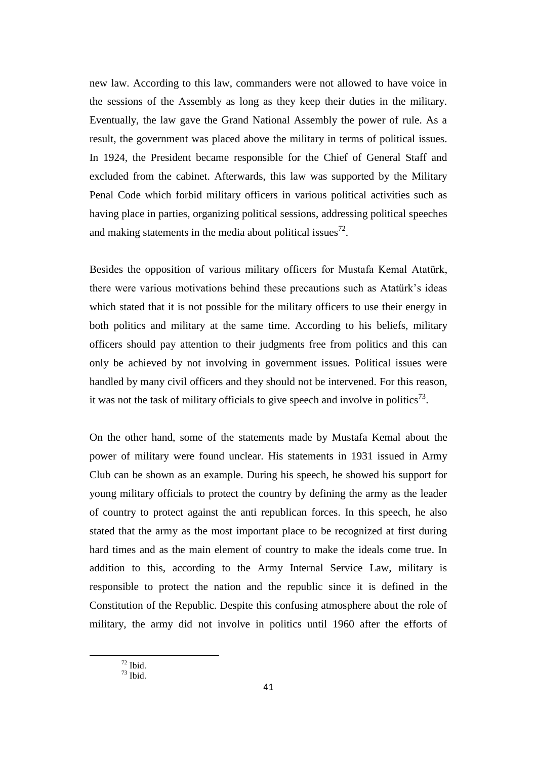new law. According to this law, commanders were not allowed to have voice in the sessions of the Assembly as long as they keep their duties in the military. Eventually, the law gave the Grand National Assembly the power of rule. As a result, the government was placed above the military in terms of political issues. In 1924, the President became responsible for the Chief of General Staff and excluded from the cabinet. Afterwards, this law was supported by the Military Penal Code which forbid military officers in various political activities such as having place in parties, organizing political sessions, addressing political speeches and making statements in the media about political issues<sup>72</sup>.

Besides the opposition of various military officers for Mustafa Kemal Atatürk, there were various motivations behind these precautions such as Atatürk"s ideas which stated that it is not possible for the military officers to use their energy in both politics and military at the same time. According to his beliefs, military officers should pay attention to their judgments free from politics and this can only be achieved by not involving in government issues. Political issues were handled by many civil officers and they should not be intervened. For this reason, it was not the task of military officials to give speech and involve in politics<sup>73</sup>.

On the other hand, some of the statements made by Mustafa Kemal about the power of military were found unclear. His statements in 1931 issued in Army Club can be shown as an example. During his speech, he showed his support for young military officials to protect the country by defining the army as the leader of country to protect against the anti republican forces. In this speech, he also stated that the army as the most important place to be recognized at first during hard times and as the main element of country to make the ideals come true. In addition to this, according to the Army Internal Service Law, military is responsible to protect the nation and the republic since it is defined in the Constitution of the Republic. Despite this confusing atmosphere about the role of military, the army did not involve in politics until 1960 after the efforts of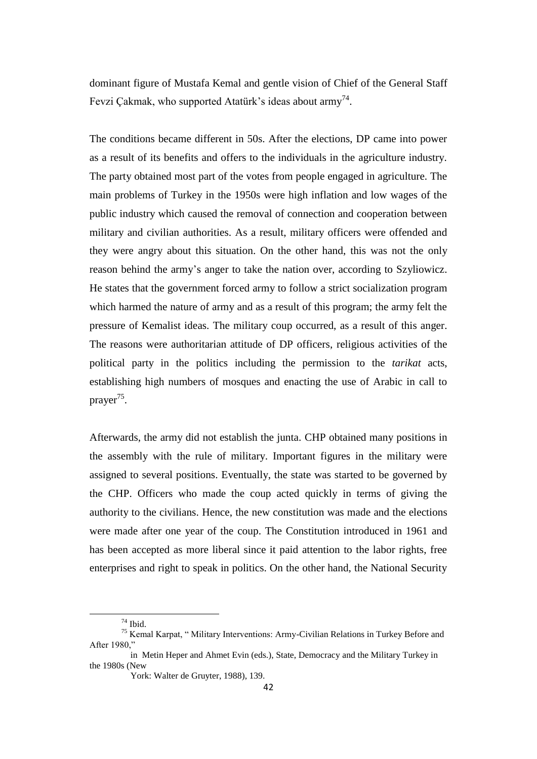dominant figure of Mustafa Kemal and gentle vision of Chief of the General Staff Fevzi Çakmak, who supported Atatürk's ideas about army<sup>74</sup>.

The conditions became different in 50s. After the elections, DP came into power as a result of its benefits and offers to the individuals in the agriculture industry. The party obtained most part of the votes from people engaged in agriculture. The main problems of Turkey in the 1950s were high inflation and low wages of the public industry which caused the removal of connection and cooperation between military and civilian authorities. As a result, military officers were offended and they were angry about this situation. On the other hand, this was not the only reason behind the army's anger to take the nation over, according to Szyliowicz. He states that the government forced army to follow a strict socialization program which harmed the nature of army and as a result of this program; the army felt the pressure of Kemalist ideas. The military coup occurred, as a result of this anger. The reasons were authoritarian attitude of DP officers, religious activities of the political party in the politics including the permission to the *tarikat* acts, establishing high numbers of mosques and enacting the use of Arabic in call to prayer<sup>75</sup>.

Afterwards, the army did not establish the junta. CHP obtained many positions in the assembly with the rule of military. Important figures in the military were assigned to several positions. Eventually, the state was started to be governed by the CHP. Officers who made the coup acted quickly in terms of giving the authority to the civilians. Hence, the new constitution was made and the elections were made after one year of the coup. The Constitution introduced in 1961 and has been accepted as more liberal since it paid attention to the labor rights, free enterprises and right to speak in politics. On the other hand, the National Security

 $74$  Ibid.

<sup>75</sup> Kemal Karpat, " Military Interventions: Army-Civilian Relations in Turkey Before and After 1980,"

in Metin Heper and Ahmet Evin (eds.), State, Democracy and the Military Turkey in the 1980s (New

York: Walter de Gruyter, 1988), 139.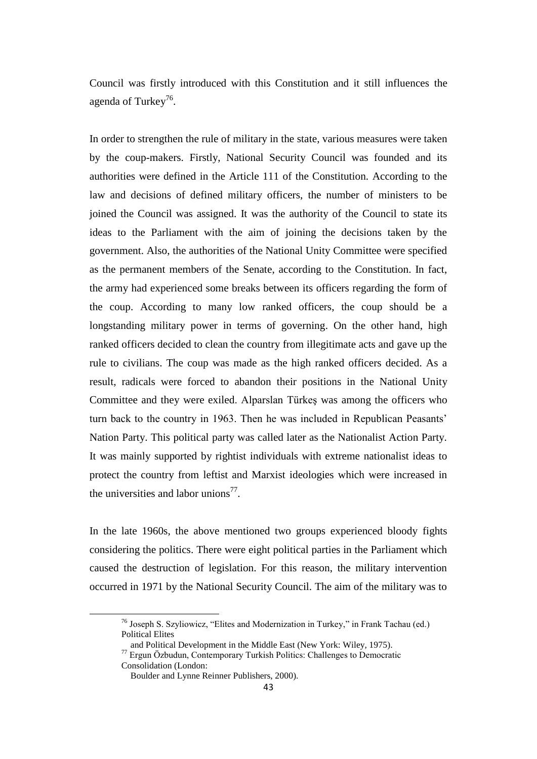Council was firstly introduced with this Constitution and it still influences the agenda of Turkey<sup>76</sup>.

In order to strengthen the rule of military in the state, various measures were taken by the coup-makers. Firstly, National Security Council was founded and its authorities were defined in the Article 111 of the Constitution. According to the law and decisions of defined military officers, the number of ministers to be joined the Council was assigned. It was the authority of the Council to state its ideas to the Parliament with the aim of joining the decisions taken by the government. Also, the authorities of the National Unity Committee were specified as the permanent members of the Senate, according to the Constitution. In fact, the army had experienced some breaks between its officers regarding the form of the coup. According to many low ranked officers, the coup should be a longstanding military power in terms of governing. On the other hand, high ranked officers decided to clean the country from illegitimate acts and gave up the rule to civilians. The coup was made as the high ranked officers decided. As a result, radicals were forced to abandon their positions in the National Unity Committee and they were exiled. Alparslan Türkeş was among the officers who turn back to the country in 1963. Then he was included in Republican Peasants" Nation Party. This political party was called later as the Nationalist Action Party. It was mainly supported by rightist individuals with extreme nationalist ideas to protect the country from leftist and Marxist ideologies which were increased in the universities and labor unions<sup>77</sup>.

In the late 1960s, the above mentioned two groups experienced bloody fights considering the politics. There were eight political parties in the Parliament which caused the destruction of legislation. For this reason, the military intervention occurred in 1971 by the National Security Council. The aim of the military was to

<sup>&</sup>lt;sup>76</sup> Joseph S. Szyliowicz, "Elites and Modernization in Turkey," in Frank Tachau (ed.) Political Elites

and Political Development in the Middle East (New York: Wiley, 1975).

<sup>77</sup> Ergun Özbudun, Contemporary Turkish Politics: Challenges to Democratic Consolidation (London:

Boulder and Lynne Reinner Publishers, 2000).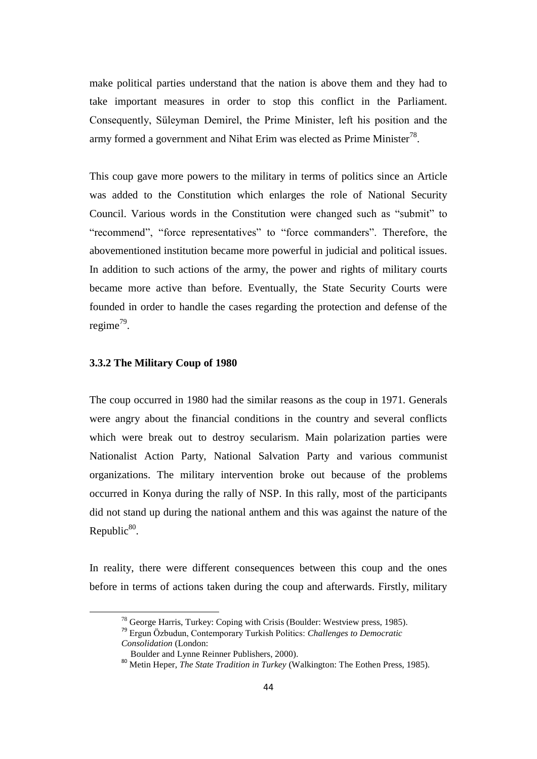make political parties understand that the nation is above them and they had to take important measures in order to stop this conflict in the Parliament. Consequently, Süleyman Demirel, the Prime Minister, left his position and the army formed a government and Nihat Erim was elected as Prime Minister<sup>78</sup>.

This coup gave more powers to the military in terms of politics since an Article was added to the Constitution which enlarges the role of National Security Council. Various words in the Constitution were changed such as "submit" to "recommend", "force representatives" to "force commanders". Therefore, the abovementioned institution became more powerful in judicial and political issues. In addition to such actions of the army, the power and rights of military courts became more active than before. Eventually, the State Security Courts were founded in order to handle the cases regarding the protection and defense of the regime<sup>79</sup>.

# **3.3.2 The Military Coup of 1980**

 $\overline{a}$ 

The coup occurred in 1980 had the similar reasons as the coup in 1971. Generals were angry about the financial conditions in the country and several conflicts which were break out to destroy secularism. Main polarization parties were Nationalist Action Party, National Salvation Party and various communist organizations. The military intervention broke out because of the problems occurred in Konya during the rally of NSP. In this rally, most of the participants did not stand up during the national anthem and this was against the nature of the Republic $80$ .

In reality, there were different consequences between this coup and the ones before in terms of actions taken during the coup and afterwards. Firstly, military

<sup>78</sup> George Harris, Turkey: Coping with Crisis (Boulder: Westview press, 1985).

<sup>79</sup> Ergun Özbudun, Contemporary Turkish Politics: *Challenges to Democratic Consolidation* (London:

Boulder and Lynne Reinner Publishers, 2000).

<sup>80</sup> Metin Heper, *The State Tradition in Turkey* (Walkington: The Eothen Press, 1985).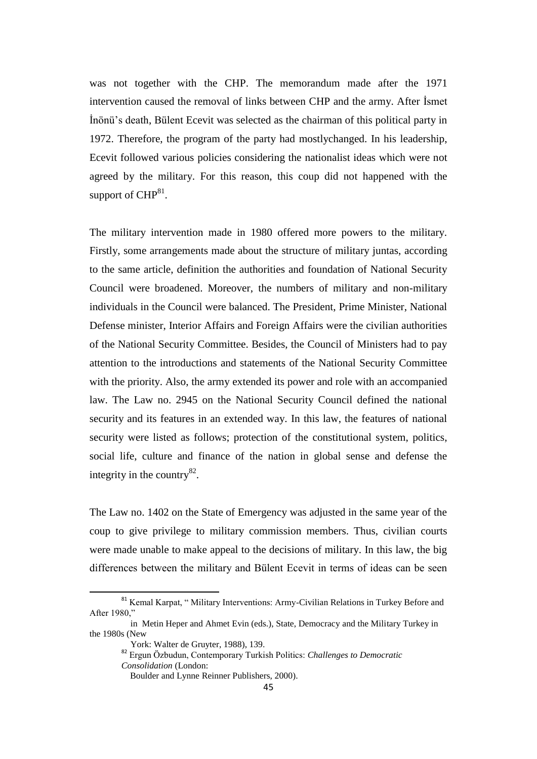was not together with the CHP. The memorandum made after the 1971 intervention caused the removal of links between CHP and the army. After İsmet İnönü"s death, Bülent Ecevit was selected as the chairman of this political party in 1972. Therefore, the program of the party had mostlychanged. In his leadership, Ecevit followed various policies considering the nationalist ideas which were not agreed by the military. For this reason, this coup did not happened with the support of  $CHP^{81}$ .

The military intervention made in 1980 offered more powers to the military. Firstly, some arrangements made about the structure of military juntas, according to the same article, definition the authorities and foundation of National Security Council were broadened. Moreover, the numbers of military and non-military individuals in the Council were balanced. The President, Prime Minister, National Defense minister, Interior Affairs and Foreign Affairs were the civilian authorities of the National Security Committee. Besides, the Council of Ministers had to pay attention to the introductions and statements of the National Security Committee with the priority. Also, the army extended its power and role with an accompanied law. The Law no. 2945 on the National Security Council defined the national security and its features in an extended way. In this law, the features of national security were listed as follows; protection of the constitutional system, politics, social life, culture and finance of the nation in global sense and defense the integrity in the country $^{82}$ .

The Law no. 1402 on the State of Emergency was adjusted in the same year of the coup to give privilege to military commission members. Thus, civilian courts were made unable to make appeal to the decisions of military. In this law, the big differences between the military and Bülent Ecevit in terms of ideas can be seen

*Consolidation* (London:

<sup>&</sup>lt;sup>81</sup> Kemal Karpat, " Military Interventions: Army-Civilian Relations in Turkey Before and After 1980,"

in Metin Heper and Ahmet Evin (eds.), State, Democracy and the Military Turkey in the 1980s (New

York: Walter de Gruyter, 1988), 139.

<sup>82</sup> Ergun Özbudun, Contemporary Turkish Politics: *Challenges to Democratic* 

Boulder and Lynne Reinner Publishers, 2000).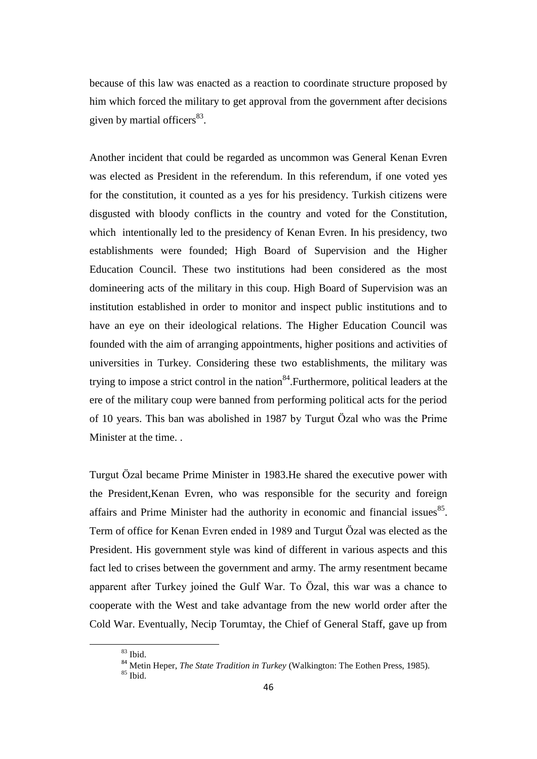because of this law was enacted as a reaction to coordinate structure proposed by him which forced the military to get approval from the government after decisions given by martial officers<sup>83</sup>.

Another incident that could be regarded as uncommon was General Kenan Evren was elected as President in the referendum. In this referendum, if one voted yes for the constitution, it counted as a yes for his presidency. Turkish citizens were disgusted with bloody conflicts in the country and voted for the Constitution, which intentionally led to the presidency of Kenan Evren. In his presidency, two establishments were founded; High Board of Supervision and the Higher Education Council. These two institutions had been considered as the most domineering acts of the military in this coup. High Board of Supervision was an institution established in order to monitor and inspect public institutions and to have an eye on their ideological relations. The Higher Education Council was founded with the aim of arranging appointments, higher positions and activities of universities in Turkey. Considering these two establishments, the military was trying to impose a strict control in the nation  $84$ . Furthermore, political leaders at the ere of the military coup were banned from performing political acts for the period of 10 years. This ban was abolished in 1987 by Turgut Özal who was the Prime Minister at the time. .

Turgut Özal became Prime Minister in 1983.He shared the executive power with the President,Kenan Evren, who was responsible for the security and foreign affairs and Prime Minister had the authority in economic and financial issues $^{85}$ . Term of office for Kenan Evren ended in 1989 and Turgut Özal was elected as the President. His government style was kind of different in various aspects and this fact led to crises between the government and army. The army resentment became apparent after Turkey joined the Gulf War. To Özal, this war was a chance to cooperate with the West and take advantage from the new world order after the Cold War. Eventually, Necip Torumtay, the Chief of General Staff, gave up from

<sup>83</sup> Ibid.

<sup>84</sup> Metin Heper, *The State Tradition in Turkey* (Walkington: The Eothen Press, 1985).

 $85$  Ibid.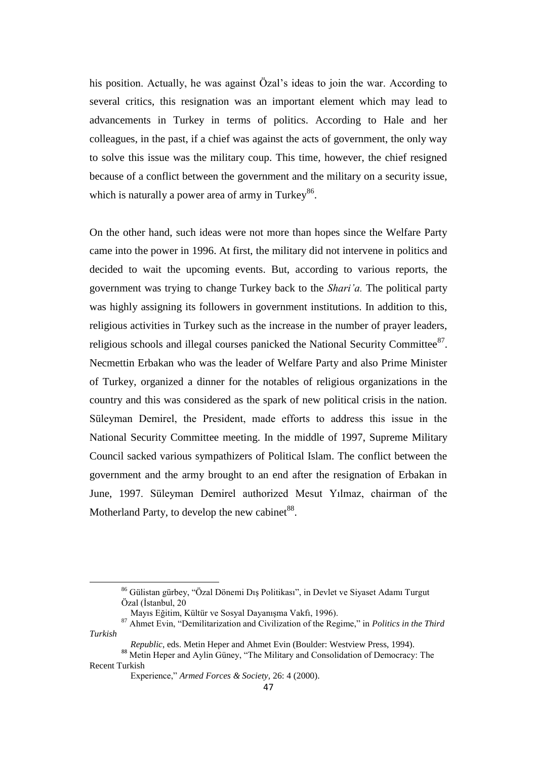his position. Actually, he was against Özal's ideas to join the war. According to several critics, this resignation was an important element which may lead to advancements in Turkey in terms of politics. According to Hale and her colleagues, in the past, if a chief was against the acts of government, the only way to solve this issue was the military coup. This time, however, the chief resigned because of a conflict between the government and the military on a security issue, which is naturally a power area of army in Turkey<sup>86</sup>.

On the other hand, such ideas were not more than hopes since the Welfare Party came into the power in 1996. At first, the military did not intervene in politics and decided to wait the upcoming events. But, according to various reports, the government was trying to change Turkey back to the *Shari'a.* The political party was highly assigning its followers in government institutions. In addition to this, religious activities in Turkey such as the increase in the number of prayer leaders, religious schools and illegal courses panicked the National Security Committee<sup>87</sup>. Necmettin Erbakan who was the leader of Welfare Party and also Prime Minister of Turkey, organized a dinner for the notables of religious organizations in the country and this was considered as the spark of new political crisis in the nation. Süleyman Demirel, the President, made efforts to address this issue in the National Security Committee meeting. In the middle of 1997, Supreme Military Council sacked various sympathizers of Political Islam. The conflict between the government and the army brought to an end after the resignation of Erbakan in June, 1997. Süleyman Demirel authorized Mesut Yılmaz, chairman of the Motherland Party, to develop the new cabinet  $88$ .

<sup>86</sup> Gülistan gürbey, "Özal Dönemi Dış Politikası", in Devlet ve Siyaset Adamı Turgut Özal (İstanbul, 20

Mayıs Eğitim, Kültür ve Sosyal Dayanışma Vakfı, 1996).

<sup>87</sup> Ahmet Evin, "Demilitarization and Civilization of the Regime," in *Politics in the Third Turkish* 

*Republic*, eds. Metin Heper and Ahmet Evin (Boulder: Westview Press, 1994).

<sup>&</sup>lt;sup>88</sup> Metin Heper and Aylin Güney, "The Military and Consolidation of Democracy: The Recent Turkish

Experience," *Armed Forces & Society,* 26: 4 (2000).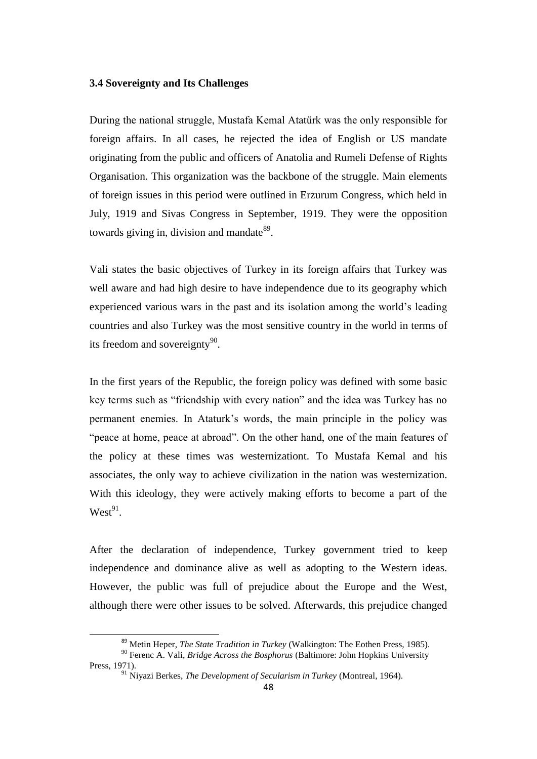### **3.4 Sovereignty and Its Challenges**

During the national struggle, Mustafa Kemal Atatürk was the only responsible for foreign affairs. In all cases, he rejected the idea of English or US mandate originating from the public and officers of Anatolia and Rumeli Defense of Rights Organisation. This organization was the backbone of the struggle. Main elements of foreign issues in this period were outlined in Erzurum Congress, which held in July, 1919 and Sivas Congress in September, 1919. They were the opposition towards giving in, division and mandate $^{89}$ .

Vali states the basic objectives of Turkey in its foreign affairs that Turkey was well aware and had high desire to have independence due to its geography which experienced various wars in the past and its isolation among the world"s leading countries and also Turkey was the most sensitive country in the world in terms of its freedom and sovereignty $90$ .

In the first years of the Republic, the foreign policy was defined with some basic key terms such as "friendship with every nation" and the idea was Turkey has no permanent enemies. In Ataturk"s words, the main principle in the policy was "peace at home, peace at abroad". On the other hand, one of the main features of the policy at these times was westernizationt. To Mustafa Kemal and his associates, the only way to achieve civilization in the nation was westernization. With this ideology, they were actively making efforts to become a part of the  $West^{91}$ .

After the declaration of independence, Turkey government tried to keep independence and dominance alive as well as adopting to the Western ideas. However, the public was full of prejudice about the Europe and the West, although there were other issues to be solved. Afterwards, this prejudice changed

<sup>89</sup> Metin Heper, *The State Tradition in Turkey* (Walkington: The Eothen Press, 1985).

<sup>90</sup> Ferenc A. Vali, *Bridge Across the Bosphorus* (Baltimore: John Hopkins University Press, 1971).

<sup>91</sup> Niyazi Berkes, *The Development of Secularism in Turkey* (Montreal, 1964).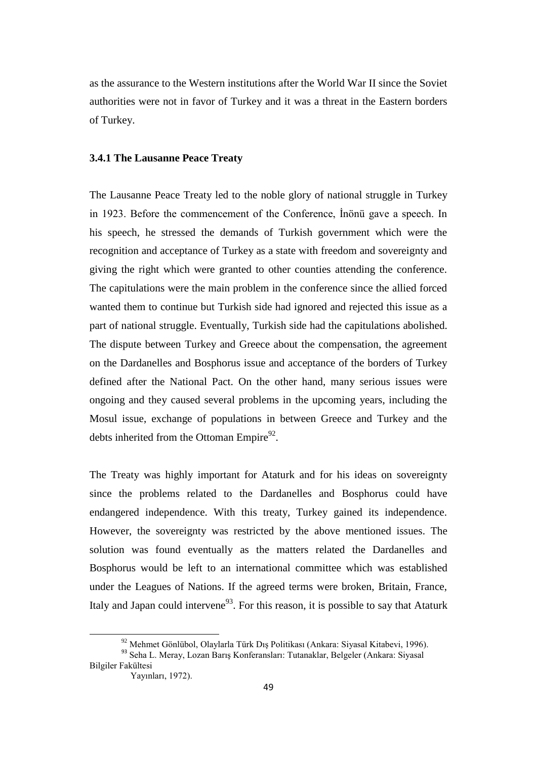as the assurance to the Western institutions after the World War II since the Soviet authorities were not in favor of Turkey and it was a threat in the Eastern borders of Turkey.

#### **3.4.1 The Lausanne Peace Treaty**

The Lausanne Peace Treaty led to the noble glory of national struggle in Turkey in 1923. Before the commencement of the Conference, İnönü gave a speech. In his speech, he stressed the demands of Turkish government which were the recognition and acceptance of Turkey as a state with freedom and sovereignty and giving the right which were granted to other counties attending the conference. The capitulations were the main problem in the conference since the allied forced wanted them to continue but Turkish side had ignored and rejected this issue as a part of national struggle. Eventually, Turkish side had the capitulations abolished. The dispute between Turkey and Greece about the compensation, the agreement on the Dardanelles and Bosphorus issue and acceptance of the borders of Turkey defined after the National Pact. On the other hand, many serious issues were ongoing and they caused several problems in the upcoming years, including the Mosul issue, exchange of populations in between Greece and Turkey and the debts inherited from the Ottoman Empire $92$ .

The Treaty was highly important for Ataturk and for his ideas on sovereignty since the problems related to the Dardanelles and Bosphorus could have endangered independence. With this treaty, Turkey gained its independence. However, the sovereignty was restricted by the above mentioned issues. The solution was found eventually as the matters related the Dardanelles and Bosphorus would be left to an international committee which was established under the Leagues of Nations. If the agreed terms were broken, Britain, France, Italy and Japan could intervene<sup>93</sup>. For this reason, it is possible to say that Ataturk

<sup>92</sup> Mehmet Gönlübol, Olaylarla Türk Dış Politikası (Ankara: Siyasal Kitabevi, 1996).

<sup>93</sup> Seha L. Meray, Lozan Barış Konferansları: Tutanaklar, Belgeler (Ankara: Siyasal Bilgiler Fakültesi

Yayınları, 1972).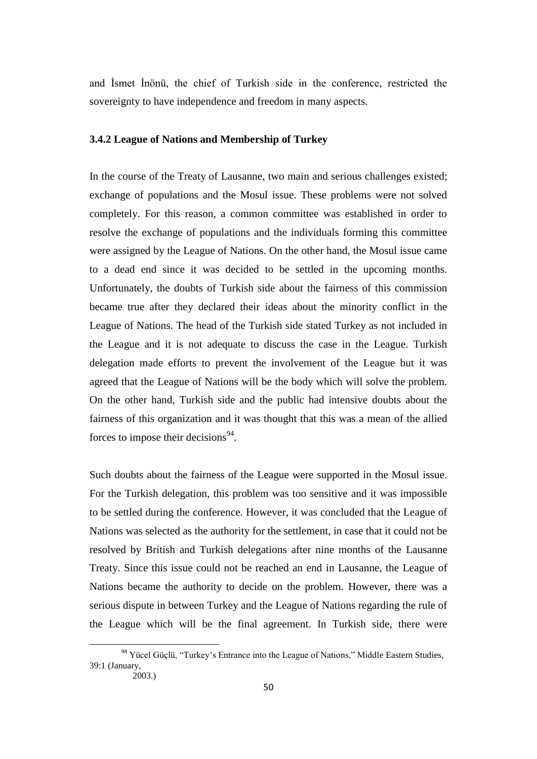and İsmet İnönü, the chief of Turkish side in the conference, restricted the sovereignty to have independence and freedom in many aspects.

#### **3.4.2 League of Nations and Membership of Turkey**

In the course of the Treaty of Lausanne, two main and serious challenges existed; exchange of populations and the Mosul issue. These problems were not solved completely. For this reason, a common committee was established in order to resolve the exchange of populations and the individuals forming this committee were assigned by the League of Nations. On the other hand, the Mosul issue came to a dead end since it was decided to be settled in the upcoming months. Unfortunately, the doubts of Turkish side about the fairness of this commission became true after they declared their ideas about the minority conflict in the League of Nations. The head of the Turkish side stated Turkey as not included in the League and it is not adequate to discuss the case in the League. Turkish delegation made efforts to prevent the involvement of the League but it was agreed that the League of Nations will be the body which will solve the problem. On the other hand, Turkish side and the public had intensive doubts about the fairness of this organization and it was thought that this was a mean of the allied forces to impose their decisions $94$ .

Such doubts about the fairness of the League were supported in the Mosul issue. For the Turkish delegation, this problem was too sensitive and it was impossible to be settled during the conference. However, it was concluded that the League of Nations was selected as the authority for the settlement, in case that it could not be resolved by British and Turkish delegations after nine months of the Lausanne Treaty. Since this issue could not be reached an end in Lausanne, the League of Nations became the authority to decide on the problem. However, there was a serious dispute in between Turkey and the League of Nations regarding the rule of the League which will be the final agreement. In Turkish side, there were

<sup>&</sup>lt;sup>94</sup> Yücel Güçlü, "Turkey's Entrance into the League of Nations," Middle Eastern Studies, 39:1 (January,

 <sup>2003.)</sup>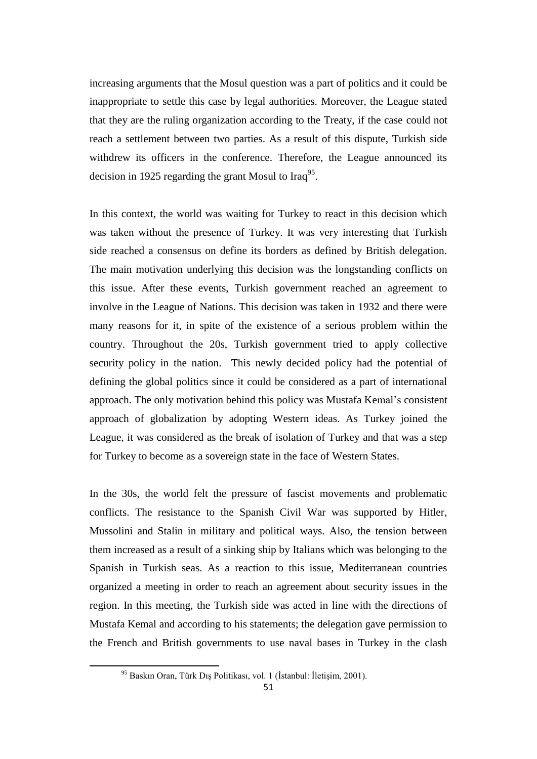increasing arguments that the Mosul question was a part of politics and it could be inappropriate to settle this case by legal authorities. Moreover, the League stated that they are the ruling organization according to the Treaty, if the case could not reach a settlement between two parties. As a result of this dispute, Turkish side withdrew its officers in the conference. Therefore, the League announced its decision in 1925 regarding the grant Mosul to Iraq<sup>95</sup>.

In this context, the world was waiting for Turkey to react in this decision which was taken without the presence of Turkey. It was very interesting that Turkish side reached a consensus on define its borders as defined by British delegation. The main motivation underlying this decision was the longstanding conflicts on this issue. After these events, Turkish government reached an agreement to involve in the League of Nations. This decision was taken in 1932 and there were many reasons for it, in spite of the existence of a serious problem within the country. Throughout the 20s, Turkish government tried to apply collective security policy in the nation. This newly decided policy had the potential of defining the global politics since it could be considered as a part of international approach. The only motivation behind this policy was Mustafa Kemal"s consistent approach of globalization by adopting Western ideas. As Turkey joined the League, it was considered as the break of isolation of Turkey and that was a step for Turkey to become as a sovereign state in the face of Western States.

In the 30s, the world felt the pressure of fascist movements and problematic conflicts. The resistance to the Spanish Civil War was supported by Hitler, Mussolini and Stalin in military and political ways. Also, the tension between them increased as a result of a sinking ship by Italians which was belonging to the Spanish in Turkish seas. As a reaction to this issue, Mediterranean countries organized a meeting in order to reach an agreement about security issues in the region. In this meeting, the Turkish side was acted in line with the directions of Mustafa Kemal and according to his statements; the delegation gave permission to the French and British governments to use naval bases in Turkey in the clash

<sup>95</sup> Baskın Oran, Türk Dış Politikası, vol. 1 (İstanbul: İletişim, 2001).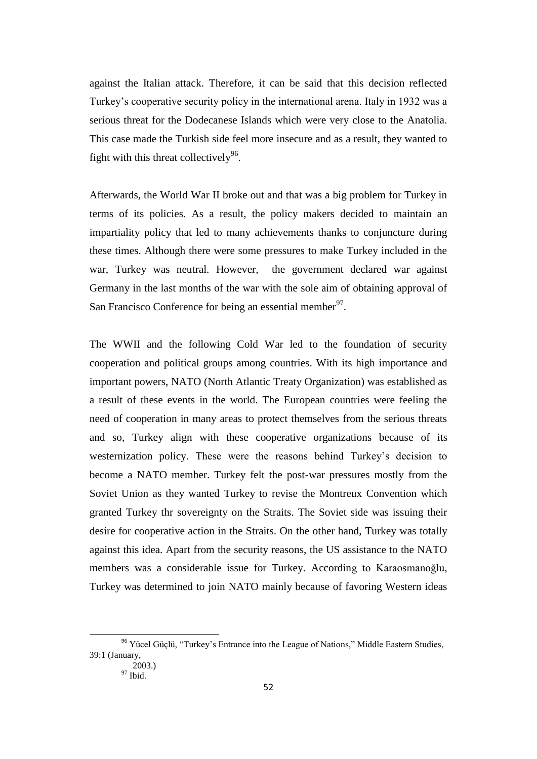against the Italian attack. Therefore, it can be said that this decision reflected Turkey"s cooperative security policy in the international arena. Italy in 1932 was a serious threat for the Dodecanese Islands which were very close to the Anatolia. This case made the Turkish side feel more insecure and as a result, they wanted to fight with this threat collectively<sup>96</sup>.

Afterwards, the World War II broke out and that was a big problem for Turkey in terms of its policies. As a result, the policy makers decided to maintain an impartiality policy that led to many achievements thanks to conjuncture during these times. Although there were some pressures to make Turkey included in the war, Turkey was neutral. However, the government declared war against Germany in the last months of the war with the sole aim of obtaining approval of San Francisco Conference for being an essential member<sup>97</sup>.

The WWII and the following Cold War led to the foundation of security cooperation and political groups among countries. With its high importance and important powers, NATO (North Atlantic Treaty Organization) was established as a result of these events in the world. The European countries were feeling the need of cooperation in many areas to protect themselves from the serious threats and so, Turkey align with these cooperative organizations because of its westernization policy. These were the reasons behind Turkey's decision to become a NATO member. Turkey felt the post-war pressures mostly from the Soviet Union as they wanted Turkey to revise the Montreux Convention which granted Turkey thr sovereignty on the Straits. The Soviet side was issuing their desire for cooperative action in the Straits. On the other hand, Turkey was totally against this idea. Apart from the security reasons, the US assistance to the NATO members was a considerable issue for Turkey. According to Karaosmanoğlu, Turkey was determined to join NATO mainly because of favoring Western ideas

<sup>&</sup>lt;sup>96</sup> Yücel Güçlü, "Turkey's Entrance into the League of Nations," Middle Eastern Studies, 39:1 (January,

 $2003.$ ) <sup>97</sup> Ibid.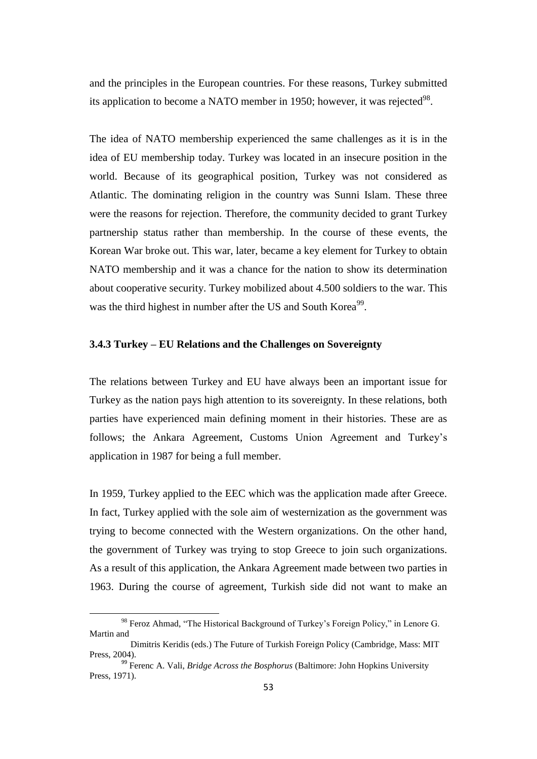and the principles in the European countries. For these reasons, Turkey submitted its application to become a NATO member in 1950; however, it was rejected $^{98}$ .

The idea of NATO membership experienced the same challenges as it is in the idea of EU membership today. Turkey was located in an insecure position in the world. Because of its geographical position, Turkey was not considered as Atlantic. The dominating religion in the country was Sunni Islam. These three were the reasons for rejection. Therefore, the community decided to grant Turkey partnership status rather than membership. In the course of these events, the Korean War broke out. This war, later, became a key element for Turkey to obtain NATO membership and it was a chance for the nation to show its determination about cooperative security. Turkey mobilized about 4.500 soldiers to the war. This was the third highest in number after the US and South Korea<sup>99</sup>.

#### **3.4.3 Turkey – EU Relations and the Challenges on Sovereignty**

The relations between Turkey and EU have always been an important issue for Turkey as the nation pays high attention to its sovereignty. In these relations, both parties have experienced main defining moment in their histories. These are as follows; the Ankara Agreement, Customs Union Agreement and Turkey's application in 1987 for being a full member.

In 1959, Turkey applied to the EEC which was the application made after Greece. In fact, Turkey applied with the sole aim of westernization as the government was trying to become connected with the Western organizations. On the other hand, the government of Turkey was trying to stop Greece to join such organizations. As a result of this application, the Ankara Agreement made between two parties in 1963. During the course of agreement, Turkish side did not want to make an

<sup>&</sup>lt;sup>98</sup> Feroz Ahmad, "The Historical Background of Turkey's Foreign Policy," in Lenore G. Martin and

Dimitris Keridis (eds.) The Future of Turkish Foreign Policy (Cambridge, Mass: MIT Press, 2004).

<sup>&</sup>lt;sup>99</sup> Ferenc A. Vali, *Bridge Across the Bosphorus* (Baltimore: John Hopkins University Press, 1971).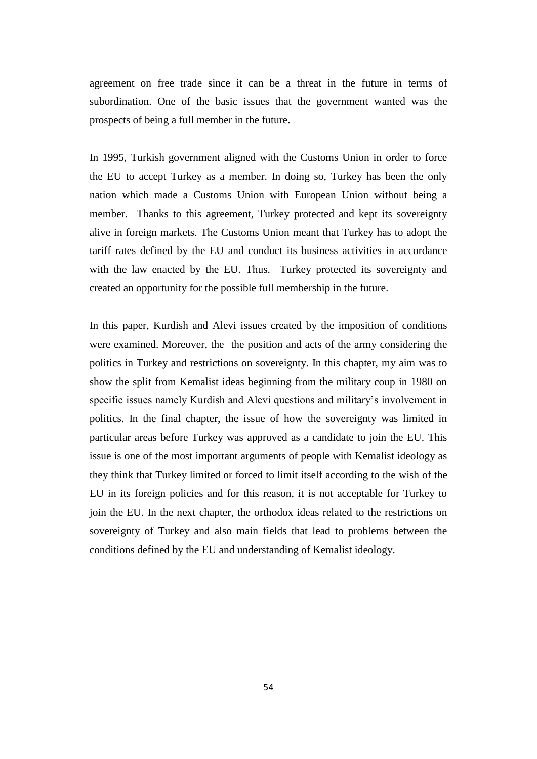agreement on free trade since it can be a threat in the future in terms of subordination. One of the basic issues that the government wanted was the prospects of being a full member in the future.

In 1995, Turkish government aligned with the Customs Union in order to force the EU to accept Turkey as a member. In doing so, Turkey has been the only nation which made a Customs Union with European Union without being a member. Thanks to this agreement, Turkey protected and kept its sovereignty alive in foreign markets. The Customs Union meant that Turkey has to adopt the tariff rates defined by the EU and conduct its business activities in accordance with the law enacted by the EU. Thus. Turkey protected its sovereignty and created an opportunity for the possible full membership in the future.

In this paper, Kurdish and Alevi issues created by the imposition of conditions were examined. Moreover, the the position and acts of the army considering the politics in Turkey and restrictions on sovereignty. In this chapter, my aim was to show the split from Kemalist ideas beginning from the military coup in 1980 on specific issues namely Kurdish and Alevi questions and military"s involvement in politics. In the final chapter, the issue of how the sovereignty was limited in particular areas before Turkey was approved as a candidate to join the EU. This issue is one of the most important arguments of people with Kemalist ideology as they think that Turkey limited or forced to limit itself according to the wish of the EU in its foreign policies and for this reason, it is not acceptable for Turkey to join the EU. In the next chapter, the orthodox ideas related to the restrictions on sovereignty of Turkey and also main fields that lead to problems between the conditions defined by the EU and understanding of Kemalist ideology.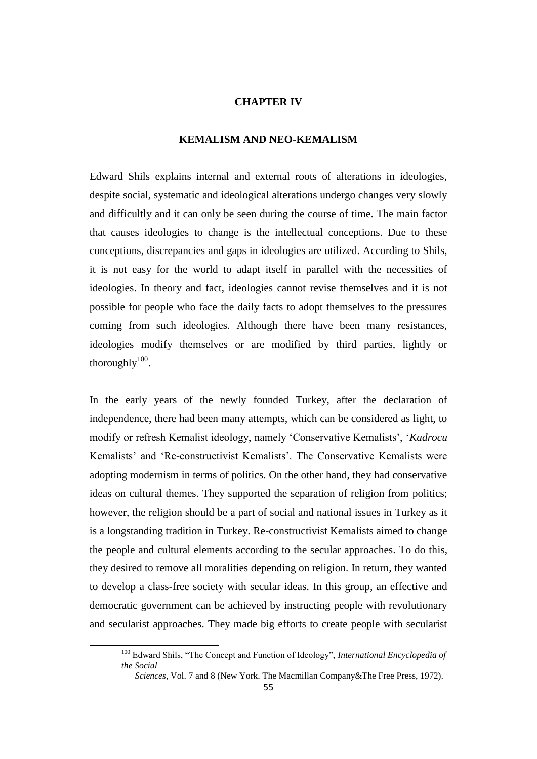#### **CHAPTER IV**

#### **KEMALISM AND NEO-KEMALISM**

Edward Shils explains internal and external roots of alterations in ideologies, despite social, systematic and ideological alterations undergo changes very slowly and difficultly and it can only be seen during the course of time. The main factor that causes ideologies to change is the intellectual conceptions. Due to these conceptions, discrepancies and gaps in ideologies are utilized. According to Shils, it is not easy for the world to adapt itself in parallel with the necessities of ideologies. In theory and fact, ideologies cannot revise themselves and it is not possible for people who face the daily facts to adopt themselves to the pressures coming from such ideologies. Although there have been many resistances, ideologies modify themselves or are modified by third parties, lightly or thoroughly $100$ .

In the early years of the newly founded Turkey, after the declaration of independence, there had been many attempts, which can be considered as light, to modify or refresh Kemalist ideology, namely "Conservative Kemalists", "*Kadrocu*  Kemalists' and 'Re-constructivist Kemalists'. The Conservative Kemalists were adopting modernism in terms of politics. On the other hand, they had conservative ideas on cultural themes. They supported the separation of religion from politics; however, the religion should be a part of social and national issues in Turkey as it is a longstanding tradition in Turkey. Re-constructivist Kemalists aimed to change the people and cultural elements according to the secular approaches. To do this, they desired to remove all moralities depending on religion. In return, they wanted to develop a class-free society with secular ideas. In this group, an effective and democratic government can be achieved by instructing people with revolutionary and secularist approaches. They made big efforts to create people with secularist

<sup>100</sup> Edward Shils, "The Concept and Function of Ideology", *International Encyclopedia of the Social* 

*Sciences*, Vol. 7 and 8 (New York. The Macmillan Company&The Free Press, 1972).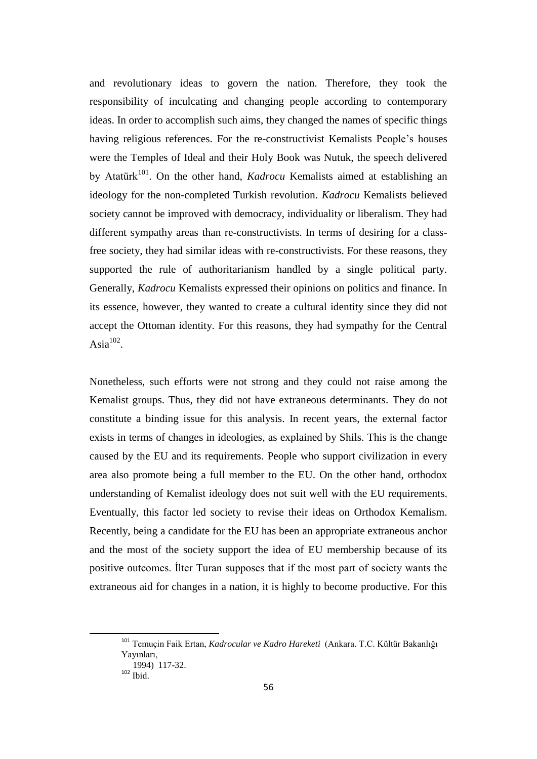and revolutionary ideas to govern the nation. Therefore, they took the responsibility of inculcating and changing people according to contemporary ideas. In order to accomplish such aims, they changed the names of specific things having religious references. For the re-constructivist Kemalists People's houses were the Temples of Ideal and their Holy Book was Nutuk, the speech delivered by Atatürk<sup>101</sup>. On the other hand, *Kadrocu* Kemalists aimed at establishing an ideology for the non-completed Turkish revolution. *Kadrocu* Kemalists believed society cannot be improved with democracy, individuality or liberalism. They had different sympathy areas than re-constructivists. In terms of desiring for a classfree society, they had similar ideas with re-constructivists. For these reasons, they supported the rule of authoritarianism handled by a single political party. Generally, *Kadrocu* Kemalists expressed their opinions on politics and finance. In its essence, however, they wanted to create a cultural identity since they did not accept the Ottoman identity. For this reasons, they had sympathy for the Central Asia $^{102}$ .

Nonetheless, such efforts were not strong and they could not raise among the Kemalist groups. Thus, they did not have extraneous determinants. They do not constitute a binding issue for this analysis. In recent years, the external factor exists in terms of changes in ideologies, as explained by Shils. This is the change caused by the EU and its requirements. People who support civilization in every area also promote being a full member to the EU. On the other hand, orthodox understanding of Kemalist ideology does not suit well with the EU requirements. Eventually, this factor led society to revise their ideas on Orthodox Kemalism. Recently, being a candidate for the EU has been an appropriate extraneous anchor and the most of the society support the idea of EU membership because of its positive outcomes. İlter Turan supposes that if the most part of society wants the extraneous aid for changes in a nation, it is highly to become productive. For this

<sup>101</sup> Temuçin Faik Ertan, *Kadrocular ve Kadro Hareketi* (Ankara. T.C. Kültür Bakanlığı Yayınları,

 <sup>1994) 117-32.</sup>  $102$  Ibid.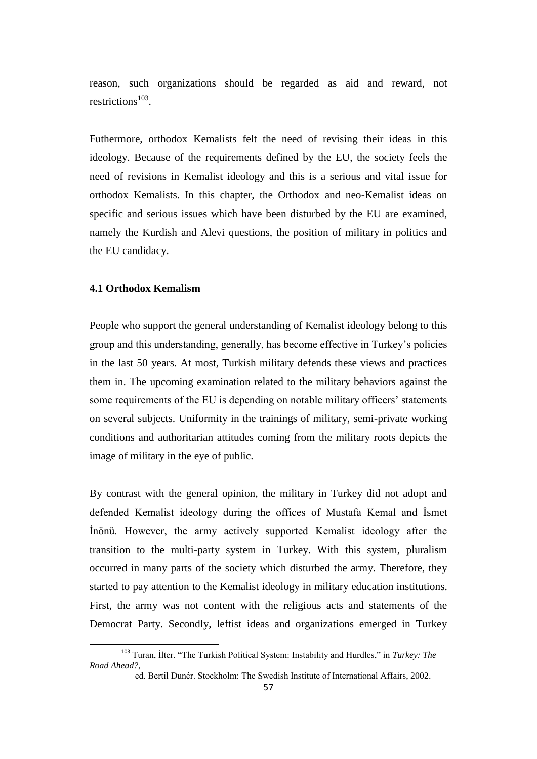reason, such organizations should be regarded as aid and reward, not restrictions $^{103}$ .

Futhermore, orthodox Kemalists felt the need of revising their ideas in this ideology. Because of the requirements defined by the EU, the society feels the need of revisions in Kemalist ideology and this is a serious and vital issue for orthodox Kemalists. In this chapter, the Orthodox and neo-Kemalist ideas on specific and serious issues which have been disturbed by the EU are examined, namely the Kurdish and Alevi questions, the position of military in politics and the EU candidacy.

### **4.1 Orthodox Kemalism**

 $\ddot{\phantom{a}}$ 

People who support the general understanding of Kemalist ideology belong to this group and this understanding, generally, has become effective in Turkey"s policies in the last 50 years. At most, Turkish military defends these views and practices them in. The upcoming examination related to the military behaviors against the some requirements of the EU is depending on notable military officers' statements on several subjects. Uniformity in the trainings of military, semi-private working conditions and authoritarian attitudes coming from the military roots depicts the image of military in the eye of public.

By contrast with the general opinion, the military in Turkey did not adopt and defended Kemalist ideology during the offices of Mustafa Kemal and İsmet İnönü. However, the army actively supported Kemalist ideology after the transition to the multi-party system in Turkey. With this system, pluralism occurred in many parts of the society which disturbed the army. Therefore, they started to pay attention to the Kemalist ideology in military education institutions. First, the army was not content with the religious acts and statements of the Democrat Party. Secondly, leftist ideas and organizations emerged in Turkey

<sup>103</sup> Turan, İlter. "The Turkish Political System: Instability and Hurdles," in *Turkey: The Road Ahead?*,

ed. Bertil Dunér. Stockholm: The Swedish Institute of International Affairs, 2002.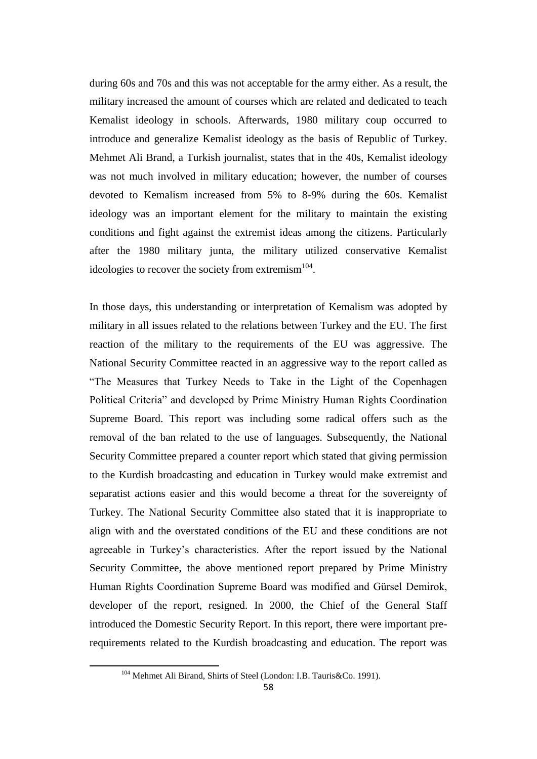during 60s and 70s and this was not acceptable for the army either. As a result, the military increased the amount of courses which are related and dedicated to teach Kemalist ideology in schools. Afterwards, 1980 military coup occurred to introduce and generalize Kemalist ideology as the basis of Republic of Turkey. Mehmet Ali Brand, a Turkish journalist, states that in the 40s, Kemalist ideology was not much involved in military education; however, the number of courses devoted to Kemalism increased from 5% to 8-9% during the 60s. Kemalist ideology was an important element for the military to maintain the existing conditions and fight against the extremist ideas among the citizens. Particularly after the 1980 military junta, the military utilized conservative Kemalist ideologies to recover the society from extremism $104$ .

In those days, this understanding or interpretation of Kemalism was adopted by military in all issues related to the relations between Turkey and the EU. The first reaction of the military to the requirements of the EU was aggressive. The National Security Committee reacted in an aggressive way to the report called as "The Measures that Turkey Needs to Take in the Light of the Copenhagen Political Criteria" and developed by Prime Ministry Human Rights Coordination Supreme Board. This report was including some radical offers such as the removal of the ban related to the use of languages. Subsequently, the National Security Committee prepared a counter report which stated that giving permission to the Kurdish broadcasting and education in Turkey would make extremist and separatist actions easier and this would become a threat for the sovereignty of Turkey. The National Security Committee also stated that it is inappropriate to align with and the overstated conditions of the EU and these conditions are not agreeable in Turkey"s characteristics. After the report issued by the National Security Committee, the above mentioned report prepared by Prime Ministry Human Rights Coordination Supreme Board was modified and Gürsel Demirok, developer of the report, resigned. In 2000, the Chief of the General Staff introduced the Domestic Security Report. In this report, there were important prerequirements related to the Kurdish broadcasting and education. The report was

<sup>104</sup> Mehmet Ali Birand, Shirts of Steel (London: I.B. Tauris&Co. 1991).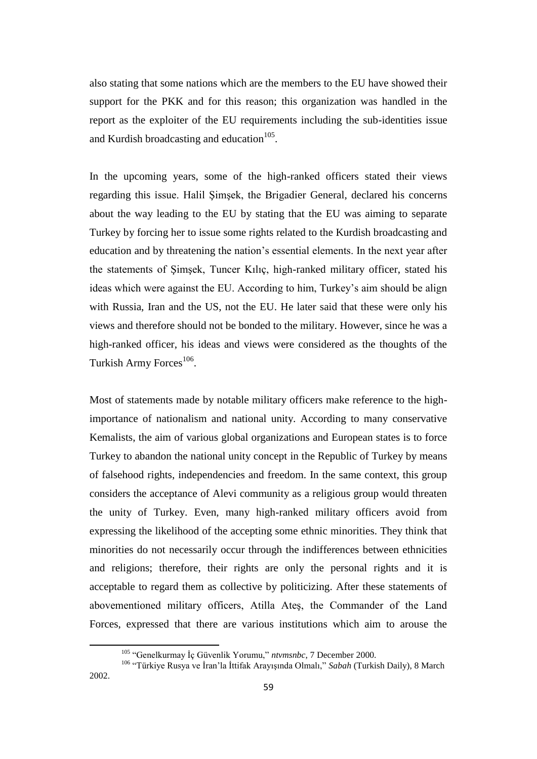also stating that some nations which are the members to the EU have showed their support for the PKK and for this reason; this organization was handled in the report as the exploiter of the EU requirements including the sub-identities issue and Kurdish broadcasting and education $^{105}$ .

In the upcoming years, some of the high-ranked officers stated their views regarding this issue. Halil Şimşek, the Brigadier General, declared his concerns about the way leading to the EU by stating that the EU was aiming to separate Turkey by forcing her to issue some rights related to the Kurdish broadcasting and education and by threatening the nation"s essential elements. In the next year after the statements of Şimşek, Tuncer Kılıç, high-ranked military officer, stated his ideas which were against the EU. According to him, Turkey's aim should be align with Russia, Iran and the US, not the EU. He later said that these were only his views and therefore should not be bonded to the military. However, since he was a high-ranked officer, his ideas and views were considered as the thoughts of the Turkish Army Forces<sup>106</sup>.

Most of statements made by notable military officers make reference to the highimportance of nationalism and national unity. According to many conservative Kemalists, the aim of various global organizations and European states is to force Turkey to abandon the national unity concept in the Republic of Turkey by means of falsehood rights, independencies and freedom. In the same context, this group considers the acceptance of Alevi community as a religious group would threaten the unity of Turkey. Even, many high-ranked military officers avoid from expressing the likelihood of the accepting some ethnic minorities. They think that minorities do not necessarily occur through the indifferences between ethnicities and religions; therefore, their rights are only the personal rights and it is acceptable to regard them as collective by politicizing. After these statements of abovementioned military officers, Atilla Ateş, the Commander of the Land Forces, expressed that there are various institutions which aim to arouse the

<sup>105</sup> "Genelkurmay İç Güvenlik Yorumu," *ntvmsnbc*, 7 December 2000.

<sup>106</sup> "Türkiye Rusya ve İran"la İttifak Arayışında Olmalı," *Sabah* (Turkish Daily), 8 March 2002.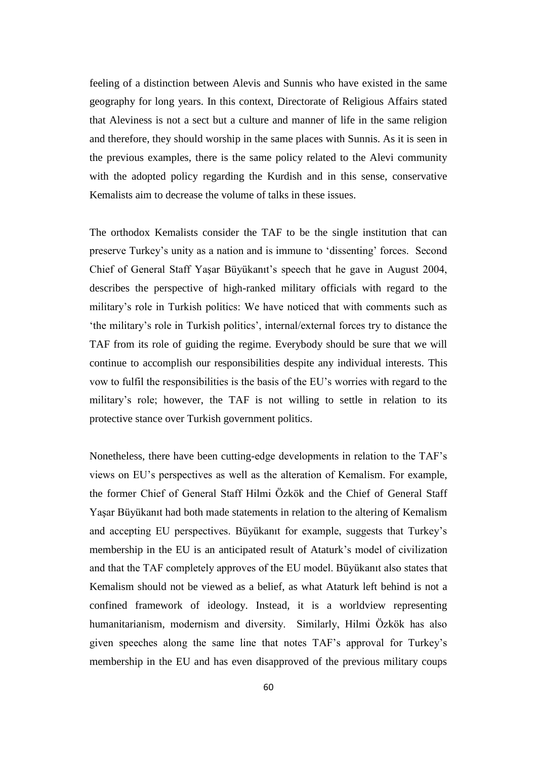feeling of a distinction between Alevis and Sunnis who have existed in the same geography for long years. In this context, Directorate of Religious Affairs stated that Aleviness is not a sect but a culture and manner of life in the same religion and therefore, they should worship in the same places with Sunnis. As it is seen in the previous examples, there is the same policy related to the Alevi community with the adopted policy regarding the Kurdish and in this sense, conservative Kemalists aim to decrease the volume of talks in these issues.

The orthodox Kemalists consider the TAF to be the single institution that can preserve Turkey"s unity as a nation and is immune to "dissenting" forces. Second Chief of General Staff Yaşar Büyükanıt's speech that he gave in August 2004, describes the perspective of high-ranked military officials with regard to the military"s role in Turkish politics: We have noticed that with comments such as "the military"s role in Turkish politics", internal/external forces try to distance the TAF from its role of guiding the regime. Everybody should be sure that we will continue to accomplish our responsibilities despite any individual interests. This vow to fulfil the responsibilities is the basis of the EU"s worries with regard to the military"s role; however, the TAF is not willing to settle in relation to its protective stance over Turkish government politics.

Nonetheless, there have been cutting-edge developments in relation to the TAF"s views on EU"s perspectives as well as the alteration of Kemalism. For example, the former Chief of General Staff Hilmi Özkök and the Chief of General Staff Yaşar Büyükanıt had both made statements in relation to the altering of Kemalism and accepting EU perspectives. Büyükanıt for example, suggests that Turkey"s membership in the EU is an anticipated result of Ataturk"s model of civilization and that the TAF completely approves of the EU model. Büyükanıt also states that Kemalism should not be viewed as a belief, as what Ataturk left behind is not a confined framework of ideology. Instead, it is a worldview representing humanitarianism, modernism and diversity. Similarly, Hilmi Özkök has also given speeches along the same line that notes TAF"s approval for Turkey"s membership in the EU and has even disapproved of the previous military coups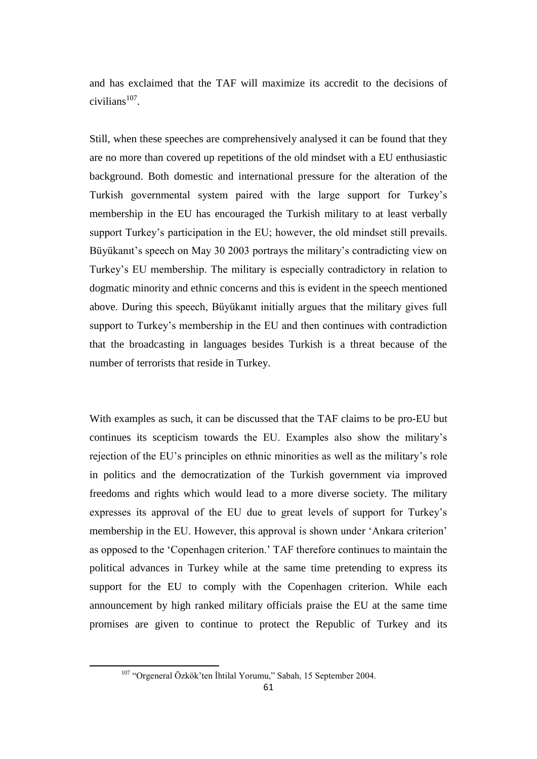and has exclaimed that the TAF will maximize its accredit to the decisions of  $civilians<sup>107</sup>$ .

Still, when these speeches are comprehensively analysed it can be found that they are no more than covered up repetitions of the old mindset with a EU enthusiastic background. Both domestic and international pressure for the alteration of the Turkish governmental system paired with the large support for Turkey"s membership in the EU has encouraged the Turkish military to at least verbally support Turkey's participation in the EU; however, the old mindset still prevails. Büyükanıt's speech on May 30 2003 portrays the military's contradicting view on Turkey"s EU membership. The military is especially contradictory in relation to dogmatic minority and ethnic concerns and this is evident in the speech mentioned above. During this speech, Büyükanıt initially argues that the military gives full support to Turkey's membership in the EU and then continues with contradiction that the broadcasting in languages besides Turkish is a threat because of the number of terrorists that reside in Turkey.

With examples as such, it can be discussed that the TAF claims to be pro-EU but continues its scepticism towards the EU. Examples also show the military"s rejection of the EU"s principles on ethnic minorities as well as the military"s role in politics and the democratization of the Turkish government via improved freedoms and rights which would lead to a more diverse society. The military expresses its approval of the EU due to great levels of support for Turkey"s membership in the EU. However, this approval is shown under "Ankara criterion" as opposed to the "Copenhagen criterion." TAF therefore continues to maintain the political advances in Turkey while at the same time pretending to express its support for the EU to comply with the Copenhagen criterion. While each announcement by high ranked military officials praise the EU at the same time promises are given to continue to protect the Republic of Turkey and its

<sup>107</sup> "Orgeneral Özkök"ten İhtilal Yorumu," Sabah, 15 September 2004.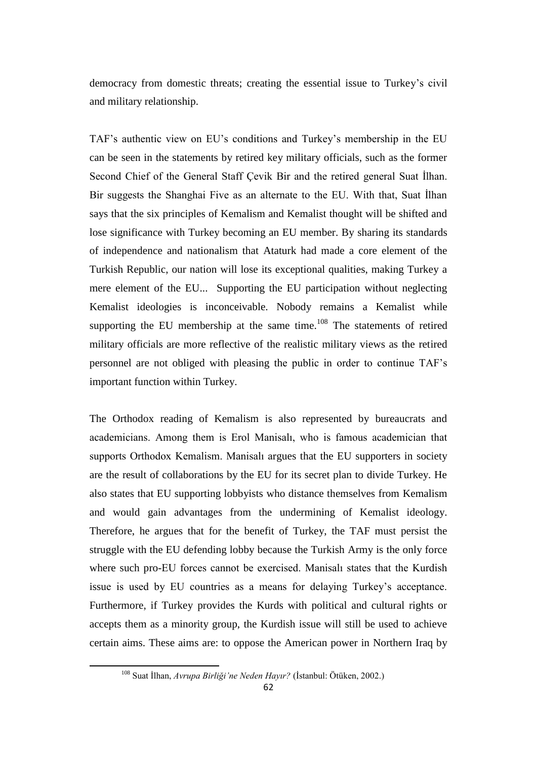democracy from domestic threats; creating the essential issue to Turkey"s civil and military relationship.

TAF"s authentic view on EU"s conditions and Turkey"s membership in the EU can be seen in the statements by retired key military officials, such as the former Second Chief of the General Staff Çevik Bir and the retired general Suat İlhan. Bir suggests the Shanghai Five as an alternate to the EU. With that, Suat İlhan says that the six principles of Kemalism and Kemalist thought will be shifted and lose significance with Turkey becoming an EU member. By sharing its standards of independence and nationalism that Ataturk had made a core element of the Turkish Republic, our nation will lose its exceptional qualities, making Turkey a mere element of the EU... Supporting the EU participation without neglecting Kemalist ideologies is inconceivable. Nobody remains a Kemalist while supporting the EU membership at the same time. $108$  The statements of retired military officials are more reflective of the realistic military views as the retired personnel are not obliged with pleasing the public in order to continue TAF"s important function within Turkey.

The Orthodox reading of Kemalism is also represented by bureaucrats and academicians. Among them is Erol Manisalı, who is famous academician that supports Orthodox Kemalism. Manisalı argues that the EU supporters in society are the result of collaborations by the EU for its secret plan to divide Turkey. He also states that EU supporting lobbyists who distance themselves from Kemalism and would gain advantages from the undermining of Kemalist ideology. Therefore, he argues that for the benefit of Turkey, the TAF must persist the struggle with the EU defending lobby because the Turkish Army is the only force where such pro-EU forces cannot be exercised. Manisalı states that the Kurdish issue is used by EU countries as a means for delaying Turkey"s acceptance. Furthermore, if Turkey provides the Kurds with political and cultural rights or accepts them as a minority group, the Kurdish issue will still be used to achieve certain aims. These aims are: to oppose the American power in Northern Iraq by

<sup>108</sup> Suat İlhan, *Avrupa Birliği'ne Neden Hayır?* (İstanbul: Ötüken, 2002.)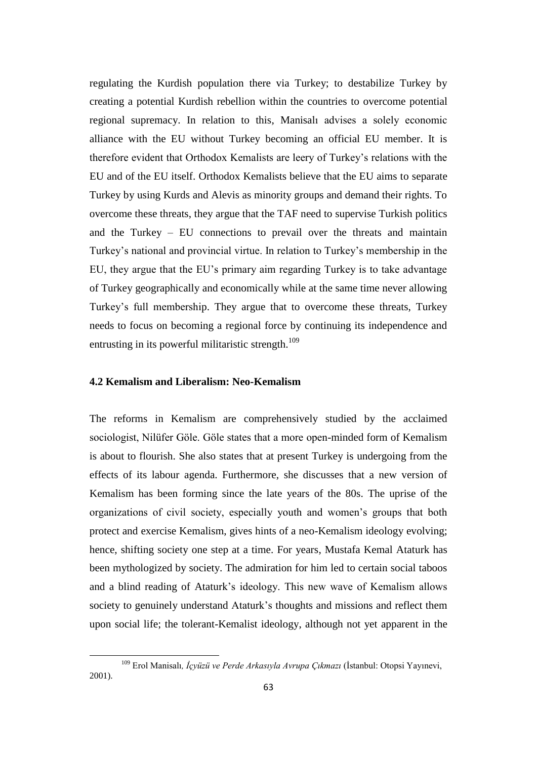regulating the Kurdish population there via Turkey; to destabilize Turkey by creating a potential Kurdish rebellion within the countries to overcome potential regional supremacy. In relation to this, Manisalı advises a solely economic alliance with the EU without Turkey becoming an official EU member. It is therefore evident that Orthodox Kemalists are leery of Turkey"s relations with the EU and of the EU itself. Orthodox Kemalists believe that the EU aims to separate Turkey by using Kurds and Alevis as minority groups and demand their rights. To overcome these threats, they argue that the TAF need to supervise Turkish politics and the Turkey – EU connections to prevail over the threats and maintain Turkey"s national and provincial virtue. In relation to Turkey"s membership in the EU, they argue that the EU"s primary aim regarding Turkey is to take advantage of Turkey geographically and economically while at the same time never allowing Turkey"s full membership. They argue that to overcome these threats, Turkey needs to focus on becoming a regional force by continuing its independence and entrusting in its powerful militaristic strength.<sup>109</sup>

# **4.2 Kemalism and Liberalism: Neo-Kemalism**

 $\overline{a}$ 

The reforms in Kemalism are comprehensively studied by the acclaimed sociologist, Nilüfer Göle. Göle states that a more open-minded form of Kemalism is about to flourish. She also states that at present Turkey is undergoing from the effects of its labour agenda. Furthermore, she discusses that a new version of Kemalism has been forming since the late years of the 80s. The uprise of the organizations of civil society, especially youth and women"s groups that both protect and exercise Kemalism, gives hints of a neo-Kemalism ideology evolving; hence, shifting society one step at a time. For years, Mustafa Kemal Ataturk has been mythologized by society. The admiration for him led to certain social taboos and a blind reading of Ataturk"s ideology. This new wave of Kemalism allows society to genuinely understand Ataturk's thoughts and missions and reflect them upon social life; the tolerant-Kemalist ideology, although not yet apparent in the

<sup>109</sup> Erol Manisalı*, İçyüzü ve Perde Arkasıyla Avrupa Çıkmazı* (İstanbul: Otopsi Yayınevi, 2001).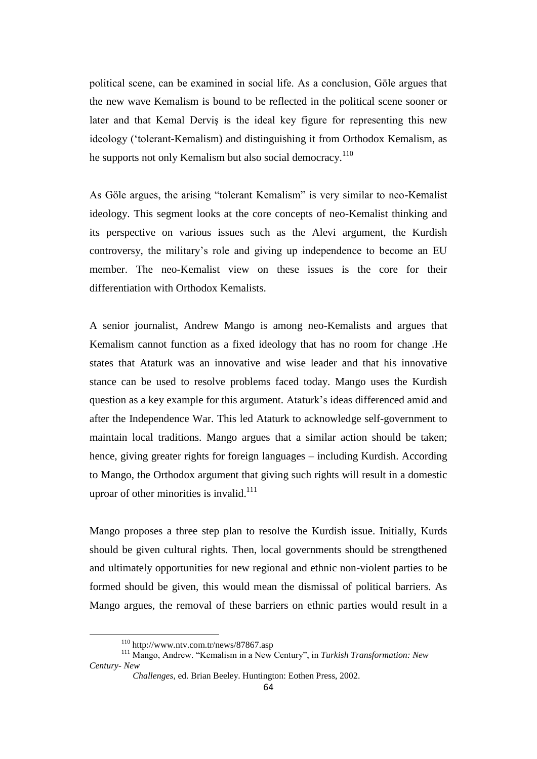political scene, can be examined in social life. As a conclusion, Göle argues that the new wave Kemalism is bound to be reflected in the political scene sooner or later and that Kemal Derviş is the ideal key figure for representing this new ideology ("tolerant-Kemalism) and distinguishing it from Orthodox Kemalism, as he supports not only Kemalism but also social democracy.<sup>110</sup>

As Göle argues, the arising "tolerant Kemalism" is very similar to neo-Kemalist ideology. This segment looks at the core concepts of neo-Kemalist thinking and its perspective on various issues such as the Alevi argument, the Kurdish controversy, the military"s role and giving up independence to become an EU member. The neo-Kemalist view on these issues is the core for their differentiation with Orthodox Kemalists.

A senior journalist, Andrew Mango is among neo-Kemalists and argues that Kemalism cannot function as a fixed ideology that has no room for change .He states that Ataturk was an innovative and wise leader and that his innovative stance can be used to resolve problems faced today. Mango uses the Kurdish question as a key example for this argument. Ataturk"s ideas differenced amid and after the Independence War. This led Ataturk to acknowledge self-government to maintain local traditions. Mango argues that a similar action should be taken; hence, giving greater rights for foreign languages – including Kurdish. According to Mango, the Orthodox argument that giving such rights will result in a domestic uproar of other minorities is invalid.<sup>111</sup>

Mango proposes a three step plan to resolve the Kurdish issue. Initially, Kurds should be given cultural rights. Then, local governments should be strengthened and ultimately opportunities for new regional and ethnic non-violent parties to be formed should be given, this would mean the dismissal of political barriers. As Mango argues, the removal of these barriers on ethnic parties would result in a

<sup>110</sup> http://www.ntv.com.tr/news/87867.asp

<sup>111</sup> Mango, Andrew. "Kemalism in a New Century", in *Turkish Transformation: New Century- New* 

*Challenges,* ed. Brian Beeley. Huntington: Eothen Press, 2002.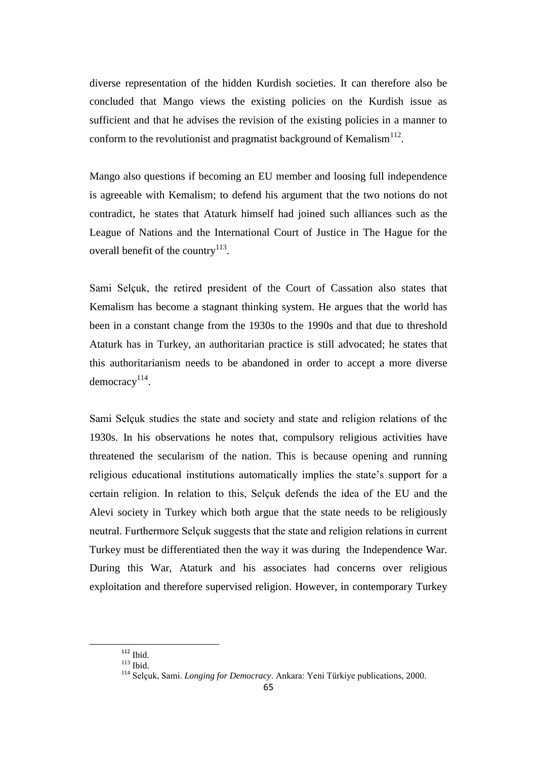diverse representation of the hidden Kurdish societies. It can therefore also be concluded that Mango views the existing policies on the Kurdish issue as sufficient and that he advises the revision of the existing policies in a manner to conform to the revolutionist and pragmatist background of Kemalism<sup>112</sup>.

Mango also questions if becoming an EU member and loosing full independence is agreeable with Kemalism; to defend his argument that the two notions do not contradict, he states that Ataturk himself had joined such alliances such as the League of Nations and the International Court of Justice in The Hague for the overall benefit of the country<sup>113</sup>.

Sami Selçuk, the retired president of the Court of Cassation also states that Kemalism has become a stagnant thinking system. He argues that the world has been in a constant change from the 1930s to the 1990s and that due to threshold Ataturk has in Turkey, an authoritarian practice is still advocated; he states that this authoritarianism needs to be abandoned in order to accept a more diverse  $democrac<sub>y</sub><sup>114</sup>$ .

Sami Selçuk studies the state and society and state and religion relations of the 1930s. In his observations he notes that, compulsory religious activities have threatened the secularism of the nation. This is because opening and running religious educational institutions automatically implies the state"s support for a certain religion. In relation to this, Selçuk defends the idea of the EU and the Alevi society in Turkey which both argue that the state needs to be religiously neutral. Furthermore Selçuk suggests that the state and religion relations in current Turkey must be differentiated then the way it was during the Independence War. During this War, Ataturk and his associates had concerns over religious exploitation and therefore supervised religion. However, in contemporary Turkey

 $112$  Ibid.

 $113$  Ibid.

<sup>114</sup> Selçuk, Sami. *Longing for Democracy*. Ankara: Yeni Türkiye publications, 2000.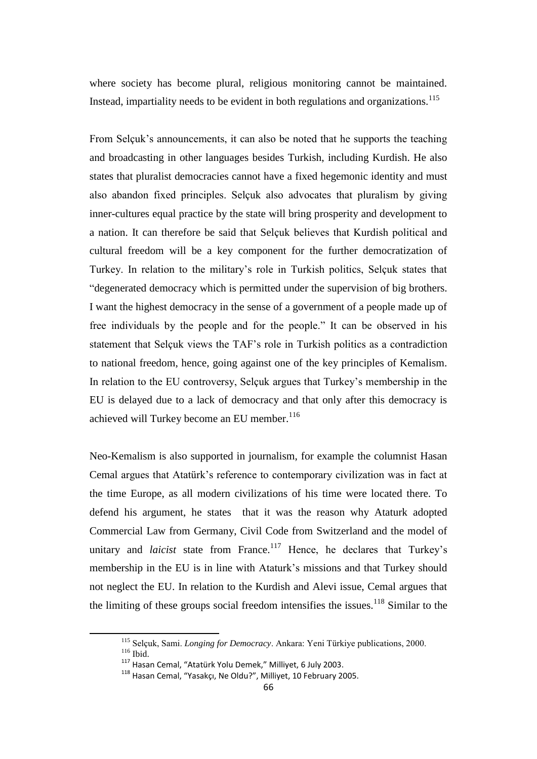where society has become plural, religious monitoring cannot be maintained. Instead, impartiality needs to be evident in both regulations and organizations.<sup>115</sup>

From Selçuk's announcements, it can also be noted that he supports the teaching and broadcasting in other languages besides Turkish, including Kurdish. He also states that pluralist democracies cannot have a fixed hegemonic identity and must also abandon fixed principles. Selçuk also advocates that pluralism by giving inner-cultures equal practice by the state will bring prosperity and development to a nation. It can therefore be said that Selçuk believes that Kurdish political and cultural freedom will be a key component for the further democratization of Turkey. In relation to the military"s role in Turkish politics, Selçuk states that "degenerated democracy which is permitted under the supervision of big brothers. I want the highest democracy in the sense of a government of a people made up of free individuals by the people and for the people." It can be observed in his statement that Selçuk views the TAF"s role in Turkish politics as a contradiction to national freedom, hence, going against one of the key principles of Kemalism. In relation to the EU controversy, Selçuk argues that Turkey"s membership in the EU is delayed due to a lack of democracy and that only after this democracy is achieved will Turkey become an EU member. 116

Neo-Kemalism is also supported in journalism, for example the columnist Hasan Cemal argues that Atatürk"s reference to contemporary civilization was in fact at the time Europe, as all modern civilizations of his time were located there. To defend his argument, he states that it was the reason why Ataturk adopted Commercial Law from Germany, Civil Code from Switzerland and the model of unitary and *laicist* state from France.<sup>117</sup> Hence, he declares that Turkey's membership in the EU is in line with Ataturk"s missions and that Turkey should not neglect the EU. In relation to the Kurdish and Alevi issue, Cemal argues that the limiting of these groups social freedom intensifies the issues.<sup>118</sup> Similar to the

<sup>115</sup> Selçuk, Sami. *Longing for Democracy*. Ankara: Yeni Türkiye publications, 2000. <sup>116</sup> Ibid.

<sup>117</sup> Hasan Cemal, "Atatürk Yolu Demek," Milliyet, 6 July 2003.

<sup>118</sup> Hasan Cemal, "Yasakçı, Ne Oldu?", Milliyet, 10 February 2005.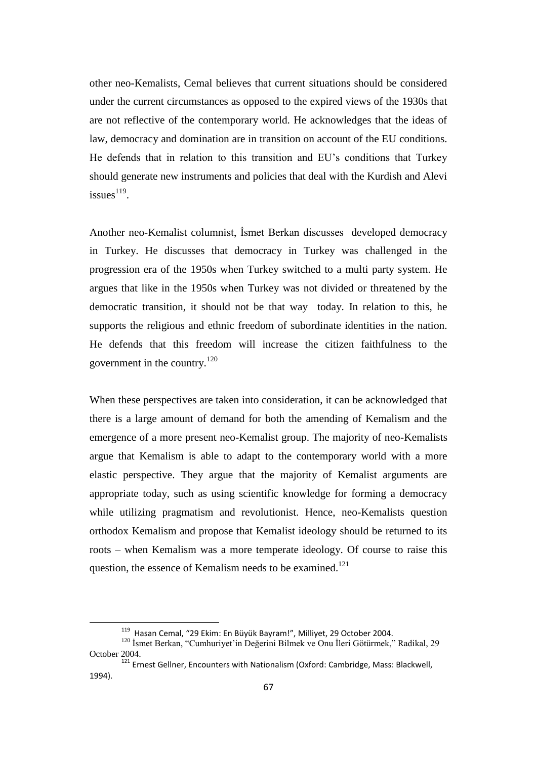other neo-Kemalists, Cemal believes that current situations should be considered under the current circumstances as opposed to the expired views of the 1930s that are not reflective of the contemporary world. He acknowledges that the ideas of law, democracy and domination are in transition on account of the EU conditions. He defends that in relation to this transition and EU"s conditions that Turkey should generate new instruments and policies that deal with the Kurdish and Alevi issues $^{119}$ .

Another neo-Kemalist columnist, İsmet Berkan discusses developed democracy in Turkey. He discusses that democracy in Turkey was challenged in the progression era of the 1950s when Turkey switched to a multi party system. He argues that like in the 1950s when Turkey was not divided or threatened by the democratic transition, it should not be that way today. In relation to this, he supports the religious and ethnic freedom of subordinate identities in the nation. He defends that this freedom will increase the citizen faithfulness to the government in the country.<sup>120</sup>

When these perspectives are taken into consideration, it can be acknowledged that there is a large amount of demand for both the amending of Kemalism and the emergence of a more present neo-Kemalist group. The majority of neo-Kemalists argue that Kemalism is able to adapt to the contemporary world with a more elastic perspective. They argue that the majority of Kemalist arguments are appropriate today, such as using scientific knowledge for forming a democracy while utilizing pragmatism and revolutionist. Hence, neo-Kemalists question orthodox Kemalism and propose that Kemalist ideology should be returned to its roots – when Kemalism was a more temperate ideology. Of course to raise this question, the essence of Kemalism needs to be examined.<sup>121</sup>

<sup>&</sup>lt;sup>119</sup> Hasan Cemal, "29 Ekim: En Büyük Bayram!", Milliyet, 29 October 2004.

<sup>&</sup>lt;sup>120</sup> İsmet Berkan, "Cumhuriyet'in Değerini Bilmek ve Onu İleri Götürmek," Radikal, 29 October 2004.

<sup>&</sup>lt;sup>121</sup> Ernest Gellner, Encounters with Nationalism (Oxford: Cambridge, Mass: Blackwell, 1994).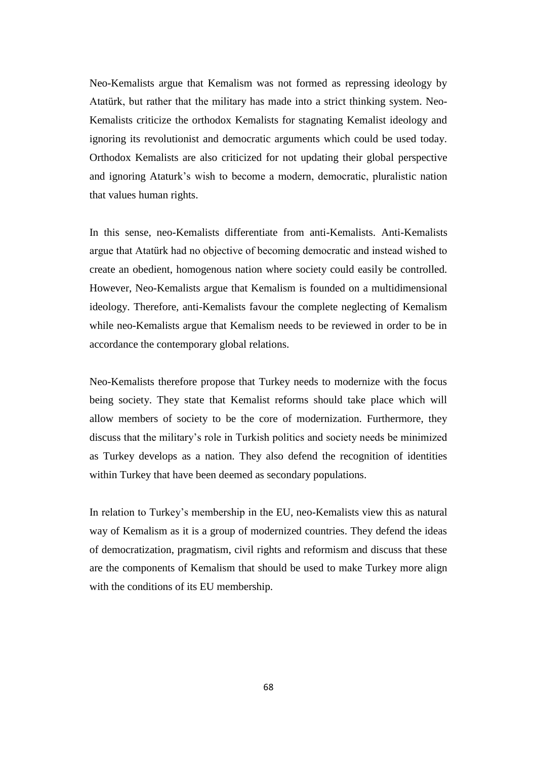Neo-Kemalists argue that Kemalism was not formed as repressing ideology by Atatürk, but rather that the military has made into a strict thinking system. Neo-Kemalists criticize the orthodox Kemalists for stagnating Kemalist ideology and ignoring its revolutionist and democratic arguments which could be used today. Orthodox Kemalists are also criticized for not updating their global perspective and ignoring Ataturk"s wish to become a modern, democratic, pluralistic nation that values human rights.

In this sense, neo-Kemalists differentiate from anti-Kemalists. Anti-Kemalists argue that Atatürk had no objective of becoming democratic and instead wished to create an obedient, homogenous nation where society could easily be controlled. However, Neo-Kemalists argue that Kemalism is founded on a multidimensional ideology. Therefore, anti-Kemalists favour the complete neglecting of Kemalism while neo-Kemalists argue that Kemalism needs to be reviewed in order to be in accordance the contemporary global relations.

Neo-Kemalists therefore propose that Turkey needs to modernize with the focus being society. They state that Kemalist reforms should take place which will allow members of society to be the core of modernization. Furthermore, they discuss that the military"s role in Turkish politics and society needs be minimized as Turkey develops as a nation. They also defend the recognition of identities within Turkey that have been deemed as secondary populations.

In relation to Turkey"s membership in the EU, neo-Kemalists view this as natural way of Kemalism as it is a group of modernized countries. They defend the ideas of democratization, pragmatism, civil rights and reformism and discuss that these are the components of Kemalism that should be used to make Turkey more align with the conditions of its EU membership.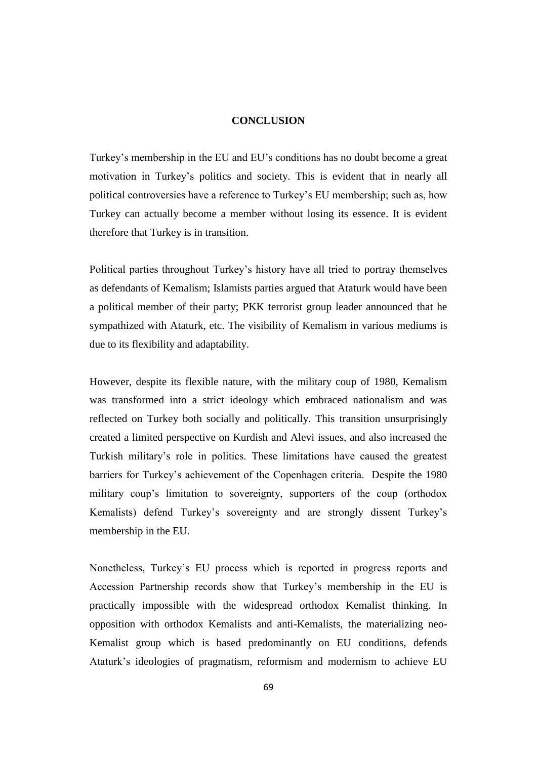#### **CONCLUSION**

Turkey"s membership in the EU and EU"s conditions has no doubt become a great motivation in Turkey"s politics and society. This is evident that in nearly all political controversies have a reference to Turkey"s EU membership; such as, how Turkey can actually become a member without losing its essence. It is evident therefore that Turkey is in transition.

Political parties throughout Turkey"s history have all tried to portray themselves as defendants of Kemalism; Islamists parties argued that Ataturk would have been a political member of their party; PKK terrorist group leader announced that he sympathized with Ataturk, etc. The visibility of Kemalism in various mediums is due to its flexibility and adaptability.

However, despite its flexible nature, with the military coup of 1980, Kemalism was transformed into a strict ideology which embraced nationalism and was reflected on Turkey both socially and politically. This transition unsurprisingly created a limited perspective on Kurdish and Alevi issues, and also increased the Turkish military"s role in politics. These limitations have caused the greatest barriers for Turkey"s achievement of the Copenhagen criteria. Despite the 1980 military coup's limitation to sovereignty, supporters of the coup (orthodox Kemalists) defend Turkey's sovereignty and are strongly dissent Turkey's membership in the EU.

Nonetheless, Turkey"s EU process which is reported in progress reports and Accession Partnership records show that Turkey"s membership in the EU is practically impossible with the widespread orthodox Kemalist thinking. In opposition with orthodox Kemalists and anti-Kemalists, the materializing neo-Kemalist group which is based predominantly on EU conditions, defends Ataturk"s ideologies of pragmatism, reformism and modernism to achieve EU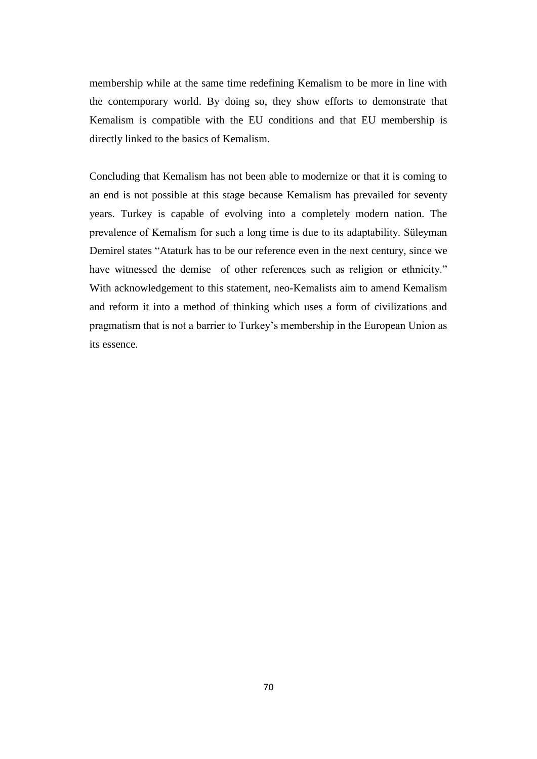membership while at the same time redefining Kemalism to be more in line with the contemporary world. By doing so, they show efforts to demonstrate that Kemalism is compatible with the EU conditions and that EU membership is directly linked to the basics of Kemalism.

Concluding that Kemalism has not been able to modernize or that it is coming to an end is not possible at this stage because Kemalism has prevailed for seventy years. Turkey is capable of evolving into a completely modern nation. The prevalence of Kemalism for such a long time is due to its adaptability. Süleyman Demirel states "Ataturk has to be our reference even in the next century, since we have witnessed the demise of other references such as religion or ethnicity." With acknowledgement to this statement, neo-Kemalists aim to amend Kemalism and reform it into a method of thinking which uses a form of civilizations and pragmatism that is not a barrier to Turkey"s membership in the European Union as its essence.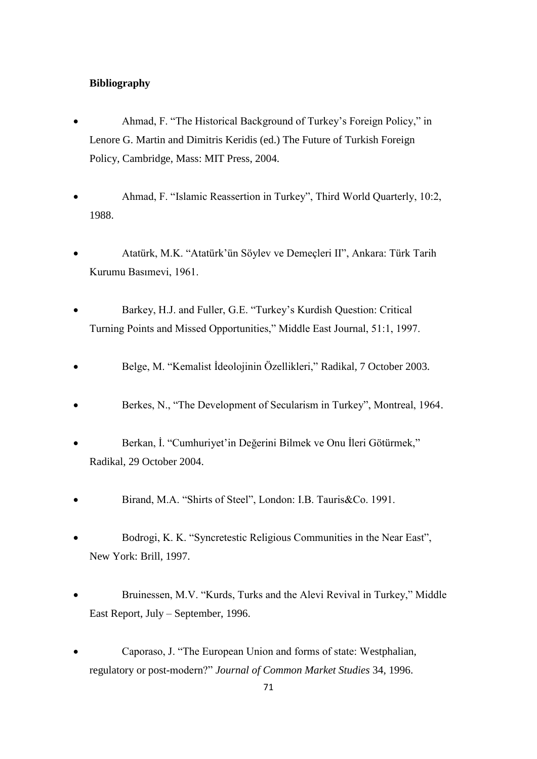# **Bibliography**

- Ahmad, F. "The Historical Background of Turkey"s Foreign Policy," in Lenore G. Martin and Dimitris Keridis (ed.) The Future of Turkish Foreign Policy, Cambridge, Mass: MIT Press, 2004.
- Ahmad, F. "Islamic Reassertion in Turkey", Third World Quarterly, 10:2, 1988.
- Atatürk, M.K. "Atatürk"ün Söylev ve Demeçleri II", Ankara: Türk Tarih Kurumu Basımevi, 1961.
- Barkey, H.J. and Fuller, G.E. "Turkey"s Kurdish Question: Critical Turning Points and Missed Opportunities," Middle East Journal, 51:1, 1997.
- Belge, M. "Kemalist İdeolojinin Özellikleri," Radikal, 7 October 2003.
- Berkes, N., "The Development of Secularism in Turkey", Montreal, 1964.
- Berkan, İ. "Cumhuriyet'in Değerini Bilmek ve Onu İleri Götürmek," Radikal, 29 October 2004.
- Birand, M.A. "Shirts of Steel", London: I.B. Tauris&Co. 1991.
- Bodrogi, K. K. "Syncretestic Religious Communities in the Near East", New York: Brill, 1997.
- Bruinessen, M.V. "Kurds, Turks and the Alevi Revival in Turkey," Middle East Report, July – September, 1996.
- Caporaso, J. "The European Union and forms of state: Westphalian, regulatory or post-modern?" *Journal of Common Market Studies* 34, 1996.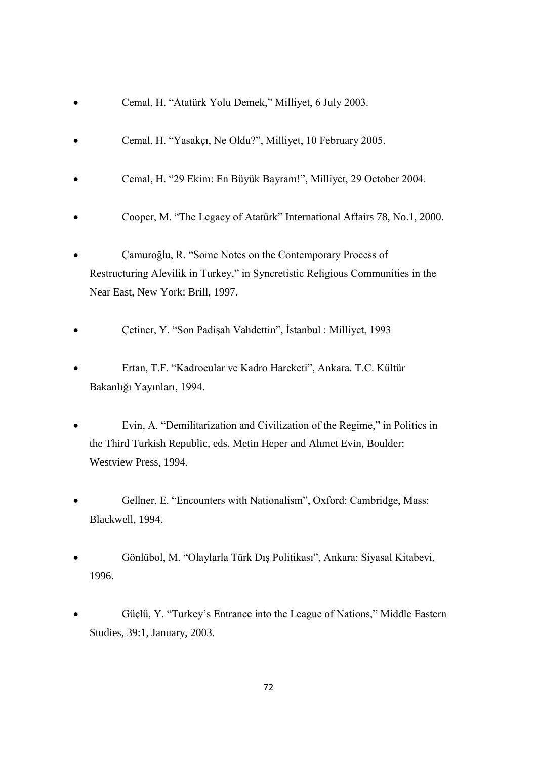- Cemal, H. "Atatürk Yolu Demek," Milliyet, 6 July 2003.
- Cemal, H. "Yasakçı, Ne Oldu?", Milliyet, 10 February 2005.
- Cemal, H. "29 Ekim: En Büyük Bayram!", Milliyet, 29 October 2004.
- Cooper, M. "The Legacy of Atatürk" International Affairs 78, No.1, 2000.
- Çamuroğlu, R. "Some Notes on the Contemporary Process of Restructuring Alevilik in Turkey," in Syncretistic Religious Communities in the Near East, New York: Brill, 1997.
- Çetiner, Y. "Son Padişah Vahdettin", İstanbul : Milliyet, 1993
- Ertan, T.F. "Kadrocular ve Kadro Hareketi", Ankara. T.C. Kültür Bakanlığı Yayınları, 1994.
- Evin, A. "Demilitarization and Civilization of the Regime," in Politics in the Third Turkish Republic, eds. Metin Heper and Ahmet Evin, Boulder: Westview Press, 1994.
- Gellner, E. "Encounters with Nationalism", Oxford: Cambridge, Mass: Blackwell, 1994.
- Gönlübol, M. "Olaylarla Türk Dış Politikası", Ankara: Siyasal Kitabevi, 1996.
- Güçlü, Y. "Turkey"s Entrance into the League of Nations," Middle Eastern Studies, 39:1, January, 2003.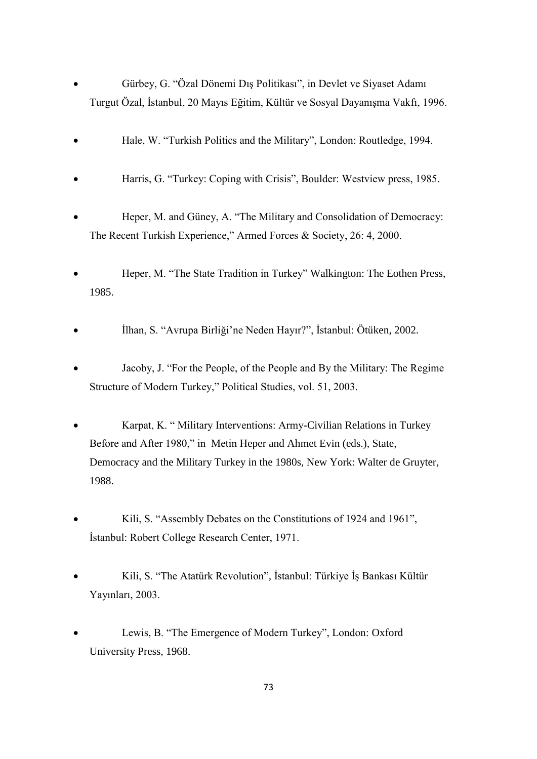- Gürbey, G. "Özal Dönemi Dış Politikası", in Devlet ve Siyaset Adamı Turgut Özal, İstanbul, 20 Mayıs Eğitim, Kültür ve Sosyal Dayanışma Vakfı, 1996.
- Hale, W. "Turkish Politics and the Military", London: Routledge, 1994.
- Harris, G. "Turkey: Coping with Crisis", Boulder: Westview press, 1985.
- Heper, M. and Güney, A. "The Military and Consolidation of Democracy: The Recent Turkish Experience," Armed Forces & Society, 26: 4, 2000.
- Heper, M. "The State Tradition in Turkey" Walkington: The Eothen Press, 1985.
- İlhan, S. "Avrupa Birliği"ne Neden Hayır?", İstanbul: Ötüken, 2002.
- Jacoby, J. "For the People, of the People and By the Military: The Regime Structure of Modern Turkey," Political Studies, vol. 51, 2003.
- Karpat, K. " Military Interventions: Army-Civilian Relations in Turkey Before and After 1980," in Metin Heper and Ahmet Evin (eds.), State, Democracy and the Military Turkey in the 1980s, New York: Walter de Gruyter, 1988.
- Kili, S. "Assembly Debates on the Constitutions of 1924 and 1961", İstanbul: Robert College Research Center, 1971.
- Kili, S. "The Atatürk Revolution"*,* İstanbul: Türkiye İş Bankası Kültür Yayınları, 2003.
- Lewis, B. "The Emergence of Modern Turkey", London: Oxford University Press, 1968.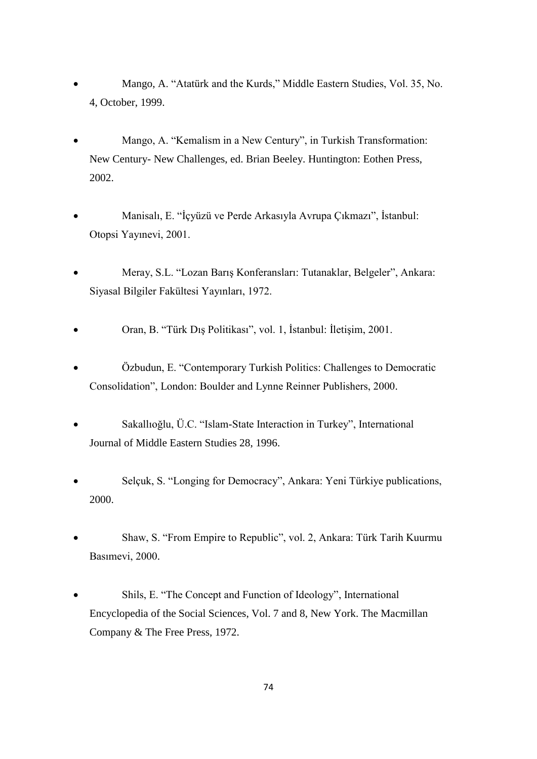- Mango, A. "Atatürk and the Kurds," Middle Eastern Studies, Vol. 35, No. 4, October, 1999.
- Mango, A. "Kemalism in a New Century", in Turkish Transformation: New Century- New Challenges, ed. Brian Beeley. Huntington: Eothen Press, 2002.
- Manisalı, E. "İçyüzü ve Perde Arkasıyla Avrupa Çıkmazı", İstanbul: Otopsi Yayınevi, 2001.
- Meray, S.L. "Lozan Barış Konferansları: Tutanaklar, Belgeler", Ankara: Siyasal Bilgiler Fakültesi Yayınları, 1972.
- Oran, B. "Türk Dış Politikası", vol. 1, İstanbul: İletişim, 2001.
- Özbudun, E. "Contemporary Turkish Politics: Challenges to Democratic Consolidation", London: Boulder and Lynne Reinner Publishers, 2000.
- Sakallıoğlu, Ü.C. "Islam-State Interaction in Turkey", International Journal of Middle Eastern Studies 28, 1996.
- Selçuk, S. "Longing for Democracy", Ankara: Yeni Türkiye publications, 2000.
- Shaw, S. "From Empire to Republic", vol. 2, Ankara: Türk Tarih Kuurmu Basımevi, 2000.
- Shils, E. "The Concept and Function of Ideology", International Encyclopedia of the Social Sciences, Vol. 7 and 8, New York. The Macmillan Company & The Free Press, 1972.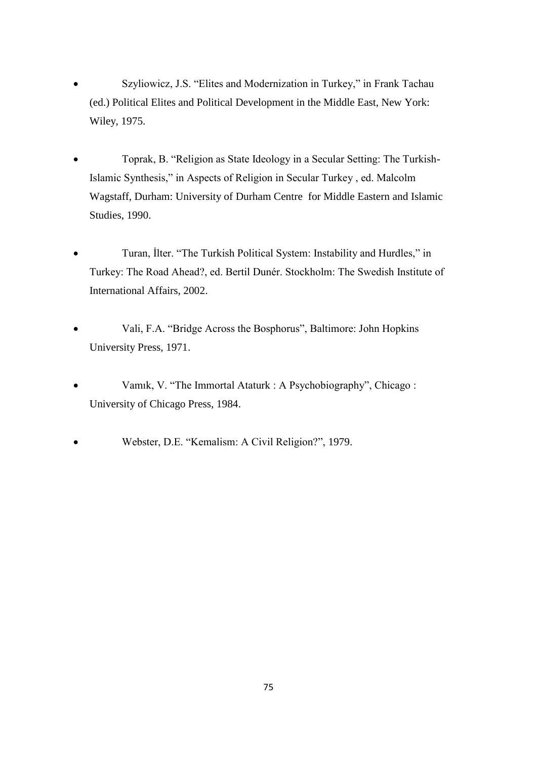- Szyliowicz, J.S. "Elites and Modernization in Turkey," in Frank Tachau (ed.) Political Elites and Political Development in the Middle East, New York: Wiley, 1975.
- Toprak, B. "Religion as State Ideology in a Secular Setting: The Turkish-Islamic Synthesis," in Aspects of Religion in Secular Turkey , ed. Malcolm Wagstaff, Durham: University of Durham Centre for Middle Eastern and Islamic Studies, 1990.
- Turan, İlter. "The Turkish Political System: Instability and Hurdles," in Turkey: The Road Ahead?, ed. Bertil Dunér. Stockholm: The Swedish Institute of International Affairs, 2002.
- Vali, F.A. "Bridge Across the Bosphorus", Baltimore: John Hopkins University Press, 1971.
- Vamık, V. "The Immortal Ataturk : A Psychobiography", Chicago : University of Chicago Press, 1984.
- Webster, D.E. "Kemalism: A Civil Religion?", 1979.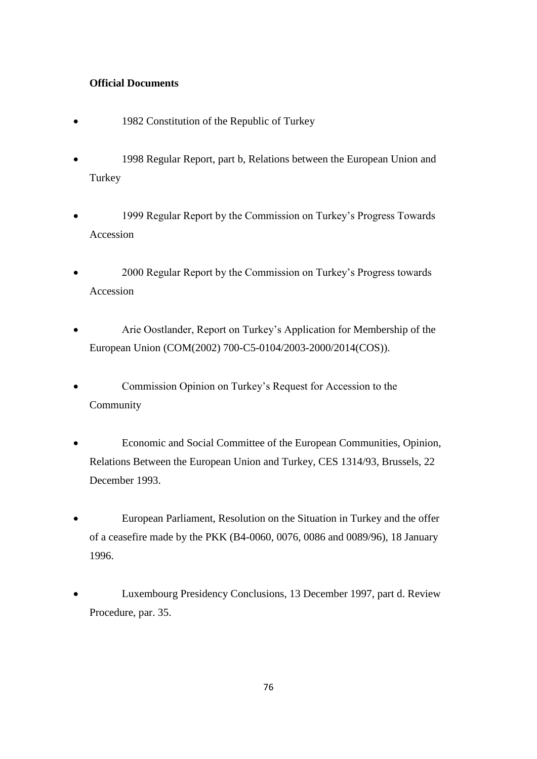## **Official Documents**

- 1982 Constitution of the Republic of Turkey
- 1998 Regular Report, part b, Relations between the European Union and Turkey
- 1999 Regular Report by the Commission on Turkey"s Progress Towards Accession
- 2000 Regular Report by the Commission on Turkey"s Progress towards Accession
- Arie Oostlander, Report on Turkey"s Application for Membership of the European Union (COM(2002) 700-C5-0104/2003-2000/2014(COS)).
- Commission Opinion on Turkey"s Request for Accession to the Community
- Economic and Social Committee of the European Communities, Opinion, Relations Between the European Union and Turkey, CES 1314/93, Brussels, 22 December 1993.
- European Parliament, Resolution on the Situation in Turkey and the offer of a ceasefire made by the PKK (B4-0060, 0076, 0086 and 0089/96), 18 January 1996.
- Luxembourg Presidency Conclusions, 13 December 1997, part d. Review Procedure, par. 35.